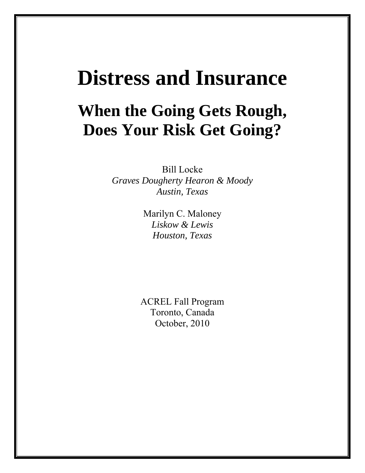# **Distress and Insurance**

# **When the Going Gets Rough, Does Your Risk Get Going?**

Bill Locke *Graves Dougherty Hearon & Moody Austin, Texas* 

> Marilyn C. Maloney *Liskow & Lewis Houston, Texas*

ACREL Fall Program Toronto, Canada October, 2010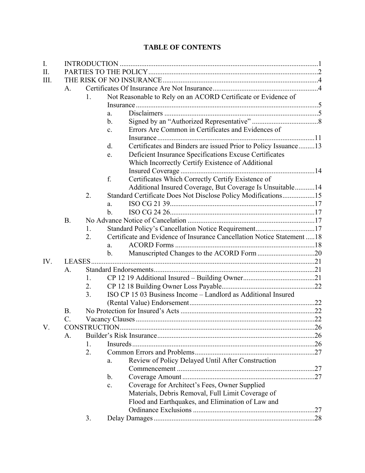## **TABLE OF CONTENTS**

| I.   |           |                |                |                                                                       |  |
|------|-----------|----------------|----------------|-----------------------------------------------------------------------|--|
| II.  |           |                |                |                                                                       |  |
| III. |           |                |                |                                                                       |  |
|      | A.        |                |                |                                                                       |  |
|      |           | 1.             |                | Not Reasonable to Rely on an ACORD Certificate or Evidence of         |  |
|      |           |                |                |                                                                       |  |
|      |           |                | a.             |                                                                       |  |
|      |           |                | $\mathbf b$ .  |                                                                       |  |
|      |           |                | $\mathbf{c}$ . | Errors Are Common in Certificates and Evidences of                    |  |
|      |           |                |                |                                                                       |  |
|      |           |                | d.             | Certificates and Binders are issued Prior to Policy Issuance13        |  |
|      |           |                | e.             | Deficient Insurance Specifications Excuse Certificates                |  |
|      |           |                |                | Which Incorrectly Certify Existence of Additional                     |  |
|      |           |                |                |                                                                       |  |
|      |           |                | f.             | Certificates Which Correctly Certify Existence of                     |  |
|      |           |                |                | Additional Insured Coverage, But Coverage Is Unsuitable14             |  |
|      |           | 2.             |                | Standard Certificate Does Not Disclose Policy Modifications15         |  |
|      |           |                | a.             |                                                                       |  |
|      |           |                | $\mathbf b$ .  |                                                                       |  |
|      | <b>B.</b> |                |                |                                                                       |  |
|      |           | 1.             |                | Standard Policy's Cancellation Notice Requirement17                   |  |
|      |           | 2.             |                | Certificate and Evidence of Insurance Cancellation Notice Statement18 |  |
|      |           |                | a.             |                                                                       |  |
|      |           |                | b.             |                                                                       |  |
| IV.  | LEASES.   |                |                |                                                                       |  |
|      | A.        |                |                |                                                                       |  |
|      |           | 1.             |                |                                                                       |  |
|      |           | 2.             |                |                                                                       |  |
|      |           | 3 <sub>1</sub> |                | ISO CP 15 03 Business Income - Landlord as Additional Insured         |  |
|      |           |                |                |                                                                       |  |
|      | <b>B.</b> |                |                |                                                                       |  |
|      | C.        |                |                |                                                                       |  |
| V.   |           |                |                |                                                                       |  |
|      | A.        |                |                |                                                                       |  |
|      |           | 1.             |                |                                                                       |  |
|      |           | 2.             |                |                                                                       |  |
|      |           |                | a.             | Review of Policy Delayed Until After Construction                     |  |
|      |           |                |                |                                                                       |  |
|      |           |                | b.             |                                                                       |  |
|      |           |                | c.             | Coverage for Architect's Fees, Owner Supplied                         |  |
|      |           |                |                | Materials, Debris Removal, Full Limit Coverage of                     |  |
|      |           |                |                | Flood and Earthquakes, and Elimination of Law and                     |  |
|      |           |                |                |                                                                       |  |
|      |           | 3.             |                |                                                                       |  |
|      |           |                |                |                                                                       |  |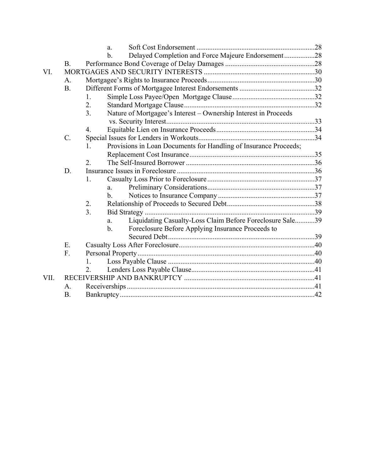|      |           | a.                                                                                |  |  |
|------|-----------|-----------------------------------------------------------------------------------|--|--|
|      |           | Delayed Completion and Force Majeure Endorsement28<br>$b$                         |  |  |
|      | <b>B.</b> |                                                                                   |  |  |
| VI.  |           |                                                                                   |  |  |
|      | A.        |                                                                                   |  |  |
|      | B.        |                                                                                   |  |  |
|      |           | $\mathbf{1}$ .                                                                    |  |  |
|      |           | 2.                                                                                |  |  |
|      |           | Nature of Mortgagee's Interest - Ownership Interest in Proceeds<br>3 <sub>1</sub> |  |  |
|      |           |                                                                                   |  |  |
|      |           | $\overline{4}$ .                                                                  |  |  |
|      | C.        |                                                                                   |  |  |
|      |           | Provisions in Loan Documents for Handling of Insurance Proceeds;<br>$\mathbf{1}$  |  |  |
|      |           |                                                                                   |  |  |
|      |           | $\overline{2}$ .                                                                  |  |  |
|      | D.        |                                                                                   |  |  |
|      |           | 1.                                                                                |  |  |
|      |           | a.                                                                                |  |  |
|      |           | $\mathbf{b}$ .                                                                    |  |  |
|      |           | 2.                                                                                |  |  |
|      |           | 3.                                                                                |  |  |
|      |           | Liquidating Casualty-Loss Claim Before Foreclosure Sale39<br>a.                   |  |  |
|      |           | Foreclosure Before Applying Insurance Proceeds to<br>$b_{\cdot}$                  |  |  |
|      |           |                                                                                   |  |  |
|      | Ε.        |                                                                                   |  |  |
|      | F.        |                                                                                   |  |  |
|      |           | 1.                                                                                |  |  |
|      |           | $\overline{2}$ .                                                                  |  |  |
| VII. |           |                                                                                   |  |  |
|      | А.        |                                                                                   |  |  |
|      | <b>B.</b> |                                                                                   |  |  |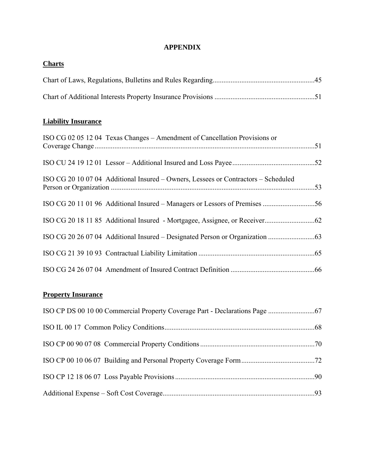#### **APPENDIX**

# **Charts** Chart of Laws, Regulations, Bulletins and Rules Regarding .........................................................45 Chart of Additional Interests Property Insurance Provisions ........................................................51

#### **Liability Insurance**

| ISO CG 02 05 12 04 Texas Changes – Amendment of Cancellation Provisions or         |  |
|------------------------------------------------------------------------------------|--|
|                                                                                    |  |
| ISO CG 20 10 07 04 Additional Insured – Owners, Lessees or Contractors – Scheduled |  |
|                                                                                    |  |
|                                                                                    |  |
|                                                                                    |  |
|                                                                                    |  |
|                                                                                    |  |

### **Property Insurance**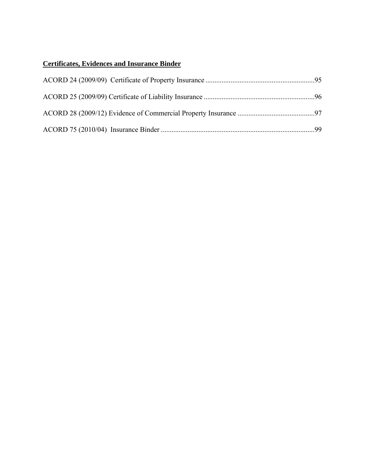# **Certificates, Evidences and Insurance Binder**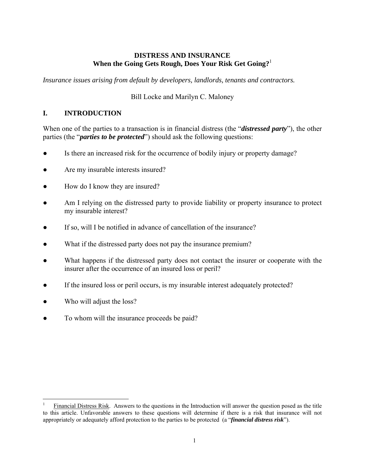#### **DISTRESS AND INSURANCE When the Going Gets Rough, Does Your Risk Get Going?**<sup>1</sup>

*Insurance issues arising from default by developers, landlords, tenants and contractors.*

#### Bill Locke and Marilyn C. Maloney

#### **I. INTRODUCTION**

When one of the parties to a transaction is in financial distress (the "*distressed party*"), the other parties (the "*parties to be protected*") should ask the following questions:

- Is there an increased risk for the occurrence of bodily injury or property damage?
- Are my insurable interests insured?
- How do I know they are insured?
- Am I relying on the distressed party to provide liability or property insurance to protect my insurable interest?
- If so, will I be notified in advance of cancellation of the insurance?
- What if the distressed party does not pay the insurance premium?
- What happens if the distressed party does not contact the insurer or cooperate with the insurer after the occurrence of an insured loss or peril?
- If the insured loss or peril occurs, is my insurable interest adequately protected?
- Who will adjust the loss?
- To whom will the insurance proceeds be paid?

 $\overline{a}$ 1 Financial Distress Risk. Answers to the questions in the Introduction will answer the question posed as the title to this article. Unfavorable answers to these questions will determine if there is a risk that insurance will not appropriately or adequately afford protection to the parties to be protected (a "*financial distress risk*").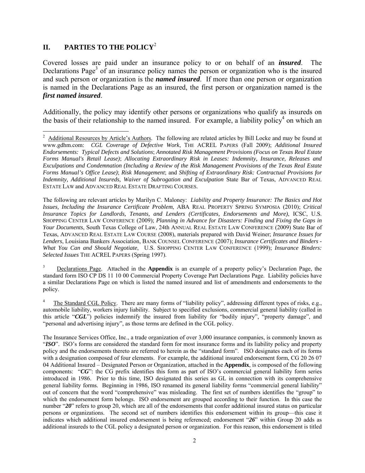#### **II. PARTIES TO THE POLICY**<sup>2</sup>

Covered losses are paid under an insurance policy to or on behalf of an *insured*. The Declarations Page<sup>3</sup> of an insurance policy names the person or organization who is the insured and such person or organization is the *named insured*. If more than one person or organization is named in the Declarations Page as an insured, the first person or organization named is the *first named insured*.

Additionally, the policy may identify other persons or organizations who qualify as insureds on the basis of their relationship to the named insured. For example, a liability policy<sup>4</sup> on which an

The following are relevant articles by Marilyn C. Maloney: *Liability and Property Insurance: The Basics and Hot Issues, Including the Insurance Certificate Problem*, ABA REAL PROPERTY SPRING SYMPOSIA (2010); *Critical Insurance Topics for Landlords, Tenants, and Lenders (Certificates, Endorsements and More)*, ICSC, U.S. SHOPPING CENTER LAW CONFERENCE (2009); *Planning in Advance for Disasters: Finding and Fixing the Gaps in Your Documents*, South Texas College of Law, 24th ANNUAL REAL ESTATE LAW CONFERENCE (2009) State Bar of Texas, ADVANCED REAL ESTATE LAW COURSE (2008), materials prepared with David Weiner; *Insurance Issues for Lenders*, Louisiana Bankers Association, BANK COUNSEL CONFERENCE (2007); *Insurance Certificates and Binders - What You Can and Should Negotiate*, U.S. SHOPPING CENTER LAW CONFERENCE (1999); *Insurance Binders: Selected Issues* THE ACREL PAPERS (Spring 1997).

3 Declarations Page. Attached in the **Appendix** is an example of a property policy's Declaration Page, the standard form ISO CP DS 11 10 00 Commercial Property Coverage Part Declarations Page. Liability policies have a similar Declarations Page on which is listed the named insured and list of amendments and endorsements to the policy.

4 The Standard CGL Policy. There are many forms of "liability policy", addressing different types of risks, e.g., automobile liability, workers injury liability. Subject to specified exclusions, commercial general liability (called in this article "CGL") policies indemnify the insured from liability for "bodily injury", "property damage", and "personal and advertising injury", as those terms are defined in the CGL policy.

The Insurance Services Office, Inc., a trade organization of over 3,000 insurance companies, is commonly known as "*ISO*". ISO's forms are considered the standard form for most insurance forms and its liability policy and property policy and the endorsements thereto are referred to herein as the "standard form". ISO designates each of its forms with a designation composed of four elements. For example, the additional insured endorsement form, CG 20 26 07 04 Additional Insured – Designated Person or Organization, attached in the **Appendix**, is composed of the following components: "*CG*": the CG prefix identifies this form as part of ISO's commercial general liability form series introduced in 1986. Prior to this time, ISO designated this series as GL in connection with its comprehensive general liability forms. Beginning in 1986, ISO renamed its general liability forms "commercial general liability" out of concern that the word "comprehensive" was misleading. The first set of numbers identifies the "group" to which the endorsement form belongs. ISO endorsement are grouped according to their function. In this case the number "20" refers to group 20, which are all of the endorsements that confer additional insured status on particular persons or organizations. The second set of numbers identifies this endorsement within its group—this case it indicates which additional insured endorsement is being referenced; endorsement "*26*" within Group 20 adds as additional insureds to the CGL policy a designated person or organization. For this reason, this endorsement is titled

<sup>1</sup> <sup>2</sup> Additional Resources by Article's Authors. The following are related articles by Bill Locke and may be found at www.gdhm.com: *CGL Coverage of Defective Work*, THE ACREL PAPERS (Fall 2009); *Additional Insured Endorsements: Typical Defects and Solutions*; *Annotated Risk Management Provisions (Focus on Texas Real Estate Forms Manual's Retail Lease)*; *Allocating Extraordinary Risk in Leases: Indemnity, Insurance, Releases and Exculpations and Condemnation (Including a Review of the Risk Management Provisions of the Texas Real Estate Forms Manual's Office Lease)*; *Risk Management*; and *Shifting of Extraordinary Risk: Contractual Provisions for Indemnity, Additional Insureds, Waiver of Subrogation and Exculpation* State Bar of Texas, ADVANCED REAL ESTATE LAW and ADVANCED REAL ESTATE DRAFTING COURSES.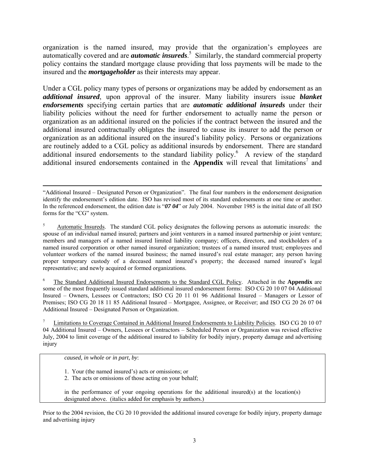organization is the named insured, may provide that the organization's employees are automatically covered and are *automatic insureds*. 5 Similarly, the standard commercial property policy contains the standard mortgage clause providing that loss payments will be made to the insured and the *mortgageholder* as their interests may appear.

Under a CGL policy many types of persons or organizations may be added by endorsement as an *additional insured*, upon approval of the insurer. Many liability insurers issue *blanket endorsements* specifying certain parties that are *automatic additional insureds* under their liability policies without the need for further endorsement to actually name the person or organization as an additional insured on the policies if the contract between the insured and the additional insured contractually obligates the insured to cause its insurer to add the person or organization as an additional insured on the insured's liability policy. Persons or organizations are routinely added to a CGL policy as additional insureds by endorsement. There are standard additional insured endorsements to the standard liability policy.<sup>6</sup> A review of the standard additional insured endorsements contained in the **Appendix** will reveal that limitations<sup>7</sup> and

6 The Standard Additional Insured Endorsements to the Standard CGL Policy. Attached in the **Appendix** are some of the most frequently issued standard additional insured endorsement forms: ISO CG 20 10 07 04 Additional Insured – Owners, Lessees or Contractors; ISO CG 20 11 01 96 Additional Insured – Managers or Lessor of Premises; ISO CG 20 18 11 85 Additional Insured – Mortgagee, Assignee, or Receiver; and ISO CG 20 26 07 04 Additional Insured – Designated Person or Organization.

7 Limitations to Coverage Contained in Additional Insured Endorsements to Liability Policies. ISO CG 20 10 07 04 Additional Insured – Owners, Lessees or Contractors – Scheduled Person or Organization was revised effective July, 2004 to limit coverage of the additional insured to liability for bodily injury, property damage and advertising injury

*caused, in whole or in part, by*:

- 1. Your (the named insured's) acts or omissions; or
- 2. The acts or omissions of those acting on your behalf;

in the performance of your ongoing operations for the additional insured(s) at the location(s) designated above. (italics added for emphasis by authors.)

Prior to the 2004 revision, the CG 20 10 provided the additional insured coverage for bodily injury, property damage and advertising injury

 <sup>&</sup>quot;Additional Insured – Designated Person or Organization". The final four numbers in the endorsement designation identify the endorsement's edition date. ISO has revised most of its standard endorsements at one time or another. In the referenced endorsement, the edition date is " $07.04$ " or July 2004. November 1985 is the initial date of all ISO forms for the "CG" system.

<sup>5</sup> Automatic Insureds. The standard CGL policy designates the following persons as automatic insureds: the spouse of an individual named insured; partners and joint venturers in a named insured partnership or joint venture; members and managers of a named insured limited liability company; officers, directors, and stockholders of a named insured corporation or other named insured organization; trustees of a named insured trust; employees and volunteer workers of the named insured business; the named insured's real estate manager; any person having proper temporary custody of a deceased named insured's property; the deceased named insured's legal representative; and newly acquired or formed organizations.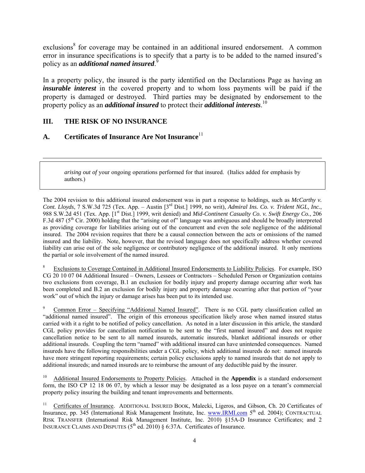exclusions<sup>8</sup> for coverage may be contained in an additional insured endorsement. A common error in insurance specifications is to specify that a party is to be added to the named insured's policy as an *additional named insured*. 9

In a property policy, the insured is the party identified on the Declarations Page as having an *insurable interest* in the covered property and to whom loss payments will be paid if the property is damaged or destroyed. Third parties may be designated by endorsement to the property policy as an *additional insured* to protect their *additional interests*. 10

#### **III. THE RISK OF NO INSURANCE**

 $\overline{a}$ 

#### **A. Certificates of Insurance Are Not Insurance**<sup>11</sup>

*arising out of* your ongoing operations performed for that insured. (Italics added for emphasis by authors.)

The 2004 revision to this additional insured endorsement was in part a response to holdings, such as *McCarthy v. Cont. Lloyds*, 7 S.W.3d 725 (Tex. App. – Austin [3rd Dist.] 1999, no writ), *Admiral Ins. Co. v. Trident NGL, Inc.*, 988 S.W.2d 451 (Tex. App. [1<sup>st</sup> Dist.] 1999, writ denied) and *Mid-Continent Casualty Co. v. Swift Energy Co.*, 206 F.3d 487 (5<sup>th</sup> Cir. 2000) holding that the "arising out of" language was ambiguous and should be broadly interpreted as providing coverage for liabilities arising out of the concurrent and even the sole negligence of the additional insured. The 2004 revision requires that there be a causal connection between the acts or omissions of the named insured and the liability. Note, however, that the revised language does not specifically address whether covered liability can arise out of the sole negligence or contributory negligence of the additional insured. It only mentions the partial or sole involvement of the named insured.

8 Exclusions to Coverage Contained in Additional Insured Endorsements to Liability Policies. For example, ISO CG 20 10 07 04 Additional Insured – Owners, Lessees or Contractors – Scheduled Person or Organization contains two exclusions from coverage, B.1 an exclusion for bodily injury and property damage occurring after work has been completed and B.2 an exclusion for bodily injury and property damage occurring after that portion of "your work" out of which the injury or damage arises has been put to its intended use.

9 Common Error – Specifying "Additional Named Insured". There is no CGL party classification called an "additional named insured". The origin of this erroneous specification likely arose when named insured status carried with it a right to be notified of policy cancellation. As noted in a later discussion in this article, the standard CGL policy provides for cancellation notification to be sent to the "first named insured" and does not require cancellation notice to be sent to all named insureds, automatic insureds, blanket additional insureds or other additional insureds. Coupling the term "named" with additional insured can have unintended consequences. Named insureds have the following responsibilities under a CGL policy, which additional insureds do not: named insureds have more stringent reporting requirements; certain policy exclusions apply to named insureds that do not apply to additional insureds; and named insureds are to reimburse the amount of any deductible paid by the insurer.

Additional Insured Endorsements to Property Policies. Attached in the Appendix is a standard endorsement form, the ISO CP 12 18 06 07, by which a lessor may be designated as a loss payee on a tenant's commercial property policy insuring the building and tenant improvements and betterments.

<sup>11</sup> Certificates of Insurance. ADDITIONAL INSURED BOOK, Malecki, Ligeros, and Gibson, Ch. 20 Certificates of Insurance, pp. 345 (International Risk Management Institute, Inc. www.IRMI.com 5<sup>th</sup> ed. 2004); CONTRACTUAL RISK TRANSFER (International Risk Management Institute, Inc. 2010) §15A-D Insurance Certificates; and 2 INSURANCE CLAIMS AND DISPUTES  $(5^{th}$  ed. 2010) § 6:37A. Certificates of Insurance.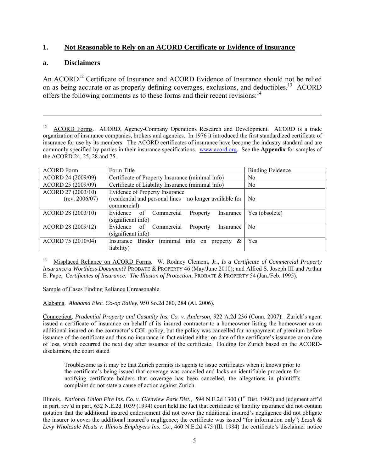#### **1. Not Reasonable to Rely on an ACORD Certificate or Evidence of Insurance**

#### **a. Disclaimers**

 $\overline{a}$ 

An ACORD<sup>12</sup> Certificate of Insurance and ACORD Evidence of Insurance should not be relied on as being accurate or as properly defining coverages, exclusions, and deductibles.<sup>13</sup> ACORD offers the following comments as to these forms and their recent revisions:<sup>14</sup>

<sup>12</sup> ACORD Forms. ACORD, Agency-Company Operations Research and Development. ACORD is a trade organization of insurance companies, brokers and agencies. In 1976 it introduced the first standardized certificate of insurance for use by its members. The ACORD certificates of insurance have become the industry standard and are commonly specified by parties in their insurance specifications. www.acord.org. See the **Appendix** for samples of the ACORD 24, 25, 28 and 75.

| <b>ACORD Form</b>                    | Form Title                                                                                                 | <b>Binding Evidence</b> |
|--------------------------------------|------------------------------------------------------------------------------------------------------------|-------------------------|
| ACORD 24 (2009/09)                   | Certificate of Property Insurance (minimal info)                                                           | No.                     |
| ACORD 25 (2009/09)                   | Certificate of Liability Insurance (minimal info)                                                          | No.                     |
| ACORD 27 (2003/10)<br>(rev. 2006/07) | Evidence of Property Insurance<br>(residential and personal lines – no longer available for<br>commercial) | N <sub>0</sub>          |
| ACORD 28 (2003/10)                   | Evidence of<br>Commercial<br>Property<br>Insurance<br>(significant info)                                   | Yes (obsolete)          |
| ACORD 28 (2009/12)                   | Evidence of<br>Commercial<br>Property<br>Insurance<br>(significant info)                                   | N <sub>0</sub>          |
| ACORD 75 (2010/04)                   | (minimal<br>info<br>Insurance Binder<br>&<br>property<br>on<br>liability)                                  | Yes                     |

13 Misplaced Reliance on ACORD Forms. W. Rodney Clement, Jr., *Is a Certificate of Commercial Property Insurance a Worthless Document?* PROBATE & PROPERTY 46 (May/June 2010); and Alfred S. Joseph III and Arthur E. Pape, *Certificates of Insurance: The Illusion of Protection*, PROBATE & PROPERTY 54 (Jan./Feb. 1995).

#### Sample of Cases Finding Reliance Unreasonable.

Alabama. *Alabama Elec. Co-op Bailey*, 950 So.2d 280, 284 (Al. 2006).

Connecticut. *Prudential Property and Casualty Ins. Co. v. Anderson*, 922 A.2d 236 (Conn. 2007). Zurich's agent issued a certificate of insurance on behalf of its insured contractor to a homeowner listing the homeowner as an additional insured on the contractor's CGL policy, but the policy was cancelled for nonpayment of premium before issuance of the certificate and thus no insurance in fact existed either on date of the certificate's issuance or on date of loss, which occurred the next day after issuance of the certificate. Holding for Zurich based on the ACORDdisclaimers, the court stated

Troublesome as it may be that Zurich permits its agents to issue certificates when it knows prior to the certificate's being issued that coverage was cancelled and lacks an identifiable procedure for notifying certificate holders that coverage has been cancelled, the allegations in plaintiff's complaint do not state a cause of action against Zurich.

Illinois. *National Union Fire Ins. Co. v. Glenview Park Dist.*, 594 N.E.2d 1300 (1<sup>st</sup> Dist. 1992) and judgment aff'd in part, rev'd in part, 632 N.E.2d 1039 (1994) court held the fact that certificate of liability insurance did not contain notation that the additional insured endorsement did not cover the additional insured's negligence did not obligate the insurer to cover the additional insured's negligence; the certificate was issued "for information only"; *Lezak & Levy Wholesale Meats v. Illinois Employers Ins. Co.*, 460 N.E.2d 475 (Ill. 1984) the certificate's disclaimer notice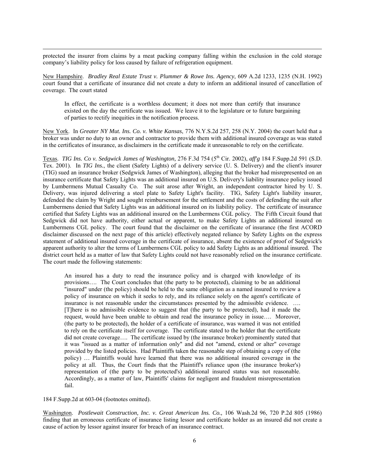protected the insurer from claims by a meat packing company falling within the exclusion in the cold storage company's liability policy for loss caused by failure of refrigeration equipment.

New Hampshire. *Bradley Real Estate Trust v. Plummer & Rowe Ins. Agency*, 609 A.2d 1233, 1235 (N.H. 1992) court found that a certificate of insurance did not create a duty to inform an additional insured of cancellation of coverage. The court stated

In effect, the certificate is a worthless document; it does not more than certify that insurance existed on the day the certificate was issued. We leave it to the legislature or to future bargaining of parties to rectify inequities in the notification process.

New York. In *Greater NY Mut. Ins. Co. v. White Kansas*, 776 N.Y.S.2d 257, 258 (N.Y. 2004) the court held that a broker was under no duty to an owner and contractor to provide them with additional insured coverage as was stated in the certificates of insurance, as disclaimers in the certificate made it unreasonable to rely on the certificate.

Texas. *TIG Ins. Co v. Sedgwick James of Washington,* 276 F.3d 754 (5<sup>th</sup> Cir. 2002), *aff'g* 184 F.Supp.2d 591 (S.D.) Tex. 2001). In *TIG Ins.*, the client (Safety Lights) of a delivery service (U. S. Delivery) and the client's insurer (TIG) sued an insurance broker (Sedgwick James of Washington), alleging that the broker had misrepresented on an insurance certificate that Safety Lights was an additional insured on U.S. Delivery's liability insurance policy issued by Lumbermens Mutual Casualty Co. The suit arose after Wright, an independent contractor hired by U. S. Delivery, was injured delivering a steel plate to Safety Light's facility. TIG, Safety Light's liability insurer, defended the claim by Wright and sought reimbursement for the settlement and the costs of defending the suit after Lumbermens denied that Safety Lights was an additional insured on its liability policy. The certificate of insurance certified that Safety Lights was an additional insured on the Lumbermens CGL policy. The Fifth Circuit found that Sedgwick did not have authority, either actual or apparent, to make Safety Lights an additional insured on Lumbermens CGL policy. The court found that the disclaimer on the certificate of insurance (the first ACORD disclaimer discussed on the next page of this article) effectively negated reliance by Safety Lights on the express statement of additional insured coverage in the certificate of insurance, absent the existence of proof of Sedgwick's apparent authority to alter the terms of Lumbermens CGL policy to add Safety Lights as an additional insured. The district court held as a matter of law that Safety Lights could not have reasonably relied on the insurance certificate. The court made the following statements:

An insured has a duty to read the insurance policy and is charged with knowledge of its provisions…. The Court concludes that (the party to be protected), claiming to be an additional "insured" under (the policy) should be held to the same obligation as a named insured to review a policy of insurance on which it seeks to rely, and its reliance solely on the agent's certificate of insurance is not reasonable under the circumstances presented by the admissible evidence. …. [T]here is no admissible evidence to suggest that (the party to be protected), had it made the request, would have been unable to obtain and read the insurance policy in issue…. Moreover, (the party to be protected), the holder of a certificate of insurance, was warned it was not entitled to rely on the certificate itself for coverage. The certificate stated to the holder that the certificate did not create coverage…. The certificate issued by (the insurance broker) prominently stated that it was "issued as a matter of information only" and did not "amend, extend or alter" coverage provided by the listed policies. Had Plaintiffs taken the reasonable step of obtaining a copy of (the policy) … Plaintiffs would have learned that there was no additional insured coverage in the policy at all. Thus, the Court finds that the Plaintiff's reliance upon (the insurance broker's) representation of (the party to be protected's) additional insured status was not reasonable. Accordingly, as a matter of law, Plaintiffs' claims for negligent and fraudulent misrepresentation fail.

184 F.Supp.2d at 603-04 (footnotes omitted).

Washington. *Postlewait Construction, Inc. v. Great American Ins. Co.,* 106 Wash.2d 96, 720 P.2d 805 (1986) finding that an erroneous certificate of insurance listing lessor and certificate holder as an insured did not create a cause of action by lessor against insurer for breach of an insurance contract.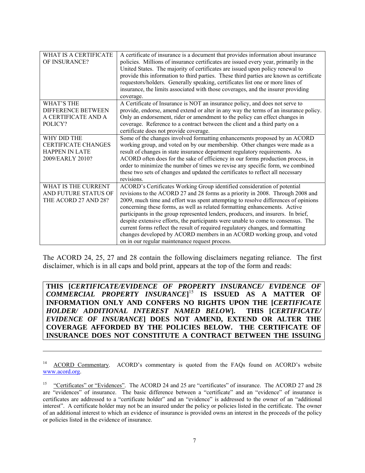| WHAT IS A CERTIFICATE<br>OF INSURANCE?                                                 | A certificate of insurance is a document that provides information about insurance<br>policies. Millions of insurance certificates are issued every year, primarily in the<br>United States. The majority of certificates are issued upon policy renewal to<br>provide this information to third parties. These third parties are known as certificate                                                                                                                                                                                                                                                                                                                                                                   |
|----------------------------------------------------------------------------------------|--------------------------------------------------------------------------------------------------------------------------------------------------------------------------------------------------------------------------------------------------------------------------------------------------------------------------------------------------------------------------------------------------------------------------------------------------------------------------------------------------------------------------------------------------------------------------------------------------------------------------------------------------------------------------------------------------------------------------|
|                                                                                        | requestors/holders. Generally speaking, certificates list one or more lines of<br>insurance, the limits associated with those coverages, and the insurer providing<br>coverage.                                                                                                                                                                                                                                                                                                                                                                                                                                                                                                                                          |
| <b>WHAT'S THE</b><br>DIFFERENCE BETWEEN<br>A CERTIFICATE AND A<br>POLICY?              | A Certificate of Insurance is NOT an insurance policy, and does not serve to<br>provide, endorse, amend extend or alter in any way the terms of an insurance policy.<br>Only an endorsement, rider or amendment to the policy can effect changes in<br>coverage. Reference to a contract between the client and a third party on a<br>certificate does not provide coverage.                                                                                                                                                                                                                                                                                                                                             |
| WHY DID THE<br><b>CERTIFICATE CHANGES</b><br><b>HAPPEN IN LATE</b><br>2009/EARLY 2010? | Some of the changes involved formatting enhancements proposed by an ACORD<br>working group, and voted on by our membership. Other changes were made as a<br>result of changes in state insurance department regulatory requirements. As<br>ACORD often does for the sake of efficiency in our forms production process, in<br>order to minimize the number of times we revise any specific form, we combined<br>these two sets of changes and updated the certificates to reflect all necessary<br>revisions.                                                                                                                                                                                                            |
| WHAT IS THE CURRENT<br>AND FUTURE STATUS OF<br>THE ACORD 27 AND 28?                    | ACORD's Certificates Working Group identified consideration of potential<br>revisions to the ACORD 27 and 28 forms as a priority in 2008. Through 2008 and<br>2009, much time and effort was spent attempting to resolve differences of opinions<br>concerning these forms, as well as related formatting enhancements. Active<br>participants in the group represented lenders, producers, and insurers. In brief,<br>despite extensive efforts, the participants were unable to come to consensus. The<br>current forms reflect the result of required regulatory changes, and formatting<br>changes developed by ACORD members in an ACORD working group, and voted<br>on in our regular maintenance request process. |

The ACORD 24, 25, 27 and 28 contain the following disclaimers negating reliance. The first disclaimer, which is in all caps and bold print, appears at the top of the form and reads:

**THIS [***CERTIFICATE/EVIDENCE OF PROPERTY INSURANCE/ EVIDENCE OF COMMERCIAL PROPERTY INSURANCE***]** <sup>15</sup> **IS ISSUED AS A MATTER OF INFORMATION ONLY AND CONFERS NO RIGHTS UPON THE [***CERTIFICATE HOLDER/ ADDITIONAL INTEREST NAMED BELOW***]. THIS [***CERTIFICATE/ EVIDENCE OF INSURANCE***] DOES NOT AMEND, EXTEND OR ALTER THE COVERAGE AFFORDED BY THE POLICIES BELOW. THE CERTIFICATE OF INSURANCE DOES NOT CONSTITUTE A CONTRACT BETWEEN THE ISSUING** 

 $\overline{a}$ 

<sup>&</sup>lt;sup>14</sup> ACORD Commentary. ACORD's commentary is quoted from the FAQs found on ACORD's website www.acord.org.

<sup>&</sup>lt;sup>15</sup> "Certificates" or "Evidences". The ACORD 24 and 25 are "certificates" of insurance. The ACORD 27 and 28 are "evidences" of insurance. The basic difference between a "certificate" and an "evidence" of insurance is certificates are addressed to a "certificate holder" and an "evidence" is addressed to the owner of an "additional interest". A certificate holder may not be an insured under the policy or policies listed in the certificate. The owner of an additional interest to which an evidence of insurance is provided owns an interest in the proceeds of the policy or policies listed in the evidence of insurance.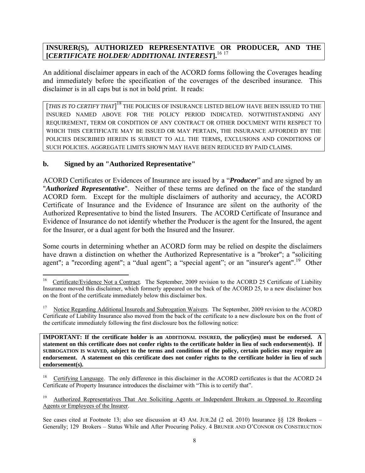#### **INSURER(S), AUTHORIZED REPRESENTATIVE OR PRODUCER, AND THE [***CERTIFICATE HOLDER/ ADDITIONAL INTEREST***].**<sup>16</sup> <sup>17</sup>

An additional disclaimer appears in each of the ACORD forms following the Coverages heading and immediately before the specification of the coverages of the described insurance. This disclaimer is in all caps but is not in bold print. It reads:

[*THIS IS TO CERTIFY THAT*]<sup>18</sup> THE POLICIES OF INSURANCE LISTED BELOW HAVE BEEN ISSUED TO THE INSURED NAMED ABOVE FOR THE POLICY PERIOD INDICATED. NOTWITHSTANDING ANY REQUIREMENT, TERM OR CONDITION OF ANY CONTRACT OR OTHER DOCUMENT WITH RESPECT TO WHICH THIS CERTIFICATE MAY BE ISSUED OR MAY PERTAIN, THE INSURANCE AFFORDED BY THE POLICIES DESCRIBED HEREIN IS SUBJECT TO ALL THE TERMS, EXCLUSIONS AND CONDITIONS OF SUCH POLICIES. AGGREGATE LIMITS SHOWN MAY HAVE BEEN REDUCED BY PAID CLAIMS.

#### **b. Signed by an "Authorized Representative"**

ACORD Certificates or Evidences of Insurance are issued by a "*Producer*" and are signed by an "*Authorized Representative*". Neither of these terms are defined on the face of the standard ACORD form. Except for the multiple disclaimers of authority and accuracy, the ACORD Certificate of Insurance and the Evidence of Insurance are silent on the authority of the Authorized Representative to bind the listed Insurers. The ACORD Certificate of Insurance and Evidence of Insurance do not identify whether the Producer is the agent for the Insured, the agent for the Insurer, or a dual agent for both the Insured and the Insurer.

Some courts in determining whether an ACORD form may be relied on despite the disclaimers have drawn a distinction on whether the Authorized Representative is a "broker"; a "soliciting agent"; a "recording agent"; a "dual agent"; a "special agent"; or an "insurer's agent".<sup>19</sup> Other

 $16\,$ 16 Certificate/Evidence Not a Contract. The September, 2009 revision to the ACORD 25 Certificate of Liability Insurance moved this disclaimer, which formerly appeared on the back of the ACORD 25, to a new disclaimer box on the front of the certificate immediately below this disclaimer box.

<sup>17</sup> Notice Regarding Additional Insureds and Subrogation Waivers. The September, 2009 revision to the ACORD Certificate of Liability Insurance also moved from the back of the certificate to a new disclosure box on the front of the certificate immediately following the first disclosure box the following notice:

**IMPORTANT: If the certificate holder is an ADDITIONAL INSURED, the policy(ies) must be endorsed. A statement on this certificate does not confer rights to the certificate holder in lieu of such endorsement(s). If SUBROGATION IS WAIVED, subject to the terms and conditions of the policy, certain policies may require an endorsement. A statement on this certificate does not confer rights to the certificate holder in lieu of such endorsement(s).** 

<sup>18</sup> Certifying Language. The only difference in this disclaimer in the ACORD certificates is that the ACORD 24 Certificate of Property Insurance introduces the disclaimer with "This is to certify that".

<sup>19</sup> Authorized Representatives That Are Soliciting Agents or Independent Brokers as Opposed to Recording Agents or Employees of the Insurer.

See cases cited at Footnote 13; also see discussion at 43 AM. JUR.2d (2 ed. 2010) Insurance §§ 128 Brokers – Generally; 129 Brokers – Status While and After Procuring Policy. 4 BRUNER AND O'CONNOR ON CONSTRUCTION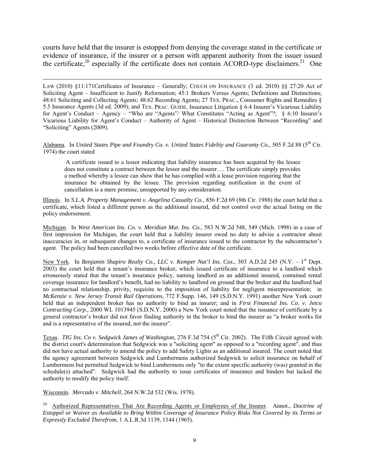courts have held that the insurer is estopped from denying the coverage stated in the certificate or evidence of insurance, if the insurer or a person with apparent authority from the issuer issued the certificate,<sup>20</sup> especially if the certificate does not contain ACORD-type disclaimers.<sup>21</sup> One

LAW (2010) §11:171Certificates of Insurance – Generally; COUCH ON INSURANCE (3 ed. 2010) §§ 27:20 Act of Soliciting Agent – Insufficient to Justify Reformation; 45:1 Brokers Versus Agents; Definitions and Distinctions; 48:61 Soliciting and Collecting Agents; 48:62 Recording Agents; 27 TEX. PRAC., Consumer Rights and Remedies § 5.5 Insurance Agents (3d ed. 2009); and TEX. PRAC. GUIDE, Insurance Litigation § 6:4 Insurer's Vicarious Liability for Agent's Conduct – Agency – "Who are "Agents"/ What Constitutes "Acting as Agent"?; § 6:10 Insurer's Vicarious Liability for Agent's Conduct – Authority of Agent – Historical Distinction Between "Recording" and "Soliciting" Agents (2009).

Alabama. In *United States Pipe and Foundry Co. v. United States Fidelity and Guaranty Co.*, 505 F.2d 88 (5<sup>th</sup> Cir. 1974) the court stated

 A certificate issued to a lessor indicating that liability insurance has been acquired by the lessee does not constitute a contract between the lessor and the insurer…. The certificate simply provides a method whereby a lessee can show that he has complied with a lease provision requiring that the insurance be obtained by the lessee. The provision regarding notification in the event of cancellation is a mere promise, unsupported by any consideration.

Illinois. In *S.L.A. Property Management v. Angelina Casualty Co.*, 856 F.2d 69 (8th Cir. 1988) the court held that a certificate, which listed a different person as the additional insured, did not control over the actual listing on the policy endorsement.

Michigan. In *West American Ins. Co. v. Meridian Mut. Ins. Co.*, 583 N.W.2d 548, 549 (Mich. 1998) in a case of first impression for Michigan, the court held that a liability insurer owed no duty to advise a contractor about inaccuracies in, or subsequent changes to, a certificate of insurance issued to the contractor by the subcontractor's agent. The policy had been cancelled two weeks before effective date of the certificate.

New York. In *Benjamin Shapiro Realty Co., LLC v. Kemper Nat'l Ins. Cos.*, 303 A.D.2d 245 (N.Y. – 1<sup>st</sup> Dept. 2003) the court held that a tenant's insurance broker, which issued certificate of insurance to a landlord which erroneously stated that the tenant's insurance policy, naming landlord as an additional insured, contained rental coverage insurance for landlord's benefit, had no liability to landlord on ground that the broker and the landlord had no contractual relationship, privity, requisite to the imposition of liability for negligent misrepresentation; in *McKenzie v. New Jersey Transit Rail Operations*, 772 F.Supp. 146, 149 (S.D.N.Y. 1991) another New York court held that an independent broker has no authority to bind an insurer; and in *First Financial Ins. Co. v. Jetco Contracting Corp.*, 2000 WL 1013945 (S.D.N.Y. 2000) a New York court noted that the issuance of certificate by a general contractor's broker did not favor finding authority in the broker to bind the insurer as "a broker works for and is a representative of the insured, not the insurer".

Texas. *TIG Ins. Co v. Sedgwick James of Washington*, 276 F.3d 754 (5<sup>th</sup> Cir. 2002). The Fifth Circuit agreed with the district court's determination that Sedgwick was a "soliciting agent" as opposed to a "recording agent", and thus did not have actual authority to amend the policy to add Safety Lights as an additional insured. The court noted that the agency agreement between Sedgwick and Lumbermens authorized Sedgwick to solicit insurance on behalf of Lumbermens but permitted Sedgwick to bind Lumbermens only "to the extent specific authority (was) granted in the schedule(s) attached". Sedgwick had the authority to issue certificates of insurance and binders but lacked the authority to modify the policy itself.

Wisconsin. *Mercado v. Mitchell*, 264 N.W.2d 532 (Wis. 1978).

20 Authorized Representatives That Are Recording Agents or Employees of the Insurer. Annot., *Doctrine of Estoppel or Waiver as Available to Bring Within Coverage of Insurance Policy Risks Not Covered by its Terms or Expressly Excluded Therefrom*, 1 A.L.R.3d 1139, 1144 (1965).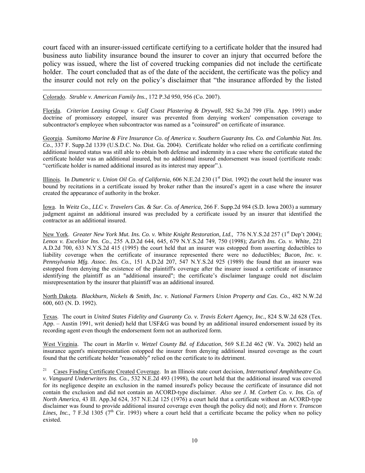court faced with an insurer-issued certificate certifying to a certificate holder that the insured had business auto liability insurance bound the insurer to cover an injury that occurred before the policy was issued, where the list of covered trucking companies did not include the certificate holder. The court concluded that as of the date of the accident, the certificate was the policy and the insurer could not rely on the policy's disclaimer that "the insurance afforded by the listed

Colorado. *Struble v. American Family Ins.*, 172 P.3d 950, 956 (Co. 2007).

Florida. *Criterion Leasing Group v. Gulf Coast Plastering & Drywall*, 582 So.2d 799 (Fla. App. 1991) under doctrine of promissory estoppel, insurer was prevented from denying workers' compensation coverage to subcontractor's employee when subcontractor was named as a "coinsured" on certificate of insurance.

Georgia. *Sumitomo Marine & Fire Insurance Co. of America v. Southern Guaranty Ins. Co. and Columbia Nat. Ins. Co.*, 337 F. Supp.2d 1339 (U.S.D.C. No. Dist. Ga. 2004). Certificate holder who relied on a certificate confirming additional insured status was still able to obtain both defense and indemnity in a case where the certificate stated the certificate holder was an additional insured, but no additional insured endorsement was issued (certificate reads: "certificate holder is named additional insured as its interest may appear".).

Illinois. In *Dumenric v. Union Oil Co. of California*, 606 N.E.2d 230 (1<sup>st</sup> Dist. 1992) the court held the insurer was bound by recitations in a certificate issued by broker rather than the insured's agent in a case where the insurer created the appearance of authority in the broker.

Iowa. In *Weitz Co., LLC v. Travelers Cas. & Sur. Co. of America*, 266 F. Supp.2d 984 (S.D. Iowa 2003) a summary judgment against an additional insured was precluded by a certificate issued by an insurer that identified the contractor as an additional insured.

New York. *Greater New York Mut. Ins. Co. v. White Knight Restoration, Ltd., 776* N.Y.S.2d 257 (1<sup>st</sup> Dep't 2004); *Lenox v. Excelsior Ins. Co.*, 255 A.D.2d 644, 645, 679 N.Y.S.2d 749, 750 (1998); *Zurich Ins. Co. v. White*, 221 A.D.2d 700, 633 N.Y.S.2d 415 (1995) the court held that an insurer was estopped from asserting deductibles to liability coverage when the certificate of insurance represented there were no deductibles; *Bucon, Inc. v. Pennsylvania Mfg. Assoc. Ins. Co.*, 151 A.D.2d 207, 547 N.Y.S.2d 925 (1989) the found that an insurer was estopped from denying the existence of the plaintiff's coverage after the insurer issued a certificate of insurance identifying the plaintiff as an "additional insured"; the certificate's disclaimer language could not disclaim misrepresentation by the insurer that plaintiff was an additional insured.

North Dakota. *Blackburn, Nickels & Smith, Inc. v. National Farmers Union Property and Cas. Co.*, 482 N.W.2d 600, 603 (N. D. 1992).

Texas. The court in *United States Fidelity and Guaranty Co. v. Travis Eckert Agency, Inc.*, 824 S.W.2d 628 (Tex. App. – Austin 1991, writ denied) held that USF&G was bound by an additional insured endorsement issued by its recording agent even though the endorsement form not an authorized form.

West Virginia. The court in *Marlin v. Wetzel County Bd. of Education*, 569 S.E.2d 462 (W. Va. 2002) held an insurance agent's misrepresentation estopped the insurer from denying additional insured coverage as the court found that the certificate holder "reasonably" relied on the certificate to its detriment.

21 Cases Finding Certificate Created Coverage. In an Illinois state court decision, *International Amphitheatre Co. v. Vanguard Underwriters Ins. Co.*, 532 N.E.2d 493 (1998), the court held that the additional insured was covered for its negligence despite an exclusion in the named insured's policy because the certificate of insurance did not contain the exclusion and did not contain an ACORD-type disclaimer. *Also see J. M. Corbett Co. v. Ins. Co. of North America*, 43 Ill. App.3d 624, 357 N.E.2d 125 (1976) a court held that a certificate without an ACORD-type disclaimer was found to provide additional insured coverage even though the policy did not); and *Horn v. Transcon Lines, Inc.*, 7 F.3d 1305 ( $7<sup>th</sup>$  Cir. 1993) where a court held that a certificate became the policy when no policy existed.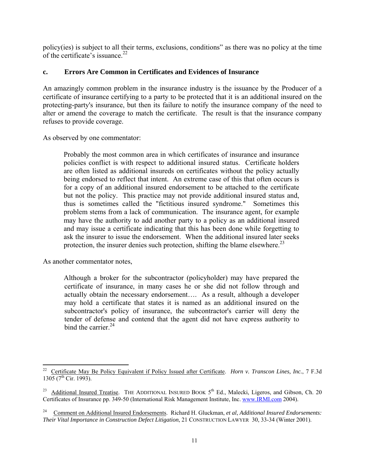policy(ies) is subject to all their terms, exclusions, conditions" as there was no policy at the time of the certificate's issuance. $^{22}$ 

#### **c. Errors Are Common in Certificates and Evidences of Insurance**

An amazingly common problem in the insurance industry is the issuance by the Producer of a certificate of insurance certifying to a party to be protected that it is an additional insured on the protecting-party's insurance, but then its failure to notify the insurance company of the need to alter or amend the coverage to match the certificate. The result is that the insurance company refuses to provide coverage.

As observed by one commentator:

Probably the most common area in which certificates of insurance and insurance policies conflict is with respect to additional insured status. Certificate holders are often listed as additional insureds on certificates without the policy actually being endorsed to reflect that intent. An extreme case of this that often occurs is for a copy of an additional insured endorsement to be attached to the certificate but not the policy. This practice may not provide additional insured status and, thus is sometimes called the "fictitious insured syndrome." Sometimes this problem stems from a lack of communication. The insurance agent, for example may have the authority to add another party to a policy as an additional insured and may issue a certificate indicating that this has been done while forgetting to ask the insurer to issue the endorsement. When the additional insured later seeks protection, the insurer denies such protection, shifting the blame elsewhere.<sup>23</sup>

As another commentator notes,

Although a broker for the subcontractor (policyholder) may have prepared the certificate of insurance, in many cases he or she did not follow through and actually obtain the necessary endorsement…. As a result, although a developer may hold a certificate that states it is named as an additional insured on the subcontractor's policy of insurance, the subcontractor's carrier will deny the tender of defense and contend that the agent did not have express authority to bind the carrier  $^{24}$ .

 $\overline{a}$ 22 Certificate May Be Policy Equivalent if Policy Issued after Certificate. *Horn v. Transcon Lines, Inc.*, 7 F.3d 1305 ( $7^{\text{th}}$  Cir. 1993).

<sup>&</sup>lt;sup>23</sup> Additional Insured Treatise. THE ADDITIONAL INSURED BOOK 5<sup>th</sup> Ed., Malecki, Ligeros, and Gibson, Ch. 20 Certificates of Insurance pp. 349-50 (International Risk Management Institute, Inc. www.IRMI.com 2004).

<sup>24</sup> Comment on Additional Insured Endorsements. Richard H. Gluckman, *et al*, *Additional Insured Endorsements: Their Vital Importance in Construction Defect Litigation*, 21 CONSTRUCTION LAWYER 30, 33-34 (Winter 2001).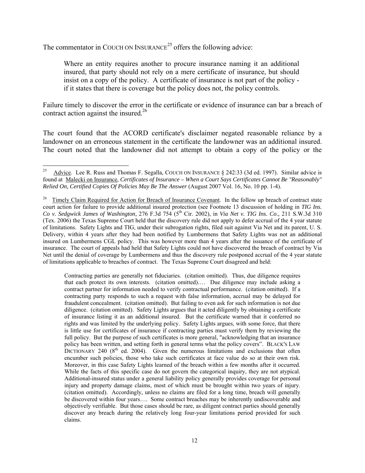The commentator in COUCH ON INSURANCE<sup>25</sup> offers the following advice:

Where an entity requires another to procure insurance naming it an additional insured, that party should not rely on a mere certificate of insurance, but should insist on a copy of the policy. A certificate of insurance is not part of the policy if it states that there is coverage but the policy does not, the policy controls.

Failure timely to discover the error in the certificate or evidence of insurance can bar a breach of contract action against the insured.<sup>26</sup>

The court found that the ACORD certificate's disclaimer negated reasonable reliance by a landowner on an erroneous statement in the certificate the landowner was an additional insured. The court noted that the landowner did not attempt to obtain a copy of the policy or the

Contracting parties are generally not fiduciaries. (citation omitted). Thus, due diligence requires that each protect its own interests. (citation omitted).… Due diligence may include asking a contract partner for information needed to verify contractual performance. (citation omitted). If a contracting party responds to such a request with false information, accrual may be delayed for fraudulent concealment. (citation omitted). But failing to even ask for such information is not due diligence. (citation omitted). Safety Lights argues that it acted diligently by obtaining a certificate of insurance listing it as an additional insured. But the certificate warned that it conferred no rights and was limited by the underlying policy. Safety Lights argues, with some force, that there is little use for certificates of insurance if contracting parties must verify them by reviewing the full policy. But the purpose of such certificates is more general, "acknowledging that an insurance policy has been written, and setting forth in general terms what the policy covers". BLACK'S LAW DICTIONARY 240  $(8<sup>th</sup>$  ed. 2004). Given the numerous limitations and exclusions that often encumber such policies, those who take such certificates at face value do so at their own risk. Moreover, in this case Safety Lights learned of the breach within a few months after it occurred. While the facts of this specific case do not govern the categorical inquiry, they are not atypical. Additional-insured status under a general liability policy generally provides coverage for personal injury and property damage claims, most of which must be brought within two years of injury. (citation omitted). Accordingly, unless no claims are filed for a long time, breach will generally be discovered within four years…. Some contract breaches may be inherently undiscoverable and objectively verifiable. But those cases should be rare, as diligent contract parties should generally discover any breach during the relatively long four-year limitations period provided for such claims.

<sup>25</sup> Advice. Lee R. Russ and Thomas F. Segalla, COUCH ON INSURANCE § 242:33 (3d ed. 1997). Similar advice is found at Malecki on Insurance, *Certificates of Insurance – When a Court Says Certificates Cannot Be "Reasonably" Relied On, Certified Copies Of Policies May Be The Answer* (August 2007 Vol. 16, No. 10 pp. 1-4).

<sup>&</sup>lt;sup>26</sup> Timely Claim Required for Action for Breach of Insurance Covenant. In the follow up breach of contract state court action for failure to provide additional insured protection (see Footnote 13 discussion of holding in *TIG Ins. Co v. Sedgwick James of Washington,* 276 F.3d 754 (5<sup>th</sup> Cir. 2002), in *Via Net v. TIG Ins. Co.*, 211 S.W.3d 310 (Tex. 2006) the Texas Supreme Court held that the discovery rule did not apply to defer accrual of the 4 year statute of limitations. Safety Lights and TIG, under their subrogation rights, filed suit against Via Net and its parent, U. S. Delivery, within 4 years after they had been notified by Lumbermens that Safety Lights was not an additional insured on Lumbermens CGL policy. This was however more than 4 years after the issuance of the certificate of insurance. The court of appeals had held that Safety Lights could not have discovered the breach of contract by Via Net until the denial of coverage by Lumbermens and thus the discovery rule postponed accrual of the 4 year statute of limitations applicable to breaches of contract. The Texas Supreme Court disagreed and held: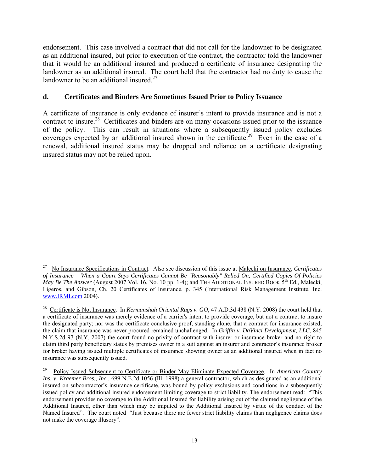endorsement. This case involved a contract that did not call for the landowner to be designated as an additional insured, but prior to execution of the contract, the contractor told the landowner that it would be an additional insured and produced a certificate of insurance designating the landowner as an additional insured. The court held that the contractor had no duty to cause the landowner to be an additional insured. $27$ 

#### **d. Certificates and Binders Are Sometimes Issued Prior to Policy Issuance**

A certificate of insurance is only evidence of insurer's intent to provide insurance and is not a contract to insure.<sup>28</sup> Certificates and binders are on many occasions issued prior to the issuance of the policy. This can result in situations where a subsequently issued policy excludes coverages expected by an additional insured shown in the certificate.<sup>29</sup> Even in the case of a renewal, additional insured status may be dropped and reliance on a certificate designating insured status may not be relied upon.

 $27\,$ 27 No Insurance Specifications in Contract. Also see discussion of this issue at Malecki on Insurance, *Certificates of Insurance – When a Court Says Certificates Cannot Be "Reasonably" Relied On, Certified Copies Of Policies May Be The Answer* (August 2007 Vol. 16, No. 10 pp. 1-4); and THE ADDITIONAL INSURED BOOK  $5<sup>th</sup>$  Ed., Malecki, Ligeros, and Gibson, Ch. 20 Certificates of Insurance, p. 345 (International Risk Management Institute, Inc. www.IRMI.com 2004).

<sup>&</sup>lt;sup>28</sup> Certificate i<u>s Not Insurance</u>. In *Kermanshah Oriental Rugs v. GO*, 47 A.D.3d 438 (N.Y. 2008) the court held that a certificate of insurance was merely evidence of a carrier's intent to provide coverage, but not a contract to insure the designated party; nor was the certificate conclusive proof, standing alone, that a contract for insurance existed; the claim that insurance was never procured remained unchallenged. In *Griffin v. DaVinci Development, LLC*, 845 N.Y.S.2d 97 (N.Y. 2007) the court found no privity of contract with insurer or insurance broker and no right to claim third party beneficiary status by premises owner in a suit against an insurer and contractor's insurance broker for broker having issued multiple certificates of insurance showing owner as an additional insured when in fact no insurance was subsequently issued.

<sup>29</sup> Policy Issued Subsequent to Certificate or Binder May Eliminate Expected Coverage. In *American Country Ins. v. Kraemer Bros., Inc.*, 699 N.E.2d 1056 (Ill. 1998) a general contractor, which as designated as an additional insured on subcontractor's insurance certificate, was bound by policy exclusions and conditions in a subsequently issued policy and additional insured endorsement limiting coverage to strict liability. The endorsement read: "This endorsement provides no coverage to the Additional Insured for liability arising out of the claimed negligence of the Additional Insured, other than which may be imputed to the Additional Insured by virtue of the conduct of the Named Insured". The court noted "Just because there are fewer strict liability claims than negligence claims does not make the coverage illusory".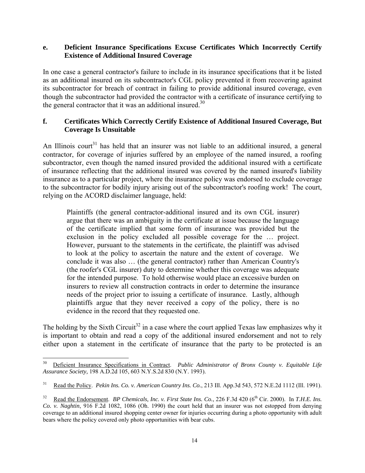#### **e. Deficient Insurance Specifications Excuse Certificates Which Incorrectly Certify Existence of Additional Insured Coverage**

In one case a general contractor's failure to include in its insurance specifications that it be listed as an additional insured on its subcontractor's CGL policy prevented it from recovering against its subcontractor for breach of contract in failing to provide additional insured coverage, even though the subcontractor had provided the contractor with a certificate of insurance certifying to the general contractor that it was an additional insured.<sup>30</sup>

#### **f. Certificates Which Correctly Certify Existence of Additional Insured Coverage, But Coverage Is Unsuitable**

An Illinois court<sup>31</sup> has held that an insurer was not liable to an additional insured, a general contractor, for coverage of injuries suffered by an employee of the named insured, a roofing subcontractor, even though the named insured provided the additional insured with a certificate of insurance reflecting that the additional insured was covered by the named insured's liability insurance as to a particular project, where the insurance policy was endorsed to exclude coverage to the subcontractor for bodily injury arising out of the subcontractor's roofing work! The court, relying on the ACORD disclaimer language, held:

Plaintiffs (the general contractor-additional insured and its own CGL insurer) argue that there was an ambiguity in the certificate at issue because the language of the certificate implied that some form of insurance was provided but the exclusion in the policy excluded all possible coverage for the … project. However, pursuant to the statements in the certificate, the plaintiff was advised to look at the policy to ascertain the nature and the extent of coverage. We conclude it was also … (the general contractor) rather than American Country's (the roofer's CGL insurer) duty to determine whether this coverage was adequate for the intended purpose. To hold otherwise would place an excessive burden on insurers to review all construction contracts in order to determine the insurance needs of the project prior to issuing a certificate of insurance. Lastly, although plaintiffs argue that they never received a copy of the policy, there is no evidence in the record that they requested one.

The holding by the Sixth Circuit<sup>32</sup> in a case where the court applied Texas law emphasizes why it is important to obtain and read a copy of the additional insured endorsement and not to rely either upon a statement in the certificate of insurance that the party to be protected is an

 $\overline{a}$ 

<sup>&</sup>lt;sup>30</sup> Deficient Insurance Specifications in Contract. *Public Administrator of Bronx County v. Equitable Life Assurance Society,* 198 A.D.2d 105, 603 N.Y.S.2d 830 (N.Y. 1993).

<sup>31</sup> Read the Policy. *Pekin Ins. Co. v. American Country Ins. Co.*, 213 Ill. App.3d 543, 572 N.E.2d 1112 (Ill. 1991).

<sup>&</sup>lt;sup>32</sup> Read the Endorsement. *BP Chemicals, Inc. v. First State Ins. Co.*, 226 F.3d 420 (6<sup>th</sup> Cir. 2000). In *T.H.E. Ins. Co. v. Naghtin*, 916 F.2d 1082, 1086 (Oh. 1990) the court held that an insurer was not estopped from denying coverage to an additional insured shopping center owner for injuries occurring during a photo opportunity with adult bears where the policy covered only photo opportunities with bear cubs.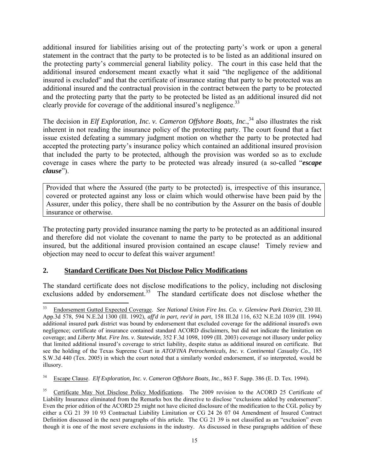additional insured for liabilities arising out of the protecting party's work or upon a general statement in the contract that the party to be protected is to be listed as an additional insured on the protecting party's commercial general liability policy. The court in this case held that the additional insured endorsement meant exactly what it said "the negligence of the additional insured is excluded" and that the certificate of insurance stating that party to be protected was an additional insured and the contractual provision in the contract between the party to be protected and the protecting party that the party to be protected be listed as an additional insured did not clearly provide for coverage of the additional insured's negligence.<sup>33</sup>

The decision in *Elf Exploration, Inc. v. Cameron Offshore Boats, Inc.*<sup>34</sup> also illustrates the risk inherent in not reading the insurance policy of the protecting party. The court found that a fact issue existed defeating a summary judgment motion on whether the party to be protected had accepted the protecting party's insurance policy which contained an additional insured provision that included the party to be protected, although the provision was worded so as to exclude coverage in cases where the party to be protected was already insured (a so-called "*escape clause*").

Provided that where the Assured (the party to be protected) is, irrespective of this insurance, covered or protected against any loss or claim which would otherwise have been paid by the Assurer, under this policy, there shall be no contribution by the Assurer on the basis of double insurance or otherwise.

The protecting party provided insurance naming the party to be protected as an additional insured and therefore did not violate the covenant to name the party to be protected as an additional insured, but the additional insured provision contained an escape clause! Timely review and objection may need to occur to defeat this waiver argument!

#### **2. Standard Certificate Does Not Disclose Policy Modifications**

The standard certificate does not disclose modifications to the policy, including not disclosing exclusions added by endorsement.<sup>35</sup> The standard certificate does not disclose whether the

<sup>33</sup> 33 Endorsement Gutted Expected Coverage. *See National Union Fire Ins. Co. v. Glenview Park District*, 230 Ill. App.3d 578, 594 N.E.2d 1300 (Ill. 1992), *aff'd in part, rev'd in part*, 158 Ill.2d 116, 632 N.E.2d 1039 (Ill. 1994) additional insured park district was bound by endorsement that excluded coverage for the additional insured's own negligence; certificate of insurance contained standard ACORD disclaimers, but did not indicate the limitation on coverage; and *Liberty Mut. Fire Ins. v. Statewide*, 352 F.3d 1098, 1099 (Ill. 2003) coverage not illusory under policy that limited additional insured's coverage to strict liability, despite status as additional insured on certificate. But see the holding of the Texas Supreme Court in *ATOFINA Petrochemicals, Inc. v. Continental Casualty Co.*, 185 S.W.3d 440 (Tex. 2005) in which the court noted that a similarly worded endorsement, if so interpreted, would be illusory.

<sup>34</sup> Escape Clause. *Elf Exploration, Inc. v. Cameron Offshore Boats, Inc.*, 863 F. Supp. 386 (E. D. Tex. 1994).

<sup>35</sup> Certificate May Not Disclose Policy Modifications. The 2009 revision to the ACORD 25 Certificate of Liability Insurance eliminated from the Remarks box the directive to disclose "exclusions added by endorsement". Even the prior edition of the ACORD 25 might not have elicited disclosure of the modification to the CGL policy by either a CG 21 39 10 93 Contractual Liability Limitation or CG 24 26 07 04 Amendment of Insured Contract Definition discussed in the next paragraphs of this article. The CG 21 39 is not classified as an "exclusion" even though it is one of the most severe exclusions in the industry. As discussed in these paragraphs addition of these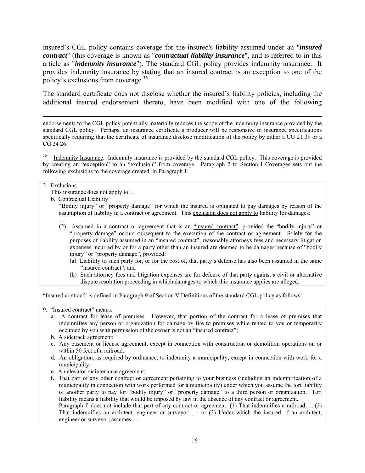insured's CGL policy contains coverage for the insured's liability assumed under an "*insured contract*" (this coverage is known as "*contractual liability insurance*", and is referred to in this article as "*indemnity insurance*"). The standard CGL policy provides indemnity insurance. It provides indemnity insurance by stating that an insured contract is an exception to one of the policy's exclusions from coverage.  $36$ 

The standard certificate does not disclose whether the insured's liability policies, including the additional insured endorsement thereto, have been modified with one of the following

 endorsements to the CGL policy potentially materially reduces the scope of the indemnity insurance provided by the standard CGL policy. Perhaps, an insurance certificate's producer will be responsive to insurance specifications specifically requiring that the certificate of insurance disclose modification of the policy by either a CG 21 39 or a CG 24 26.

<sup>36</sup> Indemnity Insurance. Indemnity insurance is provided by the standard CGL policy. This coverage is provided by creating an "exception" to an "exclusion" from coverage. Paragraph 2 to Section I Coverages sets out the following exclusions to the coverage created in Paragraph 1:

#### 2. Exclusions

This insurance does not apply to:…

b. Contractual Liability

"Bodily injury" or "property damage" for which the insured is obligated to pay damages by reason of the assumption of liability in a contract or agreement. This exclusion does not apply to liability for damages:

- … (2) Assumed in a contract or agreement that is an "insured contract", provided the "bodily injury" or "property damage" occurs subsequent to the execution of the contract or agreement. Solely for the purposes of liability assumed in an "insured contract", reasonably attorneys fees and necessary litigation expenses incurred by or for a party other than an insured are deemed to be damages because of "bodily injury" or "property damage", provided:
	- (a) Liability to such party for, or for the cost of, that party's defense has also been assumed in the same "insured contract"; and
	- (b) Such attorney fees and litigation expenses are for defense of that party against a civil or alternative dispute resolution proceeding in which damages to which this insurance applies are alleged.

"Insured contract" is defined in Paragraph 9 of Section V Definitions of the standard CGL policy as follows:

9. "Insured contract" means:

- a. A contract for lease of premises. However, that portion of the contract for a lease of premises that indemnifies any person or organization for damage by fire to premises while rented to you or temporarily occupied by you with permission of the owner is not an "insured contract";
- b. A sidetrack agreement;
- c. Any easement or license agreement, except in connection with construction or demolition operations on or within 50 feet of a railroad.
- d. An obligation, as required by ordinance, to indemnity a municipality, except in connection with work for a municipality;
- e. An elevator maintenance agreement;

engineer or surveyor, assumes ….

**f.** That part of any other contract or agreement pertaining to your business (including an indemnification of a municipality in connection with work performed for a municipality) under which you assume the tort liability of another party to pay for "bodily injury" or "property damage" to a third person or organization. Tort liability means a liability that would be imposed by law in the absence of any contract or agreement. Paragraph f. does not include that part of any contract or agreement: (1) That indemnifies a railroad...; (2) That indemnifies an architect, engineer or surveyor …; or (3) Under which the insured, if an architect,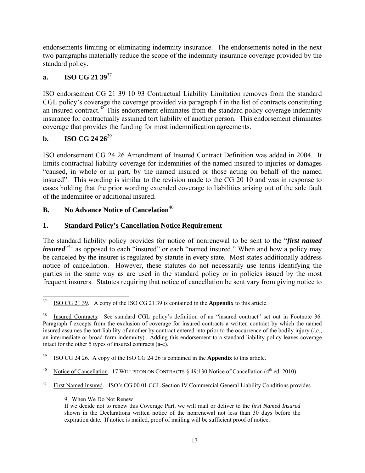endorsements limiting or eliminating indemnity insurance. The endorsements noted in the next two paragraphs materially reduce the scope of the indemnity insurance coverage provided by the standard policy.

#### **a. ISO CG 21 39**<sup>37</sup>

ISO endorsement CG 21 39 10 93 Contractual Liability Limitation removes from the standard CGL policy's coverage the coverage provided via paragraph f in the list of contracts constituting an insured contract.<sup>38</sup> This endorsement eliminates from the standard policy coverage indemnity insurance for contractually assumed tort liability of another person. This endorsement eliminates coverage that provides the funding for most indemnification agreements.

### **b. ISO CG 24 26**<sup>39</sup>

ISO endorsement CG 24 26 Amendment of Insured Contract Definition was added in 2004. It limits contractual liability coverage for indemnities of the named insured to injuries or damages "caused, in whole or in part, by the named insured or those acting on behalf of the named insured". This wording is similar to the revision made to the CG 20 10 and was in response to cases holding that the prior wording extended coverage to liabilities arising out of the sole fault of the indemnitee or additional insured.

#### **B.** No Advance Notice of Cancelation<sup>40</sup>

### **1. Standard Policy's Cancellation Notice Requirement**

The standard liability policy provides for notice of nonrenewal to be sent to the "*first named insured*<sup>241</sup> as opposed to each "insured" or each "named insured." When and how a policy may be canceled by the insurer is regulated by statute in every state. Most states additionally address notice of cancellation. However, these statutes do not necessarily use terms identifying the parties in the same way as are used in the standard policy or in policies issued by the most frequent insurers. Statutes requiring that notice of cancellation be sent vary from giving notice to

9. When We Do Not Renew

<sup>37</sup> 37 ISO CG 21 39. A copy of the ISO CG 21 39 is contained in the **Appendix** to this article.

<sup>38</sup> Insured Contracts. See standard CGL policy's definition of an "insured contract" set out in Footnote 36. Paragraph f excepts from the exclusion of coverage for insured contracts a written contract by which the named insured assumes the tort liability of another by contract entered into prior to the occurrence of the bodily injury (*i.e.*, an intermediate or broad form indemnity). Adding this endorsement to a standard liability policy leaves coverage intact for the other 5 types of insured contracts (a-e).

<sup>39</sup> ISO CG 24 26. A copy of the ISO CG 24 26 is contained in the **Appendix** to this article.

<sup>&</sup>lt;sup>40</sup> Notice of Cancellation. 17 WILLISTON ON CONTRACTS § 49:130 Notice of Cancellation (4<sup>th</sup> ed. 2010).

<sup>&</sup>lt;sup>41</sup> First Named Insured. ISO's CG 00 01 CGL Section IV Commercial General Liability Conditions provides

If we decide not to renew this Coverage Part, we will mail or deliver to the *first Named Insured* shown in the Declarations written notice of the nonrenewal not less than 30 days before the expiration date. If notice is mailed, proof of mailing will be sufficient proof of notice.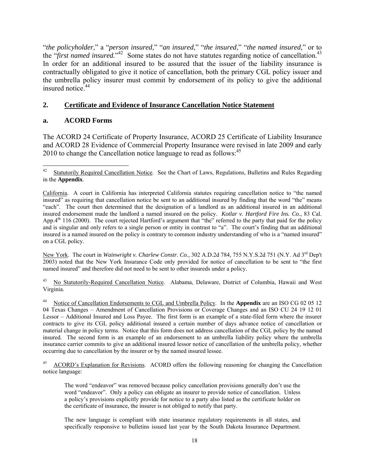"*the policyholder*," a "*person insured*," "*an insured*," "*the insured*," "*the named insured*," or to the "first named insured."<sup>42</sup> Some states do not have statutes regarding notice of cancellation.<sup>43</sup> In order for an additional insured to be assured that the issuer of the liability insurance is contractually obligated to give it notice of cancellation, both the primary CGL policy issuer and the umbrella policy insurer must commit by endorsement of its policy to give the additional insured notice.<sup>44</sup>

#### **2. Certificate and Evidence of Insurance Cancellation Notice Statement**

#### **a. ACORD Forms**

The ACORD 24 Certificate of Property Insurance, ACORD 25 Certificate of Liability Insurance and ACORD 28 Evidence of Commercial Property Insurance were revised in late 2009 and early 2010 to change the Cancellation notice language to read as follows:<sup>45</sup>

New York. The court in *Wainwright v. Charlew Constr. Co.,* 302 A.D.2d 784, 755 N.Y.S.2d 751 (N.Y. Ad 3rd Dep't 2003) noted that the New York Insurance Code only provided for notice of cancellation to be sent to "the first named insured" and therefore did not need to be sent to other insureds under a policy.

43 No Statutorily-Required Cancellation Notice. Alabama, Delaware, District of Columbia, Hawaii and West Virginia.

 $42\,$ Statutorily Required Cancellation Notice. See the Chart of Laws, Regulations, Bulletins and Rules Regarding in the **Appendix**.

California. A court in California has interpreted California statutes requiring cancellation notice to "the named insured" as requiring that cancellation notice be sent to an additional insured by finding that the word "the" means "each". The court then determined that the designation of a landlord as an additional insured in an additional insured endorsement made the landlord a named insured on the policy. *Kotlar v. Hartford Fire Ins. Co.*, 83 Cal. App.4<sup>th</sup> 116 (2000). The court rejected Hartford's argument that "the" referred to the party that paid for the policy and is singular and only refers to a single person or entity in contrast to "a". The court's finding that an additional insured is a named insured on the policy is contrary to common industry understanding of who is a "named insured" on a CGL policy.

Notice of Cancellation Endorsements to CGL and Umbrella Policy. In the **Appendix** are an ISO CG 02 05 12 04 Texas Changes – Amendment of Cancellation Provisions or Coverage Changes and an ISO CU 24 19 12 01 Lessor – Additional Insured and Loss Payee. The first form is an example of a state-filed form where the insurer contracts to give its CGL policy additional insured a certain number of days advance notice of cancellation or material change in policy terms. Notice that this form does not address cancellation of the CGL policy by the named insured. The second form is an example of an endorsement to an umbrella liability policy where the umbrella insurance carrier commits to give an additional insured lessor notice of cancellation of the umbrella policy, whether occurring due to cancellation by the insurer or by the named insured lessee.

ACORD's Explanation for Revisions. ACORD offers the following reasoning for changing the Cancellation notice language:

The word "endeavor" was removed because policy cancellation provisions generally don't use the word "endeavor". Only a policy can obligate an insurer to provide notice of cancellation. Unless a policy's provisions explicitly provide for notice to a party also listed as the certificate holder on the certificate of insurance, the insurer is not obliged to notify that party.

The new language is compliant with state insurance regulatory requirements in all states, and specifically responsive to bulletins issued last year by the South Dakota Insurance Department.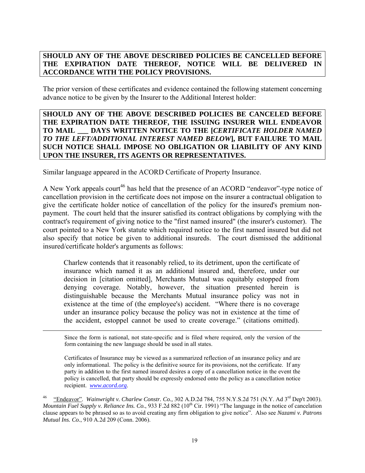#### **SHOULD ANY OF THE ABOVE DESCRIBED POLICIES BE CANCELLED BEFORE THE EXPIRATION DATE THEREOF, NOTICE WILL BE DELIVERED IN ACCORDANCE WITH THE POLICY PROVISIONS.**

The prior version of these certificates and evidence contained the following statement concerning advance notice to be given by the Insurer to the Additional Interest holder:

#### **SHOULD ANY OF THE ABOVE DESCRIBED POLICIES BE CANCELED BEFORE THE EXPIRATION DATE THEREOF, THE ISSUING INSURER WILL ENDEAVOR TO MAIL \_\_\_ DAYS WRITTEN NOTICE TO THE [***CERTIFICATE HOLDER NAMED TO THE LEFT/ADDITIONAL INTEREST NAMED BELOW***], BUT FAILURE TO MAIL SUCH NOTICE SHALL IMPOSE NO OBLIGATION OR LIABILITY OF ANY KIND UPON THE INSURER, ITS AGENTS OR REPRESENTATIVES.**

Similar language appeared in the ACORD Certificate of Property Insurance.

A New York appeals court<sup>46</sup> has held that the presence of an ACORD "endeavor"-type notice of cancellation provision in the certificate does not impose on the insurer a contractual obligation to give the certificate holder notice of cancellation of the policy for the insured's premium nonpayment. The court held that the insurer satisfied its contract obligations by complying with the contract's requirement of giving notice to the "first named insured" (the insurer's customer). The court pointed to a New York statute which required notice to the first named insured but did not also specify that notice be given to additional insureds. The court dismissed the additional insured/certificate holder's arguments as follows:

Charlew contends that it reasonably relied, to its detriment, upon the certificate of insurance which named it as an additional insured and, therefore, under our decision in [citation omitted], Merchants Mutual was equitably estopped from denying coverage. Notably, however, the situation presented herein is distinguishable because the Merchants Mutual insurance policy was not in existence at the time of (the employee's) accident. "Where there is no coverage under an insurance policy because the policy was not in existence at the time of the accident, estoppel cannot be used to create coverage." (citations omitted).

 Since the form is national, not state-specific and is filed where required, only the version of the form containing the new language should be used in all states.

Certificates of Insurance may be viewed as a summarized reflection of an insurance policy and are only informational. The policy is the definitive source for its provisions, not the certificate. If any party in addition to the first named insured desires a copy of a cancellation notice in the event the policy is cancelled, that party should be expressly endorsed onto the policy as a cancellation notice recipient. *www.acord.org*.

<sup>46 &</sup>quot;Endeavor". *Wainwright v. Charlew Constr. Co.,* 302 A.D.2d 784, 755 N.Y.S.2d 751 (N.Y. Ad 3rd Dep't 2003). *Mountain Fuel Supply v. Reliance Ins. Co.*, 933 F.2d 882 (10<sup>th</sup> Cir. 1991) "The language in the notice of cancelation clause appears to be phrased so as to avoid creating any firm obligation to give notice". Also see *Nazami v. Patrons Mutual Ins. Co.*, 910 A.2d 209 (Conn. 2006).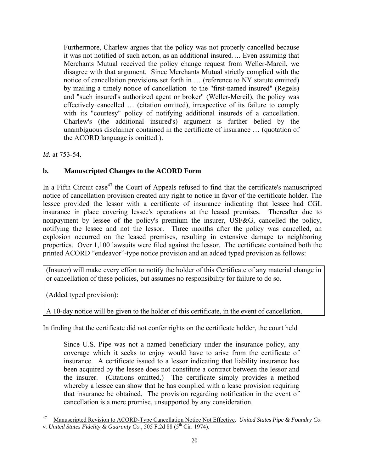Furthermore, Charlew argues that the policy was not properly cancelled because it was not notified of such action, as an additional insured…. Even assuming that Merchants Mutual received the policy change request from Weller-Marcil, we disagree with that argument. Since Merchants Mutual strictly complied with the notice of cancellation provisions set forth in … (reference to NY statute omitted) by mailing a timely notice of cancellation to the "first-named insured" (Regels) and "such insured's authorized agent or broker" (Weller-Mercil), the policy was effectively cancelled … (citation omitted), irrespective of its failure to comply with its "courtesy" policy of notifying additional insureds of a cancellation. Charlew's (the additional insured's) argument is further belied by the unambiguous disclaimer contained in the certificate of insurance … (quotation of the ACORD language is omitted.).

*Id.* at 753-54.

### **b. Manuscripted Changes to the ACORD Form**

In a Fifth Circuit case<sup>47</sup> the Court of Appeals refused to find that the certificate's manuscripted notice of cancellation provision created any right to notice in favor of the certificate holder. The lessee provided the lessor with a certificate of insurance indicating that lessee had CGL insurance in place covering lessee's operations at the leased premises. Thereafter due to nonpayment by lessee of the policy's premium the insurer, USF&G, cancelled the policy, notifying the lessee and not the lessor. Three months after the policy was cancelled, an explosion occurred on the leased premises, resulting in extensive damage to neighboring properties. Over 1,100 lawsuits were filed against the lessor. The certificate contained both the printed ACORD "endeavor"-type notice provision and an added typed provision as follows:

(Insurer) will make every effort to notify the holder of this Certificate of any material change in or cancellation of these policies, but assumes no responsibility for failure to do so.

(Added typed provision):

A 10-day notice will be given to the holder of this certificate, in the event of cancellation.

In finding that the certificate did not confer rights on the certificate holder, the court held

Since U.S. Pipe was not a named beneficiary under the insurance policy, any coverage which it seeks to enjoy would have to arise from the certificate of insurance. A certificate issued to a lessor indicating that liability insurance has been acquired by the lessee does not constitute a contract between the lessor and the insurer. (Citations omitted.) The certificate simply provides a method whereby a lessee can show that he has complied with a lease provision requiring that insurance be obtained. The provision regarding notification in the event of cancellation is a mere promise, unsupported by any consideration.

<sup>47</sup> 47 Manuscripted Revision to ACORD-Type Cancellation Notice Not Effective. *United States Pipe & Foundry Co. v. United States Fidelity & Guaranty Co.,* 505 F.2d 88 (5<sup>th</sup> Cir. 1974).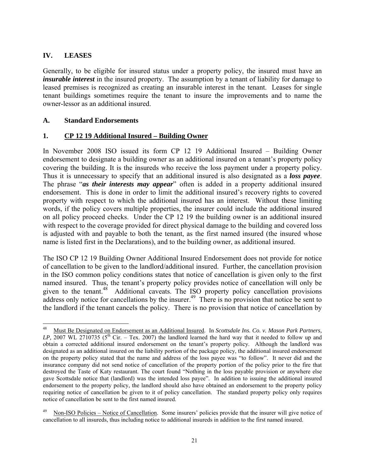#### **IV. LEASES**

Generally, to be eligible for insured status under a property policy, the insured must have an *insurable interest* in the insured property. The assumption by a tenant of liability for damage to leased premises is recognized as creating an insurable interest in the tenant. Leases for single tenant buildings sometimes require the tenant to insure the improvements and to name the owner-lessor as an additional insured.

#### **A. Standard Endorsements**

#### **1. CP 12 19 Additional Insured – Building Owner**

In November 2008 ISO issued its form CP 12 19 Additional Insured – Building Owner endorsement to designate a building owner as an additional insured on a tenant's property policy covering the building. It is the insureds who receive the loss payment under a property policy. Thus it is unnecessary to specify that an additional insured is also designated as a *loss payee*. The phrase "*as their interests may appear*" often is added in a property additional insured endorsement. This is done in order to limit the additional insured's recovery rights to covered property with respect to which the additional insured has an interest. Without these limiting words, if the policy covers multiple properties, the insurer could include the additional insured on all policy proceed checks. Under the CP 12 19 the building owner is an additional insured with respect to the coverage provided for direct physical damage to the building and covered loss is adjusted with and payable to both the tenant, as the first named insured (the insured whose name is listed first in the Declarations), and to the building owner, as additional insured.

The ISO CP 12 19 Building Owner Additional Insured Endorsement does not provide for notice of cancellation to be given to the landlord/additional insured. Further, the cancellation provision in the ISO common policy conditions states that notice of cancellation is given only to the first named insured. Thus, the tenant's property policy provides notice of cancellation will only be given to the tenant.<sup>48</sup> Additional caveats. The ISO property policy cancellation provisions address only notice for cancellations by the insurer.<sup>49</sup> There is no provision that notice be sent to the landlord if the tenant cancels the policy. There is no provision that notice of cancellation by

<sup>48</sup> 48 Must Be Designated on Endorsement as an Additional Insured. In *Scottsdale Ins. Co. v. Mason Park Partners,*  LP, 2007 WL 2710735 ( $5<sup>th</sup>$  Cir. – Tex. 2007) the landlord learned the hard way that it needed to follow up and obtain a corrected additional insured endorsement on the tenant's property policy. Although the landlord was designated as an additional insured on the liability portion of the package policy, the additional insured endorsement on the property policy stated that the name and address of the loss payee was "to follow". It never did and the insurance company did not send notice of cancellation of the property portion of the policy prior to the fire that destroyed the Taste of Katy restaurant. The court found "Nothing in the loss payable provision or anywhere else gave Scottsdale notice that (landlord) was the intended loss payee". In addition to issuing the additional insured endorsement to the property policy, the landlord should also have obtained an endorsement to the property policy requiring notice of cancellation be given to it of policy cancellation. The standard property policy only requires notice of cancellation be sent to the first named insured.

Non-ISO Policies – Notice of Cancellation. Some insurers' policies provide that the insurer will give notice of cancellation to all insureds, thus including notice to additional insureds in addition to the first named insured.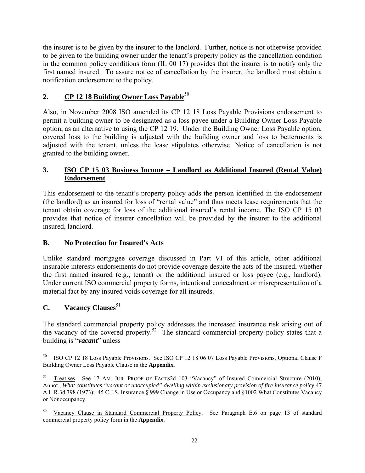the insurer is to be given by the insurer to the landlord. Further, notice is not otherwise provided to be given to the building owner under the tenant's property policy as the cancellation condition in the common policy conditions form (IL 00 17) provides that the insurer is to notify only the first named insured. To assure notice of cancellation by the insurer, the landlord must obtain a notification endorsement to the policy.

#### **2. CP 12 18 Building Owner Loss Payable**<sup>50</sup>

Also, in November 2008 ISO amended its CP 12 18 Loss Payable Provisions endorsement to permit a building owner to be designated as a loss payee under a Building Owner Loss Payable option, as an alternative to using the CP 12 19. Under the Building Owner Loss Payable option, covered loss to the building is adjusted with the building owner and loss to betterments is adjusted with the tenant, unless the lease stipulates otherwise. Notice of cancellation is not granted to the building owner.

#### **3. ISO CP 15 03 Business Income – Landlord as Additional Insured (Rental Value) Endorsement**

This endorsement to the tenant's property policy adds the person identified in the endorsement (the landlord) as an insured for loss of "rental value" and thus meets lease requirements that the tenant obtain coverage for loss of the additional insured's rental income. The ISO CP 15 03 provides that notice of insurer cancellation will be provided by the insurer to the additional insured, landlord.

#### **B. No Protection for Insured's Acts**

Unlike standard mortgagee coverage discussed in Part VI of this article, other additional insurable interests endorsements do not provide coverage despite the acts of the insured, whether the first named insured (e.g., tenant) or the additional insured or loss payee (e.g., landlord). Under current ISO commercial property forms, intentional concealment or misrepresentation of a material fact by any insured voids coverage for all insureds.

#### **C.** Vacancy Clauses<sup>51</sup>

 $\overline{a}$ 

The standard commercial property policy addresses the increased insurance risk arising out of the vacancy of the covered property.<sup>52</sup> The standard commercial property policy states that a building is "*vacant*" unless

<sup>50</sup> ISO CP 12 18 Loss Payable Provisions. See ISO CP 12 18 06 07 Loss Payable Provisions, Optional Clause F Building Owner Loss Payable Clause in the **Appendix**.

Treatises. See 17 AM. JUR. PROOF OF FACTS2d 103 "Vacancy" of Insured Commercial Structure (2010); Annot., *What constitutes "vacant or unoccupied" dwelling within exclusionary provision of fire insurance policy* 47 A.L.R.3d 398 (1973); 45 C.J.S. Insurance § 999 Change in Use or Occupancy and §1002 What Constitutes Vacancy or Nonoccupancy.

<sup>52</sup> Vacancy Clause in Standard Commercial Property Policy. See Paragraph E.6 on page 13 of standard commercial property policy form in the **Appendix**.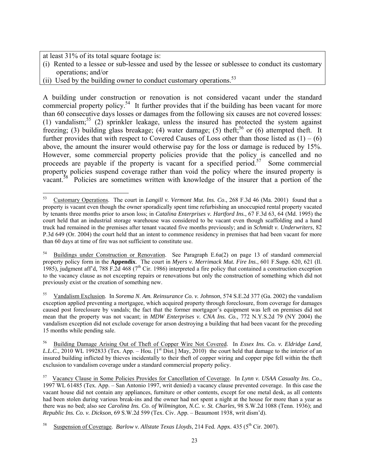at least 31% of its total square footage is:

- (i) Rented to a lessee or sub-lessee and used by the lessee or sublessee to conduct its customary operations; and/or
- (ii) Used by the building owner to conduct customary operations.  $53$

A building under construction or renovation is not considered vacant under the standard commercial property policy.<sup>54</sup> It further provides that if the building has been vacant for more than 60 consecutive days losses or damages from the following six causes are not covered losses: (1) vandalism;<sup>55</sup> (2) sprinkler leakage, unless the insured has protected the system against freezing; (3) building glass breakage; (4) water damage; (5) theft;<sup>56</sup> or (6) attempted theft. It further provides that with respect to Covered Causes of Loss other than those listed as  $(1) - (6)$ above, the amount the insurer would otherwise pay for the loss or damage is reduced by 15%. However, some commercial property policies provide that the policy is cancelled and no proceeds are payable if the property is vacant for a specified period.<sup>57</sup> Some commercial property policies suspend coverage rather than void the policy where the insured property is vacant.<sup>58</sup> Policies are sometimes written with knowledge of the insurer that a portion of the

 $\overline{a}$ 53 Customary Operations. The court in *Langill v. Vermont Mut. Ins. Co*., 268 F.3d 46 (Ma. 2001) found that a property is vacant even though the owner sporadically spent time refurbishing an unoccupied rental property vacated by tenants three months prior to arson loss; in *Catalina Enterprises v. Hartford Ins.*, 67 F.3d 63, 64 (Md. 1995) the court held that an industrial storage warehouse was considered to be vacant even though scaffolding and a hand truck had remained in the premises after tenant vacated five months previously; and in *Schmidt v. Underwriters*, 82 P.3d 649 (Or. 2004) the court held that an intent to commence residency in premises that had been vacant for more than 60 days at time of fire was not sufficient to constitute use.

<sup>54</sup> Buildings under Construction or Renovation. See Paragraph E.6a(2) on page 13 of standard commercial property policy form in the **Appendix**. The court in *Myers v. Merrimack Mut. Fire Ins.*, 601 F.Supp. 620, 621 (Il. 1985), judgment aff'd, 788 F.2d 468 ( $7<sup>th</sup>$  Cir. 1986) interpreted a fire policy that contained a construction exception to the vacancy clause as not excepting repairs or renovations but only the construction of something which did not previously exist or the creation of something new.

<sup>55</sup> Vandalism Exclusion. In *Sorema N. Am. Reinsurance Co. v. Johnson*, 574 S.E.2d 377 (Ga. 2002) the vandalism exception applied preventing a mortgagee, which acquired property through foreclosure, from coverage for damages caused post foreclosure by vandals; the fact that the former mortgagor's equipment was left on premises did not mean that the property was not vacant; in *MDW Enterprises v. CNA Ins. Co.*, 772 N.Y.S.2d 79 (NY 2004) the vandalism exception did not exclude coverage for arson destroying a building that had been vacant for the preceding 15 months while pending sale.

<sup>56</sup> Building Damage Arising Out of Theft of Copper Wire Not Covered. In *Essex Ins. Co. v. Eldridge Land, L.L.C.*, 2010 WL 1992833 (Tex. App. – Hou. [1<sup>st</sup> Dist.] May, 2010) the court held that damage to the interior of an insured building inflicted by thieves incidentally to their theft of copper wiring and copper pipe fell within the theft exclusion to vandalism coverage under a standard commercial property policy.

<sup>57</sup> Vacancy Clause in Some Policies Provides for Cancellation of Coverage. In *Lynn v. USAA Casualty Ins. Co.*, 1997 WL 61485 (Tex. App. – San Antonio 1997, writ denied) a vacancy clause prevented coverage. In this case the vacant house did not contain any appliances, furniture or other contents, except for one metal desk, as all contents had been stolen during various break-ins and the owner had not spent a night at the house for more than a year as there was no bed; also see *Carolina Ins. Co. of Wilmington, N.C. v. St. Charles*, 98 S.W.2d 1088 (Tenn. 1936); and *Republic Ins. Co. v. Dickson*, 69 S.W.2d 599 (Tex. Civ. App. – Beaumont 1938, writ dism'd).

Suspension of Coverage. *Barlow v. Allstate Texas Lloyds*, 214 Fed. Appx. 435 (5<sup>th</sup> Cir. 2007).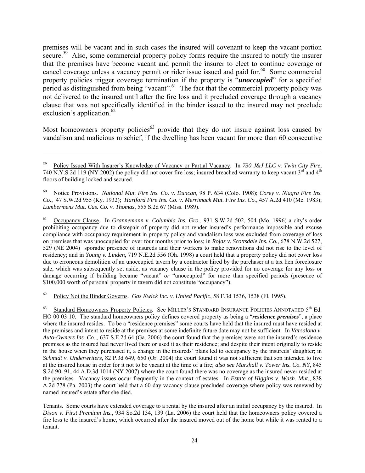premises will be vacant and in such cases the insured will covenant to keep the vacant portion secure.<sup>59</sup> Also, some commercial property policy forms require the insured to notify the insurer that the premises have become vacant and permit the insurer to elect to continue coverage or cancel coverage unless a vacancy permit or rider issue issued and paid for.<sup>60</sup> Some commercial property policies trigger coverage termination if the property is "*unoccupied*" for a specified period as distinguished from being "vacant".<sup>61</sup> The fact that the commercial property policy was not delivered to the insured until after the fire loss and it precluded coverage through a vacancy clause that was not specifically identified in the binder issued to the insured may not preclude exclusion's application. $62$ 

Most homeowners property policies<sup>63</sup> provide that they do not insure against loss caused by vandalism and malicious mischief, if the dwelling has been vacant for more than 60 consecutive

 $\overline{a}$ 

61 Occupancy Clause. In *Grannemann v. Columbia Ins. Gro.*, 931 S.W.2d 502, 504 (Mo. 1996) a city's order prohibiting occupancy due to disrepair of property did not render insured's performance impossible and excuse compliance with occupancy requirement in property policy and vandalism loss was excluded from coverage of loss on premises that was unoccupied for over four months prior to loss; in *Rojas v. Scottsdale Ins. Co.*, 678 N.W.2d 527, 529 (NE 2004) sporadic presence of insureds and their workers to make renovations did not rise to the level of residency; and in *Young v. Linden*, 719 N.E.2d 556 (Oh. 1998) a court held that a property policy did not cover loss due to erroneous demolition of an unoccupied tavern by a contractor hired by the purchaser at a tax lien foreclosure sale, which was subsequently set aside, as vacancy clause in the policy provided for no coverage for any loss or damage occurring if building became "vacant" *or* "unoccupied" for more than specified periods (presence of \$100,000 worth of personal property in tavern did not constitute "occupancy").

62 Policy Not the Binder Governs. *Gas Kwick Inc. v. United Pacific*, 58 F.3d 1536, 1538 (Fl. 1995).

63 Standard Homeowners Property Policies. See MILLER'S STANDARD INSURANCE POLICIES ANNOTATED 5<sup>th</sup> Ed. HO 00 03 10. The standard homeowners policy defines covered property as being a "*residence premises*", a place where the insured resides. To be a "residence premises" some courts have held that the insured must have resided at the premises and intent to reside at the premises at some indefinite future date may not be sufficient. In *Varsalona v. Auto-Owners Ins. Co.,*, 637 S.E.2d 64 (Ga. 2006) the court found that the premises were not the insured's residence premises as the insured had never lived there or used it as their residence; and despite their intent originally to reside in the house when they purchased it, a change in the insureds' plans led to occupancy by the insureds' daughter; in *Schmidt v. Underwriters,* 82 P.3d 649, 650 (Or. 2004) the court found it was not sufficient that son intended to live at the insured house in order for it not to be vacant at the time of a fire; *also see Marshall v. Tower Ins. Co. NY*, 845 S.2d 90, 91, 44 A.D.3d 1014 (NY 2007) where the court found there was no coverage as the insured never resided at the premises. Vacancy issues occur frequently in the context of estates. In *Estate of Higgins v. Wash. Mut.*, 838 A.2d 778 (Pa. 2003) the court held that a 60-day vacancy clause precluded coverage where policy was renewed by named insured's estate after she died.

Tenants. Some courts have extended coverage to a rental by the insured after an initial occupancy by the insured. In *Dixon v. First Premium Ins.*, 934 So.2d 134, 139 (La. 2006) the court held that the homeowners policy covered a fire loss to the insured's home, which occurred after the insured moved out of the home but while it was rented to a tenant.

<sup>59</sup> Policy Issued With Insurer's Knowledge of Vacancy or Partial Vacancy. In *730 J&J LLC v. Twin City Fire*, 740 N.Y.S.2d 119 (NY 2002) the policy did not cover fire loss; insured breached warranty to keep vacant  $3^{rd}$  and  $4^{th}$ floors of building locked and secured.

<sup>60</sup> Notice Provisions. *National Mut. Fire Ins. Co. v. Duncan,* 98 P. 634 (Colo. 1908); *Corey v. Niagra Fire Ins. Co.*, 47 S.W.2d 955 (Ky. 1932); *Hartford Fire Ins. Co. v. Merrimack Mut. Fire Ins. Co.*, 457 A.2d 410 (Me. 1983); *Lumbermens Mut. Cas. Co. v. Thomas*, 555 S.2d 67 (Miss. 1989).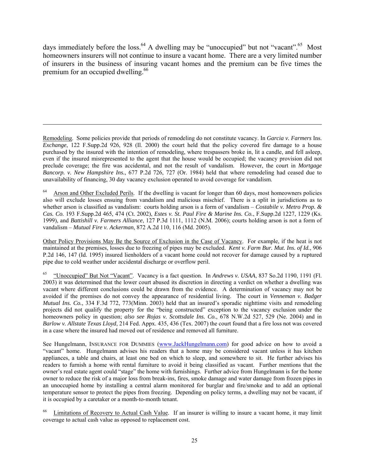days immediately before the loss.<sup>64</sup> A dwelling may be "unoccupied" but not "vacant".<sup>65</sup> Most homeowners insurers will not continue to insure a vacant home. There are a very limited number of insurers in the business of insuring vacant homes and the premium can be five times the premium for an occupied dwelling.<sup>66</sup>

Remodeling. Some policies provide that periods of remodeling do not constitute vacancy. In *Garcia v. Farmers* Ins. *Exchange*, 122 F.Supp.2d 926, 928 (Il. 2000) the court held that the policy covered fire damage to a house purchased by the insured with the intention of remodeling, where trespassers broke in, lit a candle, and fell asleep, even if the insured misrepresented to the agent that the house would be occupied; the vacancy provision did not preclude coverage; the fire was accidental, and not the result of vandalism. However, the court in *Mortgage Bancorp. v. New Hampshire Ins.*, 677 P.2d 726, 727 (Or. 1984) held that where remodeling had ceased due to unavailability of financing, 30 day vacancy exclusion operated to avoid coverage for vandalism.

 $\overline{a}$ 

 $64$  Arson and Other Excluded Perils. If the dwelling is vacant for longer than 60 days, most homeowners policies also will exclude losses ensuing from vandalism and malicious mischief. There is a split in jurisdictions as to whether arson is classified as vandalism: courts holding arson is a form of vandalism – *Costabile v. Metro Prop. & Cas. Co.* 193 F.Supp.2d 465, 474 (Ct. 2002), *Estes v. St. Paul Fire & Marine Ins. Co.*, F.Supp.2d 1227, 1229 (Ks. 1999), and *Battishill v. Farmers Alliance*, 127 P.3d 1111, 1112 (N.M. 2006); courts holding arson is not a form of vandalism – *Mutual Fire v. Ackerman*, 872 A.2d 110, 116 (Md. 2005).

Other Policy Provisions May Be the Source of Exclusion in the Case of Vacancy. For example, if the heat is not maintained at the premises, losses due to freezing of pipes may be excluded. *Kent v. Farm Bur. Mut. Ins. of Id.*, 906 P.2d 146, 147 (Id. 1995) insured lienholders of a vacant home could not recover for damage caused by a ruptured pipe due to cold weather under accidental discharge or overflow peril.

65 "Unoccupied" But Not "Vacant". Vacancy is a fact question. In *Andrews v. USAA*, 837 So.2d 1190, 1191 (Fl. 2003) it was determined that the lower court abused its discretion in directing a verdict on whether a dwelling was vacant where different conclusions could be drawn from the evidence. A determination of vacancy may not be avoided if the premises do not convey the appearance of residential living. The court in *Venneman v. Badger Mutual Ins. Co.*, 334 F.3d 772, 773(Minn. 2003) held that an insured's sporadic nighttime visits and remodeling projects did not qualify the property for the "being constructed" exception to the vacancy exclusion under the homeowners policy in question; *also see Rojas v. Scottsdale Ins. Co.*, 678 N.W.2d 527, 529 (Ne. 2004) and in *Barlow v. Allstate Texas Lloyd*, 214 Fed. Appx. 435, 436 (Tex. 2007) the court found that a fire loss not was covered in a case where the insured had moved out of residence and removed all furniture.

See Hungelmann, INSURANCE FOR DUMMIES (www.JackHungelmann.com) for good advice on how to avoid a "vacant" home. Hungelmann advises his readers that a home may be considered vacant unless it has kitchen appliances, a table and chairs, at least one bed on which to sleep, and somewhere to sit. He further advises his readers to furnish a home with rental furniture to avoid it being classified as vacant. Further mentions that the owner's real estate agent could "stage" the home with furnishings. Further advice from Hungelmann is for the home owner to reduce the risk of a major loss from break-ins, fires, smoke damage and water damage from frozen pipes in an unoccupied home by installing a central alarm monitored for burglar and fire/smoke and to add an optional temperature sensor to protect the pipes from freezing. Depending on policy terms, a dwelling may not be vacant, if it is occupied by a caretaker or a month-to-month tenant.

66 Limitations of Recovery to Actual Cash Value. If an insurer is willing to insure a vacant home, it may limit coverage to actual cash value as opposed to replacement cost.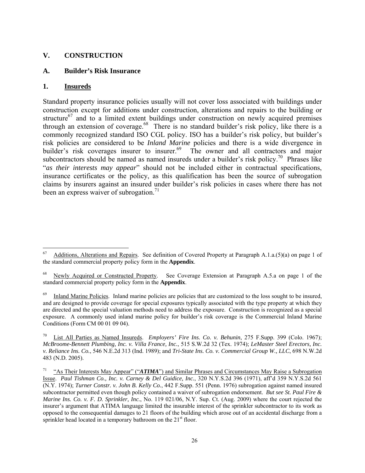#### **V. CONSTRUCTION**

#### **A. Builder's Risk Insurance**

#### **1. Insureds**

Standard property insurance policies usually will not cover loss associated with buildings under construction except for additions under construction, alterations and repairs to the building or structure<sup>67</sup> and to a limited extent buildings under construction on newly acquired premises through an extension of coverage.<sup>68</sup> There is no standard builder's risk policy, like there is a commonly recognized standard ISO CGL policy. ISO has a builder's risk policy, but builder's risk policies are considered to be *Inland Marine* policies and there is a wide divergence in builder's risk coverages insurer to insurer.<sup>69</sup> The owner and all contractors and major subcontractors should be named as named insureds under a builder's risk policy.<sup>70</sup> Phrases like "*as their interests may appear*" should not be included either in contractual specifications, insurance certificates or the policy, as this qualification has been the source of subrogation claims by insurers against an insured under builder's risk policies in cases where there has not been an express waiver of subrogation.<sup>71</sup>

<sup>67</sup> 67 Additions, Alterations and Repairs. See definition of Covered Property at Paragraph A.1.a.(5)(a) on page 1 of the standard commercial property policy form in the **Appendix**.

Newly Acquired or Constructed Property. See Coverage Extension at Paragraph A.5.a on page 1 of the standard commercial property policy form in the **Appendix**.

<sup>&</sup>lt;sup>69</sup> Inland Marine Policies. Inland marine policies are policies that are customized to the loss sought to be insured, and are designed to provide coverage for special exposures typically associated with the type property at which they are directed and the special valuation methods need to address the exposure. Construction is recognized as a special exposure. A commonly used inland marine policy for builder's risk coverage is the Commercial Inland Marine Conditions (Form CM 00 01 09 04).

<sup>70</sup> List All Parties as Named Insureds. *Employers' Fire Ins. Co. v. Behunin*, 275 F.Supp. 399 (Colo. 1967); *McBroome-Bennett Plumbing, Inc. v. Villa France, Inc.*, 515 S.W.2d 32 (Tex. 1974); *LeMaster Steel Erectors, Inc. v. Reliance Ins. Co.*, 546 N.E.2d 313 (Ind. 1989); and *Tri-State Ins. Co. v. Commercial Group W., LLC*, 698 N.W.2d 483 (N.D. 2005).

<sup>&</sup>lt;sup>71</sup> "As Their Interests May Appear" ("*ATIMA*") and Similar Phrases and Circumstances May Raise a Subrogation Issue. *Paul Tishman Co., Inc. v. Carney & Del Guidice, Inc.*, 320 N.Y.S.2d 396 (1971), aff'd 359 N.Y.S.2d 561 (N.Y. 1974); *Turner Constr. v. John B. Kelly Co.*, 442 F.Supp. 551 (Penn. 1976) subrogation against named insured subcontractor permitted even though policy contained a waiver of subrogation endorsement. *But see St. Paul Fire & Marine Ins. Co. v. F. D. Sprinkler, Inc.*, No. 119 021/06, N.Y. Sup. Ct. (Aug. 2009) where the court rejected the insurer's argument that ATIMA language limited the insurable interest of the sprinkler subcontractor to its work as opposed to the consequential damages to 21 floors of the building which arose out of an accidental discharge from a sprinkler head located in a temporary bathroom on the  $21<sup>st</sup>$  floor.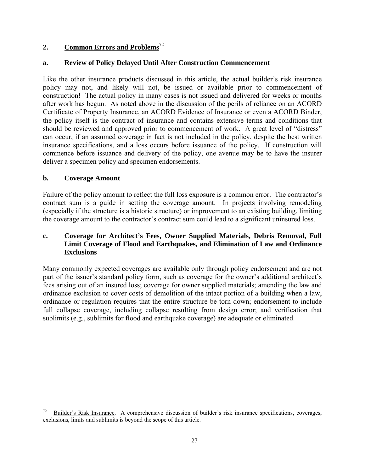### **2. Common Errors and Problems**<sup>72</sup>

#### **a. Review of Policy Delayed Until After Construction Commencement**

Like the other insurance products discussed in this article, the actual builder's risk insurance policy may not, and likely will not, be issued or available prior to commencement of construction! The actual policy in many cases is not issued and delivered for weeks or months after work has begun. As noted above in the discussion of the perils of reliance on an ACORD Certificate of Property Insurance, an ACORD Evidence of Insurance or even a ACORD Binder, the policy itself is the contract of insurance and contains extensive terms and conditions that should be reviewed and approved prior to commencement of work. A great level of "distress" can occur, if an assumed coverage in fact is not included in the policy, despite the best written insurance specifications, and a loss occurs before issuance of the policy. If construction will commence before issuance and delivery of the policy, one avenue may be to have the insurer deliver a specimen policy and specimen endorsements.

#### **b. Coverage Amount**

Failure of the policy amount to reflect the full loss exposure is a common error. The contractor's contract sum is a guide in setting the coverage amount. In projects involving remodeling (especially if the structure is a historic structure) or improvement to an existing building, limiting the coverage amount to the contractor's contract sum could lead to a significant uninsured loss.

#### **c. Coverage for Architect's Fees, Owner Supplied Materials, Debris Removal, Full Limit Coverage of Flood and Earthquakes, and Elimination of Law and Ordinance Exclusions**

Many commonly expected coverages are available only through policy endorsement and are not part of the issuer's standard policy form, such as coverage for the owner's additional architect's fees arising out of an insured loss; coverage for owner supplied materials; amending the law and ordinance exclusion to cover costs of demolition of the intact portion of a building when a law, ordinance or regulation requires that the entire structure be torn down; endorsement to include full collapse coverage, including collapse resulting from design error; and verification that sublimits (e.g., sublimits for flood and earthquake coverage) are adequate or eliminated.

 $\overline{a}$ 72 Builder's Risk Insurance. A comprehensive discussion of builder's risk insurance specifications, coverages, exclusions, limits and sublimits is beyond the scope of this article.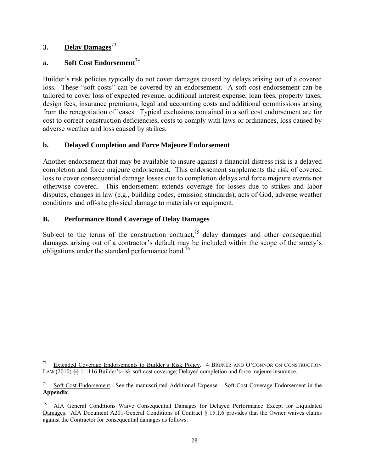#### **3. Delay Damages**<sup>73</sup>

 $\overline{a}$ 

#### **a.** Soft Cost Endorsement<sup>74</sup>

Builder's risk policies typically do not cover damages caused by delays arising out of a covered loss. These "soft costs" can be covered by an endorsement. A soft cost endorsement can be tailored to cover loss of expected revenue, additional interest expense, loan fees, property taxes, design fees, insurance premiums, legal and accounting costs and additional commissions arising from the renegotiation of leases. Typical exclusions contained in a soft cost endorsement are for cost to correct construction deficiencies, costs to comply with laws or ordinances, loss caused by adverse weather and loss caused by strikes.

#### **b. Delayed Completion and Force Majeure Endorsement**

Another endorsement that may be available to insure against a financial distress risk is a delayed completion and force majeure endorsement. This endorsement supplements the risk of covered loss to cover consequential damage losses due to completion delays and force majeure events not otherwise covered. This endorsement extends coverage for losses due to strikes and labor disputes, changes in law (e.g., building codes, emission standards), acts of God, adverse weather conditions and off-site physical damage to materials or equipment.

#### **B. Performance Bond Coverage of Delay Damages**

Subject to the terms of the construction contract,<sup>75</sup> delay damages and other consequential damages arising out of a contractor's default may be included within the scope of the surety's obligations under the standard performance bond.<sup>76</sup>

Extended Coverage Endorsements to Builder's Risk Policy. 4 BRUNER AND O'CONNOR ON CONSTRUCTION LAW (2010) §§ 11:116 Builder's risk soft cost coverage; Delayed completion and force majeure insurance.

<sup>74</sup> Soft Cost Endorsement. See the manuscripted Additional Expense – Soft Cost Coverage Endorsement in the **Appendix**.

<sup>&</sup>lt;sup>75</sup> AIA General Conditions Waive Consequential Damages for Delayed Performance Except for Liquidated Damages. AIA Document A201-General Conditions of Contract § 15.1.6 provides that the Owner waives claims against the Contractor for consequential damages as follows: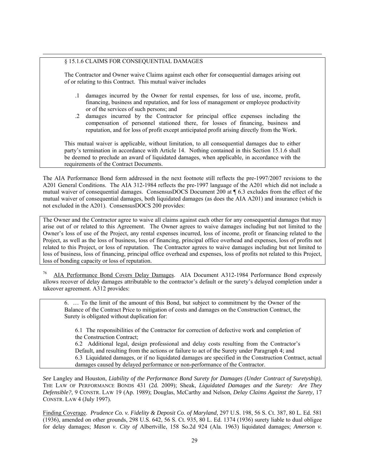#### § 15.1.6 CLAIMS FOR CONSEQUENTIAL DAMAGES

 $\overline{a}$ 

The Contractor and Owner waive Claims against each other for consequential damages arising out of or relating to this Contract. This mutual waiver includes

- .1 damages incurred by the Owner for rental expenses, for loss of use, income, profit, financing, business and reputation, and for loss of management or employee productivity or of the services of such persons; and
- .2 damages incurred by the Contractor for principal office expenses including the compensation of personnel stationed there, for losses of financing, business and reputation, and for loss of profit except anticipated profit arising directly from the Work.

This mutual waiver is applicable, without limitation, to all consequential damages due to either party's termination in accordance with Article 14. Nothing contained in this Section 15.1.6 shall be deemed to preclude an award of liquidated damages, when applicable, in accordance with the requirements of the Contract Documents.

The AIA Performance Bond form addressed in the next footnote still reflects the pre-1997/2007 revisions to the A201 General Conditions. The AIA 312-1984 reflects the pre-1997 language of the A201 which did not include a mutual waiver of consequential damages. ConsensusDOCS Document 200 at ¶ 6.3 excludes from the effect of the mutual waiver of consequential damages, both liquidated damages (as does the AIA A201) and insurance (which is not excluded in the A201). ConsensusDOCS 200 provides:

The Owner and the Contractor agree to waive all claims against each other for any consequential damages that may arise out of or related to this Agreement. The Owner agrees to waive damages including but not limited to the Owner's loss of use of the Project, any rental expenses incurred, loss of income, profit or financing related to the Project, as well as the loss of business, loss of financing, principal office overhead and expenses, loss of profits not related to this Project, or loss of reputation. The Contractor agrees to waive damages including but not limited to loss of business, loss of financing, principal office overhead and expenses, loss of profits not related to this Project, loss of bonding capacity or loss of reputation.

76 AIA Performance Bond Covers Delay Damages. AIA Document A312-1984 Performance Bond expressly allows recover of delay damages attributable to the contractor's default or the surety's delayed completion under a takeover agreement. A312 provides:

6. … To the limit of the amount of this Bond, but subject to commitment by the Owner of the Balance of the Contract Price to mitigation of costs and damages on the Construction Contract, the Surety is obligated without duplication for:

6.1 The responsibilities of the Contractor for correction of defective work and completion of the Construction Contract;

6.2 Additional legal, design professional and delay costs resulting from the Contractor's Default, and resulting from the actions or failure to act of the Surety under Paragraph 4; and 6.3 Liquidated damages, or if no liquidated damages are specified in the Construction Contract, actual damages caused by delayed performance or non-performance of the Contractor.

*See* Langley and Houston, *Liability of the Performance Bond Surety for Damages (Under Contract of Suretyship)*, THE LAW OF PERFORMANCE BONDS 431 (2d. 2009); Sheak, *Liquidated Damages and the Surety: Are They Defensible?*, 9 CONSTR. LAW 19 (Ap. 1989); Douglas, McCarthy and Nelson, *Delay Claims Against the Surety*, 17 CONSTR. LAW 4 (July 1997).

Finding Coverage. *Prudence Co. v. Fidelity & Deposit Co. of Maryland,* 297 U.S. 198, 56 S. Ct. 387, 80 L. Ed. 581 (1936), amended on other grounds, 298 U.S. 642, 56 S. Ct. 935, 80 L. Ed. 1374 (1936) surety liable to dual obligee for delay damages; *Mason v. City of* Albertville, 158 So.2d 924 (Ala. 1963) liquidated damages; *Amerson v.*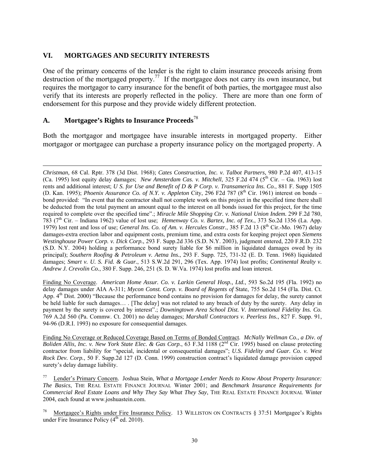#### **VI. MORTGAGES AND SECURITY INTERESTS**

One of the primary concerns of the lender is the right to claim insurance proceeds arising from destruction of the mortgaged property.<sup>77</sup> If the mortgagee does not carry its own insurance, but requires the mortgagor to carry insurance for the benefit of both parties, the mortgagee must also verify that its interests are properly reflected in the policy. There are more than one form of endorsement for this purpose and they provide widely different protection.

#### **A. Mortgagee's Rights to Insurance Proceeds**<sup>78</sup>

 $\overline{a}$ 

Both the mortgagor and mortgagee have insurable interests in mortgaged property. Either mortgagor or mortgagee can purchase a property insurance policy on the mortgaged property. A

Finding No Coverage. *American Home Assur. Co. v. Larkin General Hosp., Ltd.*, 593 So.2d 195 (Fla. 1992) no delay damages under AIA A-311; *Mycon Const. Corp. v. Board of Regents of* State, 755 So.2d 154 (Fla. Dist. Ct. App.  $4<sup>th</sup>$  Dist. 2000) "Because the performance bond contains no provision for damages for delay, the surety cannot be held liable for such damages… . [The delay] was not related to any breach of duty by the surety. Any delay in payment by the surety is covered by interest".; *Downingtown Area School Dist. V. International Fidelity Ins. Co.* 769 A.2d 560 (Pa. Commw. Ct. 2001) no delay damages; *Marshall Contractors v. Peerless Ins.*, 827 F. Supp. 91, 94-96 (D.R.I. 1993) no exposure for consequential damages.

Finding No Coverage or Reduced Coverage Based on Terms of Bonded Contract. *McNally Wellman Co., a Div. of Boliden Allis, Inc. v. New York State Elec. & Gas Corp.*, 63 F.3d 1188 (2<sup>nd</sup> Cir. 1995) based on clause protecting contractor from liability for "special, incidental or consequential damages"; *U.S. Fidelity and Guar. Co. v. West Rock Dev. Corp.*, 50 F. Supp.2d 127 (D. Conn. 1999) construction contract's liquidated damage provision capped surety's delay damage liability.

77 Lender's Primary Concern. Joshua Stein, *What a Mortgage Lender Needs to Know About Property Insurance: The Basics*, THE REAL ESTATE FINANCE JOURNAL Winter 2001; and *Benchmark Insurance Requirements for Commercial Real Estate Loans and Why They Say What They Say*, THE REAL ESTATE FINANCE JOURNAL Winter 2004, each found at www.joshuastein.com.

Mortgagee's Rights under Fire Insurance Policy. 13 WILLISTON ON CONTRACTS § 37:51 Mortgagee's Rights under Fire Insurance Policy  $(4<sup>th</sup>$  ed. 2010).

*Christman,* 68 Cal. Rptr. 378 (3d Dist. 1968); *Cates Construction, Inc. v. Talbot Partners,* 980 P.2d 407, 413-15 (Ca. 1995) lost equity delay damages; *New Amsterdam Cas. v. Mitchell*, 325 F.2d 474 (5<sup>th</sup> Cir. – Ga. 1963) lost rents and additional interest; *U S. for Use and Benefit of D & P Corp. v. Transamerica Ins. Co.*, 881 F. Supp 1505 (D. Kan. 1995); *Phoenix Assurance Co. of N.Y. v. Appleton* City, 296 F2d 787 (8<sup>th</sup> Cir. 1961) interest on bonds – bond provided: "In event that the contractor shall not complete work on this project in the specified time there shall be deducted from the total payment an amount equal to the interest on all bonds issued for this project, for the time required to complete over the specified time".; *Miracle Mile Shopping Ctr. v. National Union Indem.* 299 F.2d 780, 783 (7th Cir. – Indiana 1962) value of lost use; *Hemenway Co. v. Bartex, Inc. of Tex.*, 373 So.2d 1356 (La. App. 1979) lost rent and loss of use; *General Ins. Co. of Am. v. Hercules Constr.*, 385 F.2d 13 (8th Cir.-Mo. 1967) delay damages-extra erection labor and equipment costs, premium time, and extra costs for keeping project open *Siemens Westinghouse Power Corp. v. Dick Corp.*, 293 F. Supp.2d 336 (S.D. N.Y. 2003), judgment entered, 220 F.R.D. 232 (S.D. N.Y. 2004) holding a performance bond surety liable for \$6 million in liquidated damages owed by its principal); *Southern Roofing & Petroleum v. Aetna Ins.*, 293 F. Supp. 725, 731-32 (E. D. Tenn. 1968) liquidated damages; *Smart v. U. S. Fid. & Guar.*, 513 S.W.2d 291, 296 (Tex. App. 1974) lost profits; *Continental Realty v. Andrew J. Crevolin Co.*, 380 F. Supp. 246, 251 (S. D. W.Va. 1974) lost profits and loan interest.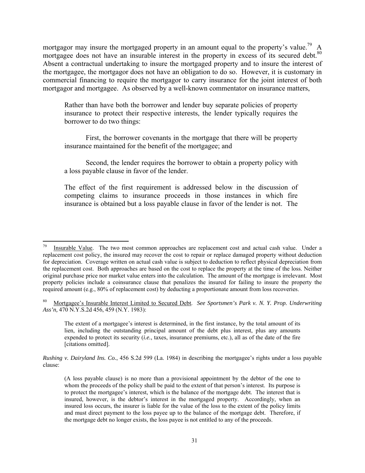mortgagor may insure the mortgaged property in an amount equal to the property's value.<sup>79</sup> A mortgagee does not have an insurable interest in the property in excess of its secured debt.<sup>80</sup> Absent a contractual undertaking to insure the mortgaged property and to insure the interest of the mortgagee, the mortgagor does not have an obligation to do so. However, it is customary in commercial financing to require the mortgagor to carry insurance for the joint interest of both mortgagor and mortgagee. As observed by a well-known commentator on insurance matters,

Rather than have both the borrower and lender buy separate policies of property insurance to protect their respective interests, the lender typically requires the borrower to do two things:

 First, the borrower covenants in the mortgage that there will be property insurance maintained for the benefit of the mortgagee; and

 Second, the lender requires the borrower to obtain a property policy with a loss payable clause in favor of the lender.

The effect of the first requirement is addressed below in the discussion of competing claims to insurance proceeds in those instances in which fire insurance is obtained but a loss payable clause in favor of the lender is not. The

1

*Rushing v. Dairyland Ins. Co.*, 456 S.2d 599 (La. 1984) in describing the mortgagee's rights under a loss payable clause:

Insurable Value. The two most common approaches are replacement cost and actual cash value. Under a replacement cost policy, the insured may recover the cost to repair or replace damaged property without deduction for depreciation. Coverage written on actual cash value is subject to deduction to reflect physical depreciation from the replacement cost. Both approaches are based on the cost to replace the property at the time of the loss. Neither original purchase price nor market value enters into the calculation. The amount of the mortgage is irrelevant. Most property policies include a coinsurance clause that penalizes the insured for failing to insure the property the required amount (e.g., 80% of replacement cost) by deducting a proportionate amount from loss recoveries.

<sup>80</sup> Mortgagee's Insurable Interest Limited to Secured Debt. *See Sportsmen's Park v. N. Y. Prop. Underwriting Ass'n,* 470 N.Y.S.2d 456, 459 (N.Y. 1983):

The extent of a mortgagee's interest is determined, in the first instance, by the total amount of its lien, including the outstanding principal amount of the debt plus interest, plus any amounts expended to protect its security (*i.e.*, taxes, insurance premiums, etc.), all as of the date of the fire [citations omitted].

<sup>(</sup>A loss payable clause) is no more than a provisional appointment by the debtor of the one to whom the proceeds of the policy shall be paid to the extent of that person's interest. Its purpose is to protect the mortgagee's interest, which is the balance of the mortgage debt. The interest that is insured, however, is the debtor's interest in the mortgaged property. Accordingly, when an insured loss occurs, the insurer is liable for the value of the loss to the extent of the policy limits and must direct payment to the loss payee up to the balance of the mortgage debt. Therefore, if the mortgage debt no longer exists, the loss payee is not entitled to any of the proceeds.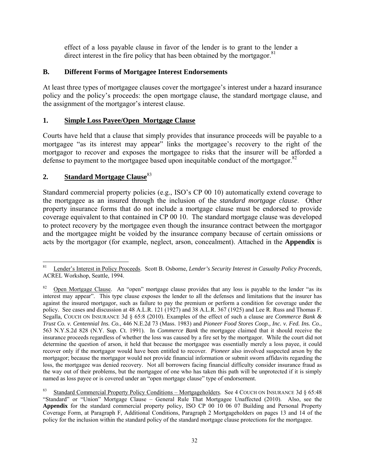effect of a loss payable clause in favor of the lender is to grant to the lender a direct interest in the fire policy that has been obtained by the mortgagor.<sup>81</sup>

# **B. Different Forms of Mortgagee Interest Endorsements**

At least three types of mortgagee clauses cover the mortgagee's interest under a hazard insurance policy and the policy's proceeds: the open mortgage clause, the standard mortgage clause, and the assignment of the mortgagor's interest clause.

# **1. Simple Loss Payee/Open Mortgage Clause**

Courts have held that a clause that simply provides that insurance proceeds will be payable to a mortgagee "as its interest may appear" links the mortgagee's recovery to the right of the mortgagor to recover and exposes the mortgagee to risks that the insurer will be afforded a defense to payment to the mortgagee based upon inequitable conduct of the mortgagor. $82$ 

# **2. Standard Mortgage Clause**<sup>83</sup>

Standard commercial property policies (e.g., ISO's CP 00 10) automatically extend coverage to the mortgagee as an insured through the inclusion of the *standard mortgage clause*. Other property insurance forms that do not include a mortgage clause must be endorsed to provide coverage equivalent to that contained in CP 00 10. The standard mortgage clause was developed to protect recovery by the mortgagee even though the insurance contract between the mortgagor and the mortgagee might be voided by the insurance company because of certain omissions or acts by the mortgagor (for example, neglect, arson, concealment). Attached in the **Appendix** is

<sup>81</sup> 81 Lender's Interest in Policy Proceeds. Scott B. Osborne, *Lender's Security Interest in Casualty Policy Proceeds*, ACREL Workshop, Seattle, 1994.

Open Mortgage Clause. An "open" mortgage clause provides that any loss is payable to the lender "as its interest may appear". This type clause exposes the lender to all the defenses and limitations that the insurer has against the insured mortgagor, such as failure to pay the premium or perform a condition for coverage under the policy. See cases and discussion at 48 A.L.R. 121 (1927) and 38 A.L.R. 367 (1925) and Lee R. Russ and Thomas F. Segalla, COUCH ON INSURANCE 3d § 65:8 (2010). Examples of the effect of such a clause are *Commerce Bank & Trust Co. v. Centennial Ins. Co.*, 446 N.E.2d 73 (Mass. 1983) and *Pioneer Food Stores Coop., Inc. v. Fed. Ins. Co.*, 563 N.Y.S.2d 828 (N.Y. Sup. Ct. 1991). In *Commerce Bank* the mortgagee claimed that it should receive the insurance proceeds regardless of whether the loss was caused by a fire set by the mortgagor. While the court did not determine the question of arson, it held that because the mortgagee was essentially merely a loss payee, it could recover only if the mortgagor would have been entitled to recover. *Pioneer* also involved suspected arson by the mortgagor; because the mortgagor would not provide financial information or submit sworn affidavits regarding the loss, the mortgagee was denied recovery. Not all borrowers facing financial difficulty consider insurance fraud as the way out of their problems, but the mortgagee of one who has taken this path will be unprotected if it is simply named as loss payee or is covered under an "open mortgage clause" type of endorsement.

<sup>83</sup> Standard Commercial Property Policy Conditions – Mortgageholders. See 4 COUCH ON INSURANCE 3d § 65:48 "Standard" or "Union" Mortgage Clause – General Rule That Mortgagee Unaffected (2010). Also, see the **Appendix** for the standard commercial property policy, ISO CP 00 10 06 07 Building and Personal Property Coverage Form, at Paragraph F, Additional Conditions, Paragraph 2 Mortgageholders on pages 13 and 14 of the policy for the inclusion within the standard policy of the standard mortgage clause protections for the mortgagee.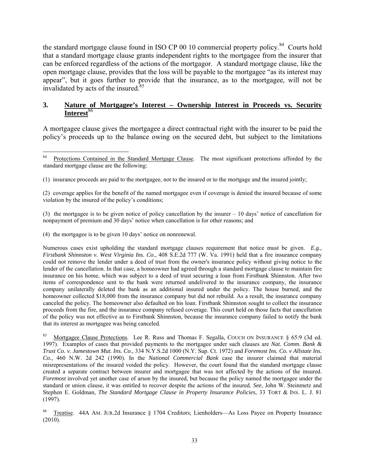the standard mortgage clause found in ISO CP 00 10 commercial property policy.<sup>84</sup> Courts hold that a standard mortgage clause grants independent rights to the mortgagee from the insurer that can be enforced regardless of the actions of the mortgagor. A standard mortgage clause, like the open mortgage clause, provides that the loss will be payable to the mortgagee "as its interest may appear", but it goes further to provide that the insurance, as to the mortgagee, will not be invalidated by acts of the insured.<sup>85</sup>

### **3. Nature of Mortgagee's Interest – Ownership Interest in Proceeds vs. Security**  Interest<sup>86</sup>

A mortgagee clause gives the mortgagee a direct contractual right with the insurer to be paid the policy's proceeds up to the balance owing on the secured debt, but subject to the limitations

(3) the mortgagee is to be given notice of policy cancellation by the insurer – 10 days' notice of cancellation for nonpayment of premium and 30 days' notice when cancellation is for other reasons; and

(4) the mortgagee is to be given 10 days' notice on nonrenewal.

Numerous cases exist upholding the standard mortgage clauses requirement that notice must be given. *E.g., Firstbank Shinnston v. West Virginia Ins. Co.*, 408 S.E.2d 777 (W. Va. 1991) held that a fire insurance company could not remove the lender under a deed of trust from the owner's insurance policy without giving notice to the lender of the cancellation. In that case, a homeowner had agreed through a standard mortgage clause to maintain fire insurance on his home, which was subject to a deed of trust securing a loan from Firstbank Shinnston. After two items of correspondence sent to the bank were returned undelivered to the insurance company, the insurance company unilaterally deleted the bank as an additional insured under the policy. The house burned, and the homeowner collected \$18,000 from the insurance company but did not rebuild. As a result, the insurance company canceled the policy. The homeowner also defaulted on his loan. Firstbank Shinnston sought to collect the insurance proceeds from the fire, and the insurance company refused coverage. This court held on those facts that cancellation of the policy was not effective as to Firstbank Shinnston, because the insurance company failed to notify the bank that its interest as mortgagee was being canceled.

Mortgagee Clause Protections. Lee R. Russ and Thomas F. Segalla, COUCH ON INSURANCE § 65:9 (3d ed. 1997). Examples of cases that provided payments to the mortgagee under such clauses are *Nat. Comm. Bank & Trust Co. v. Jamestown Mut. Ins. Co*., 334 N.Y.S.2d 1000 (N.Y. Sup. Ct. 1972) and *Foremost Ins. Co. v Allstate Ins. Co.,* 460 N.W. 2d 242 (1990). In the *National Commercial Bank* case the insurer claimed that material misrepresentations of the insured voided the policy. However, the court found that the standard mortgage clause created a separate contract between insurer and mortgagee that was not affected by the actions of the insured. *Foremost* involved yet another case of arson by the insured, but because the policy named the mortgagee under the standard or union clause, it was entitled to recover despite the actions of the insured. *See*, John W. Steinmetz and Stephen E. Goldman, *The Standard Mortgage Clause in Property Insurance Policies*, 33 TORT & INS. L. J. 81 (1997).

86 Treatise. 44A AM. JUR.2d Insurance § 1704 Creditors; Lienholders—As Loss Payee on Property Insurance (2010).

 $\bf 84$ 84 Protections Contained in the Standard Mortgage Clause. The most significant protections afforded by the standard mortgage clause are the following:

<sup>(1)</sup> insurance proceeds are paid to the mortgagee, not to the insured or to the mortgage and the insured jointly;

<sup>(2)</sup> coverage applies for the benefit of the named mortgagee even if coverage is denied the insured because of some violation by the insured of the policy's conditions;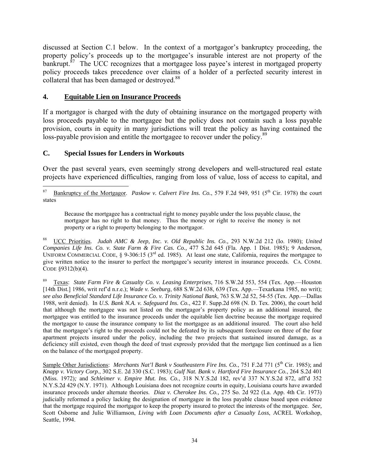discussed at Section C.1 below. In the context of a mortgagor's bankruptcy proceeding, the property policy's proceeds up to the mortgagee's insurable interest are not property of the bankrupt.<sup>87</sup> The UCC recognizes that a mortgagee loss payee's interest in mortgaged property policy proceeds takes precedence over claims of a holder of a perfected security interest in collateral that has been damaged or destroyed.<sup>88</sup>

# **4. Equitable Lien on Insurance Proceeds**

If a mortgagor is charged with the duty of obtaining insurance on the mortgaged property with loss proceeds payable to the mortgagee but the policy does not contain such a loss payable provision, courts in equity in many jurisdictions will treat the policy as having contained the loss-payable provision and entitle the mortgagee to recover under the policy.<sup>89</sup>

### **C. Special Issues for Lenders in Workouts**

Over the past several years, even seemingly strong developers and well-structured real estate projects have experienced difficulties, ranging from loss of value, loss of access to capital, and

Because the mortgagee has a contractual right to money payable under the loss payable clause, the mortgagor has no right to that money. Thus the money or right to receive the money is not property or a right to property belonging to the mortgagor.

88 UCC Priorities. *Judah AMC & Jeep, Inc. v. Old Republic Ins. Co.,* 293 N.W.2d 212 (Io. 1980); *United Companies Life Ins. Co. v. State Farm & Fire Cas. Co.,* 477 S.2d 645 (Fla. App. 1 Dist. 1985); 9 Anderson, UNIFORM COMMERCIAL CODE, § 9-306:15 (3<sup>rd</sup> ed. 1985). At least one state, California, requires the mortgagee to give written notice to the insurer to perfect the mortgagee's security interest in insurance proceeds. CA. COMM. CODE §9312(b)(4).

89 Texas: *State Farm Fire & Casualty Co. v. Leasing Enterprises*, 716 S.W.2d 553, 554 (Tex. App.—Houston [14th Dist.] 1986, writ ref'd n.r.e.); *Wade v. Seeburg*, 688 S.W.2d 638, 639 (Tex. App.—Texarkana 1985, no writ); *see also Beneficial Standard Life Insurance Co. v. Trinity National Bank*, 763 S.W.2d 52, 54-55 (Tex. App.—Dallas 1988, writ denied). In *U.S. Bank N.A. v. Safeguard Ins. Co.*, 422 F. Supp.2d 698 (N. D. Tex. 2006), the court held that although the mortgagee was not listed on the mortgagor's property policy as an additional insured, the mortgagee was entitled to the insurance proceeds under the equitable lien doctrine because the mortgage required the mortgagor to cause the insurance company to list the mortgagee as an additional insured. The court also held that the mortgagee's right to the proceeds could not be defeated by its subsequent foreclosure on three of the four apartment projects insured under the policy, including the two projects that sustained insured damage, as a deficiency still existed, even though the deed of trust expressly provided that the mortgage lien continued as a lien on the balance of the mortgaged property.

Sample Other Jurisdictions: *Merchants Nat'l Bank v Southeastern Fire Ins. Co.*, 751 F.2d 771 (5<sup>th</sup> Cir. 1985); and *Knapp v. Victory Corp.*, 302 S.E. 2d 330 (S.C. 1983); *Gulf Nat. Bank v. Hartford Fire Insurance Co.*, 264 S.2d 401 (Miss. 1972)*;* and *Schleimer v. Empire Mut. Ins. Co.*, 318 N.Y.S.2d 182, rev'd 337 N.Y.S.2d 872, aff'd 352 N.Y.S.2d 429 (N.Y. 1971). Although Louisiana does not recognize courts in equity, Louisiana courts have awarded insurance proceeds under alternate theories. *Diaz v. Cherokee Ins. Co.,* 275 So. 2d 922 (La. App. 4th Cir. 1973) judicially reformed a policy lacking the designation of mortgagee in the loss payable clause based upon evidence that the mortgage required the mortgagor to keep the property insured to protect the interests of the mortgagee. *See,*  Scott Osborne and Julie Williamson, *Living with Loan Documents after a Casualty Loss*, ACREL Workshop, Seattle, 1994.

 $87\,$ Bankruptcy of the Mortgagor. *Paskow v. Calvert Fire Ins. Co.*, 579 F.2d 949, 951 (5<sup>th</sup> Cir. 1978) the court states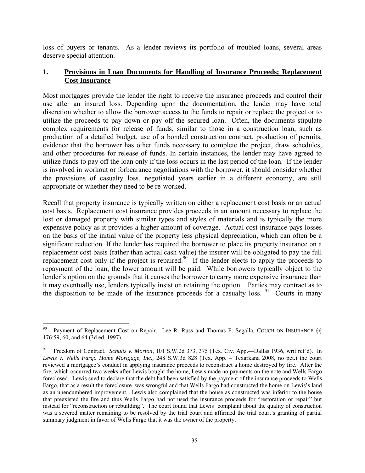loss of buyers or tenants. As a lender reviews its portfolio of troubled loans, several areas deserve special attention.

# **1. Provisions in Loan Documents for Handling of Insurance Proceeds; Replacement Cost Insurance**

Most mortgages provide the lender the right to receive the insurance proceeds and control their use after an insured loss. Depending upon the documentation, the lender may have total discretion whether to allow the borrower access to the funds to repair or replace the project or to utilize the proceeds to pay down or pay off the secured loan. Often, the documents stipulate complex requirements for release of funds, similar to those in a construction loan, such as production of a detailed budget, use of a bonded construction contract, production of permits, evidence that the borrower has other funds necessary to complete the project, draw schedules, and other procedures for release of funds. In certain instances, the lender may have agreed to utilize funds to pay off the loan only if the loss occurs in the last period of the loan. If the lender is involved in workout or forbearance negotiations with the borrower, it should consider whether the provisions of casualty loss, negotiated years earlier in a different economy, are still appropriate or whether they need to be re-worked.

Recall that property insurance is typically written on either a replacement cost basis or an actual cost basis. Replacement cost insurance provides proceeds in an amount necessary to replace the lost or damaged property with similar types and styles of materials and is typically the more expensive policy as it provides a higher amount of coverage. Actual cost insurance pays losses on the basis of the initial value of the property less physical depreciation, which can often be a significant reduction. If the lender has required the borrower to place its property insurance on a replacement cost basis (rather than actual cash value) the insurer will be obligated to pay the full replacement cost only if the project is repaired.<sup>90</sup> If the lender elects to apply the proceeds to repayment of the loan, the lower amount will be paid. While borrowers typically object to the lender's option on the grounds that it causes the borrower to carry more expensive insurance than it may eventually use, lenders typically insist on retaining the option. Parties may contract as to the disposition to be made of the insurance proceeds for a casualty loss.  $91$  Courts in many

 $\overline{a}$ Payment of Replacement Cost on Repair. Lee R. Russ and Thomas F. Segalla, COUCH ON INSURANCE §§ 176:59, 60, and 64 (3d ed. 1997).

<sup>91</sup> Freedom of Contract. *Schultz v. Morton*, 101 S.W.2d 373, 375 (Tex. Civ. App.—Dallas 1936, writ ref'd). In *Lewis v. Wells Fargo Home Mortgage, Inc.,* 248 S.W.3d 828 (Tex. App. – Texarkana 2008, no pet.) the court reviewed a mortgagee's conduct in applying insurance proceeds to reconstruct a home destroyed by fire. After the fire, which occurred two weeks after Lewis bought the home, Lewis made no payments on the note and Wells Fargo foreclosed. Lewis sued to declare that the debt had been satisfied by the payment of the insurance proceeds to Wells Fargo, that as a result the foreclosure was wrongful and that Wells Fargo had constructed the home on Lewis's land as an unencumbered improvement. Lewis also complained that the house as constructed was inferior to the house that preexisted the fire and thus Wells Fargo had not used the insurance proceeds for "restoration or repair" but instead for "reconstruction or rebuilding". The court found that Lewis' complaint about the quality of construction was a severed matter remaining to be resolved by the trial court and affirmed the trial court's granting of partial summary judgment in favor of Wells Fargo that it was the owner of the property.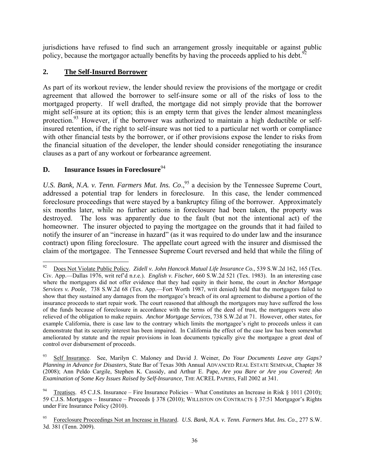jurisdictions have refused to find such an arrangement grossly inequitable or against public policy, because the mortgagor actually benefits by having the proceeds applied to his debt.<sup>9</sup>

# **2. The Self-Insured Borrower**

As part of its workout review, the lender should review the provisions of the mortgage or credit agreement that allowed the borrower to self-insure some or all of the risks of loss to the mortgaged property. If well drafted, the mortgage did not simply provide that the borrower might self-insure at its option; this is an empty term that gives the lender almost meaningless protection.<sup>93</sup> However, if the borrower was authorized to maintain a high deductible or selfinsured retention, if the right to self-insure was not tied to a particular net worth or compliance with other financial tests by the borrower, or if other provisions expose the lender to risks from the financial situation of the developer, the lender should consider renegotiating the insurance clauses as a part of any workout or forbearance agreement.

# **D. Insurance Issues in Foreclosure**<sup>94</sup>

*U.S. Bank, N.A. v. Tenn. Farmers Mut. Ins. Co.*,<sup>95</sup> a decision by the Tennessee Supreme Court, addressed a potential trap for lenders in foreclosure. In this case, the lender commenced foreclosure proceedings that were stayed by a bankruptcy filing of the borrower. Approximately six months later, while no further actions in foreclosure had been taken, the property was destroyed. The loss was apparently due to the fault (but not the intentional act) of the homeowner. The insurer objected to paying the mortgagee on the grounds that it had failed to notify the insurer of an "increase in hazard" (as it was required to do under law and the insurance contract) upon filing foreclosure. The appellate court agreed with the insurer and dismissed the claim of the mortgagee. The Tennessee Supreme Court reversed and held that while the filing of

<sup>92</sup> 92 Does Not Violate Public Policy. *Zidell v. John Hancock Mutual Life Insurance Co.*, 539 S.W.2d 162, 165 (Tex. Civ. App.—Dallas 1976, writ ref'd n.r.e.). *English v. Fischer,* 660 S.W.2d 521 (Tex. 1983). In an interesting case where the mortgagors did not offer evidence that they had equity in their home, the court in *Anchor Mortgage Services v. Poole*, 738 S.W.2d 68 (Tex. App.—Fort Worth 1987, writ denied) held that the mortgagors failed to show that they sustained any damages from the mortgagee's breach of its oral agreement to disburse a portion of the insurance proceeds to start repair work. The court reasoned that although the mortgagors may have suffered the loss of the funds because of foreclosure in accordance with the terms of the deed of trust, the mortgagors were also relieved of the obligation to make repairs. *Anchor Mortgage Services*, 738 S.W.2d at 71. However, other states, for example California, there is case law to the contrary which limits the mortgagee's right to proceeds unless it can demonstrate that its security interest has been impaired. In California the effect of the case law has been somewhat ameliorated by statute and the repair provisions in loan documents typically give the mortgagee a great deal of control over disbursement of proceeds.

<sup>93</sup> Self Insurance. See, Marilyn C. Maloney and David J. Weiner, *Do Your Documents Leave any Gaps? Planning in Advance for Disasters*, State Bar of Texas 30th Annual ADVANCED REAL ESTATE SEMINAR, Chapter 38 (2008); Ann Peldo Cargile, Stephen K. Cassidy, and Arthur E. Pape, *Are you Bare or Are you Covered; An Examination of Some Key Issues Raised by Self-Insurance*, THE ACREL PAPERS, Fall 2002 at 341.

<sup>94</sup> Treatises. 45 C.J.S. Insurance – Fire Insurance Policies – What Constitutes an Increase in Risk § 1011 (2010); 59 C.J.S. Mortgages – Insurance – Proceeds § 378 (2010); WILLISTON ON CONTRACTS § 37:51 Mortgagor's Rights under Fire Insurance Policy (2010).

<sup>95</sup> Foreclosure Proceedings Not an Increase in Hazard. *U.S. Bank, N.A. v. Tenn. Farmers Mut. Ins. Co*., 277 S.W. 3d. 381 (Tenn. 2009).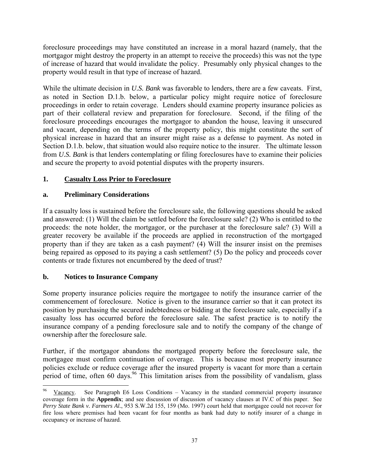foreclosure proceedings may have constituted an increase in a moral hazard (namely, that the mortgagor might destroy the property in an attempt to receive the proceeds) this was not the type of increase of hazard that would invalidate the policy. Presumably only physical changes to the property would result in that type of increase of hazard.

While the ultimate decision in *U.S. Bank* was favorable to lenders, there are a few caveats. First, as noted in Section D.1.b. below, a particular policy might require notice of foreclosure proceedings in order to retain coverage. Lenders should examine property insurance policies as part of their collateral review and preparation for foreclosure. Second, if the filing of the foreclosure proceedings encourages the mortgagor to abandon the house, leaving it unsecured and vacant, depending on the terms of the property policy, this might constitute the sort of physical increase in hazard that an insurer might raise as a defense to payment. As noted in Section D.1.b. below, that situation would also require notice to the insurer. The ultimate lesson from *U.S. Bank* is that lenders contemplating or filing foreclosures have to examine their policies and secure the property to avoid potential disputes with the property insurers.

# **1. Casualty Loss Prior to Foreclosure**

# **a. Preliminary Considerations**

If a casualty loss is sustained before the foreclosure sale, the following questions should be asked and answered: (1) Will the claim be settled before the foreclosure sale? (2) Who is entitled to the proceeds: the note holder, the mortgagor, or the purchaser at the foreclosure sale? (3) Will a greater recovery be available if the proceeds are applied in reconstruction of the mortgaged property than if they are taken as a cash payment? (4) Will the insurer insist on the premises being repaired as opposed to its paying a cash settlement? (5) Do the policy and proceeds cover contents or trade fixtures not encumbered by the deed of trust?

# **b. Notices to Insurance Company**

 $\overline{a}$ 

Some property insurance policies require the mortgagee to notify the insurance carrier of the commencement of foreclosure. Notice is given to the insurance carrier so that it can protect its position by purchasing the secured indebtedness or bidding at the foreclosure sale, especially if a casualty loss has occurred before the foreclosure sale. The safest practice is to notify the insurance company of a pending foreclosure sale and to notify the company of the change of ownership after the foreclosure sale.

Further, if the mortgagor abandons the mortgaged property before the foreclosure sale, the mortgagee must confirm continuation of coverage. This is because most property insurance policies exclude or reduce coverage after the insured property is vacant for more than a certain period of time, often 60 days.<sup>96</sup> This limitation arises from the possibility of vandalism, glass

Vacancy. See Paragraph E6 Loss Conditions – Vacancy in the standard commercial property insurance coverage form in the **Appendix**; and see discussion of discussion of vacancy clauses at IV.C of this paper. See *Perry State Bank v. Farmers Al.*, 953 S.W.2d 155, 159 (Mo. 1997) court held that mortgagee could not recover for fire loss where premises had been vacant for four months as bank had duty to notify insurer of a change in occupancy or increase of hazard.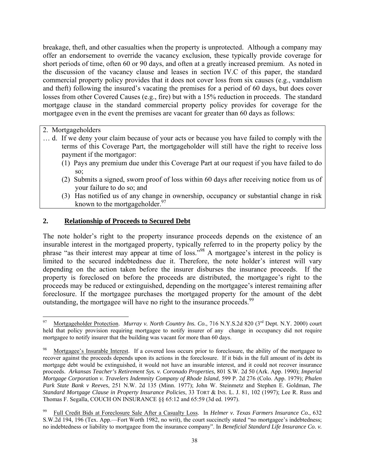breakage, theft, and other casualties when the property is unprotected. Although a company may offer an endorsement to override the vacancy exclusion, these typically provide coverage for short periods of time, often 60 or 90 days, and often at a greatly increased premium. As noted in the discussion of the vacancy clause and leases in section IV.C of this paper, the standard commercial property policy provides that it does not cover loss from six causes (e.g., vandalism and theft) following the insured's vacating the premises for a period of 60 days, but does cover losses from other Covered Causes (e.g., fire) but with a 15% reduction in proceeds. The standard mortgage clause in the standard commercial property policy provides for coverage for the mortgagee even in the event the premises are vacant for greater than 60 days as follows:

2. Mortgageholders

- … d. If we deny your claim because of your acts or because you have failed to comply with the terms of this Coverage Part, the mortgageholder will still have the right to receive loss payment if the mortgagor:
	- (1) Pays any premium due under this Coverage Part at our request if you have failed to do so;
	- (2) Submits a signed, sworn proof of loss within 60 days after receiving notice from us of your failure to do so; and
	- (3) Has notified us of any change in ownership, occupancy or substantial change in risk known to the mortgageholder. $97$

## **2. Relationship of Proceeds to Secured Debt**

The note holder's right to the property insurance proceeds depends on the existence of an insurable interest in the mortgaged property, typically referred to in the property policy by the phrase "as their interest may appear at time of loss."98 A mortgagee's interest in the policy is limited to the secured indebtedness due it. Therefore, the note holder's interest will vary depending on the action taken before the insurer disburses the insurance proceeds. If the property is foreclosed on before the proceeds are distributed, the mortgagee's right to the proceeds may be reduced or extinguished, depending on the mortgagee's interest remaining after foreclosure. If the mortgagee purchases the mortgaged property for the amount of the debt outstanding, the mortgagee will have no right to the insurance proceeds.<sup>99</sup>

 $\overline{a}$ Mortgageholder Protection. *Murray v. North Country Ins. Co.*, 716 N.Y.S.2d 820 (3<sup>rd</sup> Dept. N.Y. 2000) court held that policy provision requiring mortgagee to notify insurer of any change in occupancy did not require mortgagee to notify insurer that the building was vacant for more than 60 days.

Mortgagee's Insurable Interest. If a covered loss occurs prior to foreclosure, the ability of the mortgagee to recover against the proceeds depends upon its actions in the foreclosure. If it bids in the full amount of its debt its mortgage debt would be extinguished, it would not have an insurable interest, and it could not recover insurance proceeds. *Arkansas Teacher's Retirement Sys. v. Coronado Properties*, 801 S.W. 2d 50 (Ark. App. 1990); *Imperial Mortgage Corporation v. Travelers Indemnity Company of Rhode Island*, 599 P. 2d 276 (Colo. App. 1979); *Phalen Park State Bank v Reeves*, 251 N.W. 2d 135 (Minn. 1977); John W. Steinmetz and Stephen E. Goldman, *The Standard Mortgage Clause in Property Insurance Policies*, 33 TORT & INS. L. J. 81, 102 (1997); Lee R. Russ and Thomas F. Segalla, COUCH ON INSURANCE §§ 65:12 and 65:59 (3d ed. 1997).

<sup>99</sup> Full Credit Bids at Foreclosure Sale After a Casualty Loss. In *Helmer v. Texas Farmers Insurance Co.*, 632 S.W.2d 194, 196 (Tex. App.—Fort Worth 1982, no writ), the court succinctly stated "no mortgagee's indebtedness; no indebtedness or liability to mortgagee from the insurance company". In *Beneficial Standard Life Insurance Co. v.*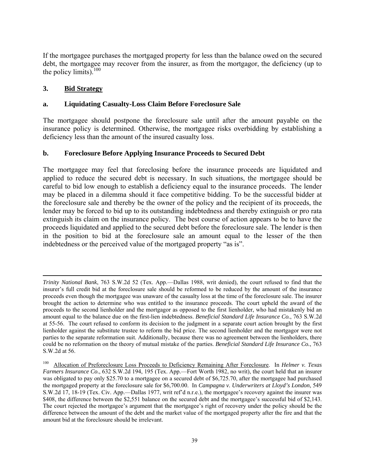If the mortgagee purchases the mortgaged property for less than the balance owed on the secured debt, the mortgagee may recover from the insurer, as from the mortgagor, the deficiency (up to the policy limits). $100$ 

# **3. Bid Strategy**

 $\overline{a}$ 

# **a. Liquidating Casualty-Loss Claim Before Foreclosure Sale**

The mortgagee should postpone the foreclosure sale until after the amount payable on the insurance policy is determined. Otherwise, the mortgagee risks overbidding by establishing a deficiency less than the amount of the insured casualty loss.

## **b. Foreclosure Before Applying Insurance Proceeds to Secured Debt**

The mortgagee may feel that foreclosing before the insurance proceeds are liquidated and applied to reduce the secured debt is necessary. In such situations, the mortgagee should be careful to bid low enough to establish a deficiency equal to the insurance proceeds. The lender may be placed in a dilemma should it face competitive bidding. To be the successful bidder at the foreclosure sale and thereby be the owner of the policy and the recipient of its proceeds, the lender may be forced to bid up to its outstanding indebtedness and thereby extinguish or pro rata extinguish its claim on the insurance policy. The best course of action appears to be to have the proceeds liquidated and applied to the secured debt before the foreclosure sale. The lender is then in the position to bid at the foreclosure sale an amount equal to the lesser of the then indebtedness or the perceived value of the mortgaged property "as is".

*Trinity National Bank*, 763 S.W.2d 52 (Tex. App.—Dallas 1988, writ denied), the court refused to find that the insurer's full credit bid at the foreclosure sale should be reformed to be reduced by the amount of the insurance proceeds even though the mortgagee was unaware of the casualty loss at the time of the foreclosure sale. The insurer brought the action to determine who was entitled to the insurance proceeds. The court upheld the award of the proceeds to the second lienholder and the mortgagor as opposed to the first lienholder, who had mistakenly bid an amount equal to the balance due on the first-lien indebtedness. *Beneficial Standard Life Insurance Co.*, 763 S.W.2d at 55-56. The court refused to conform its decision to the judgment in a separate court action brought by the first lienholder against the substitute trustee to reform the bid price. The second lienholder and the mortgagor were not parties to the separate reformation suit. Additionally, because there was no agreement between the lienholders, there could be no reformation on the theory of mutual mistake of the parties. *Beneficial Standard Life Insurance Co.*, 763 S.W.2d at 56.

<sup>100</sup> Allocation of Preforeclosure Loss Proceeds to Deficiency Remaining After Foreclosure. In *Helmer v. Texas Farmers Insurance Co.*, 632 S.W.2d 194, 195 (Tex. App.—Fort Worth 1982, no writ), the court held that an insurer was obligated to pay only \$25.70 to a mortgagee on a secured debt of \$6,725.70, after the mortgagee had purchased the mortgaged property at the foreclosure sale for \$6,700.00. In *Campagna v. Underwriters at Lloyd's London*, 549 S.W.2d 17, 18-19 (Tex. Civ. App.—Dallas 1977, writ ref'd n.r.e.), the mortgagee's recovery against the insurer was \$408, the difference between the \$2,551 balance on the secured debt and the mortgagee's successful bid of \$2,143. The court rejected the mortgagee's argument that the mortgagee's right of recovery under the policy should be the difference between the amount of the debt and the market value of the mortgaged property after the fire and that the amount bid at the foreclosure should be irrelevant.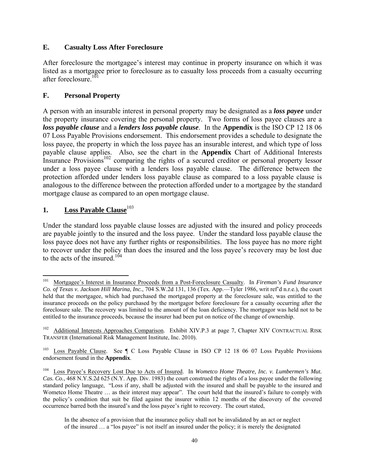# **E. Casualty Loss After Foreclosure**

After foreclosure the mortgagee's interest may continue in property insurance on which it was listed as a mortgagee prior to foreclosure as to casualty loss proceeds from a casualty occurring after foreclosure  $101$ 

# **F. Personal Property**

A person with an insurable interest in personal property may be designated as a *loss payee* under the property insurance covering the personal property. Two forms of loss payee clauses are a *loss payable clause* and a *lenders loss payable clause*. In the **Appendix** is the ISO CP 12 18 06 07 Loss Payable Provisions endorsement. This endorsement provides a schedule to designate the loss payee, the property in which the loss payee has an insurable interest, and which type of loss payable clause applies. Also, see the chart in the **Appendix** Chart of Additional Interests Insurance Provisions<sup>102</sup> comparing the rights of a secured creditor or personal property lessor under a loss payee clause with a lenders loss payable clause. The difference between the protection afforded under lenders loss payable clause as compared to a loss payable clause is analogous to the difference between the protection afforded under to a mortgagee by the standard mortgage clause as compared to an open mortgage clause.

## **1. Loss Payable Clause**<sup>103</sup>

 $\overline{a}$ 

Under the standard loss payable clause losses are adjusted with the insured and policy proceeds are payable jointly to the insured and the loss payee. Under the standard loss payable clause the loss payee does not have any further rights or responsibilities. The loss payee has no more right to recover under the policy than does the insured and the loss payee's recovery may be lost due to the acts of the insured  $104$ 

<sup>101</sup> Mortgagee's Interest in Insurance Proceeds from a Post-Foreclosure Casualty. In *Fireman's Fund Insurance Co. of Texas v. Jackson Hill Marina, Inc.*, 704 S.W.2d 131, 136 (Tex. App.—Tyler 1986, writ ref'd n.r.e.), the court held that the mortgagee, which had purchased the mortgaged property at the foreclosure sale, was entitled to the insurance proceeds on the policy purchased by the mortgagor before foreclosure for a casualty occurring after the foreclosure sale. The recovery was limited to the amount of the loan deficiency. The mortgagor was held not to be entitled to the insurance proceeds, because the insurer had been put on notice of the change of ownership.

<sup>&</sup>lt;sup>102</sup> Additional Interests Approaches Comparison. Exhibit XIV.P.3 at page 7, Chapter XIV CONTRACTUAL RISK TRANSFER (International Risk Management Institute, Inc. 2010).

Loss Payable Clause. See ¶ C Loss Payable Clause in ISO CP 12 18 06 07 Loss Payable Provisions endorsement found in the **Appendix**.

<sup>104</sup> Loss Payee's Recovery Lost Due to Acts of Insured. In *Wometco Home Theatre, Inc. v. Lumbermen's Mut. Cas. Co.*, 468 N.Y.S.2d 625 (N.Y. App. Div. 1983) the court construed the rights of a loss payee under the following standard policy language, "Loss if any, shall be adjusted with the insured and shall be payable to the insured and Wometco Home Theatre … as their interest may appear". The court held that the insured's failure to comply with the policy's condition that suit be filed against the insurer within 12 months of the discovery of the covered occurrence barred both the insured's and the loss payee's right to recovery. The court stated,

In the absence of a provision that the insurance policy shall not be invalidated by an act or neglect of the insured … a "los payee" is not itself an insured under the policy; it is merely the designated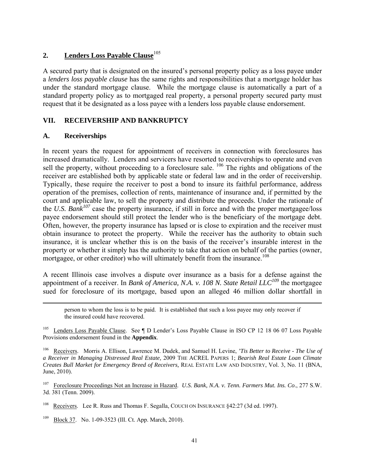# 2. **Lenders Loss Payable Clause**<sup>105</sup>

A secured party that is designated on the insured's personal property policy as a loss payee under a *lenders loss payable clause* has the same rights and responsibilities that a mortgage holder has under the standard mortgage clause. While the mortgage clause is automatically a part of a standard property policy as to mortgaged real property, a personal property secured party must request that it be designated as a loss payee with a lenders loss payable clause endorsement.

# **VII. RECEIVERSHIP AND BANKRUPTCY**

# **A. Receiverships**

In recent years the request for appointment of receivers in connection with foreclosures has increased dramatically. Lenders and servicers have resorted to receiverships to operate and even sell the property, without proceeding to a foreclosure sale. <sup>106</sup> The rights and obligations of the receiver are established both by applicable state or federal law and in the order of receivership. Typically, these require the receiver to post a bond to insure its faithful performance, address operation of the premises, collection of rents, maintenance of insurance and, if permitted by the court and applicable law, to sell the property and distribute the proceeds. Under the rationale of the *U.S. Bank<sup>107</sup>* case the property insurance, if still in force and with the proper mortgagee/loss payee endorsement should still protect the lender who is the beneficiary of the mortgage debt. Often, however, the property insurance has lapsed or is close to expiration and the receiver must obtain insurance to protect the property. While the receiver has the authority to obtain such insurance, it is unclear whether this is on the basis of the receiver's insurable interest in the property or whether it simply has the authority to take that action on behalf of the parties (owner, mortgagee, or other creditor) who will ultimately benefit from the insurance.<sup>108</sup>

A recent Illinois case involves a dispute over insurance as a basis for a defense against the appointment of a receiver. In *Bank of America, N.A. v. 108 N. State Retail LLC<sup>109</sup>* the mortgagee sued for foreclosure of its mortgage, based upon an alleged 46 million dollar shortfall in

 person to whom the loss is to be paid. It is established that such a loss payee may only recover if the insured could have recovered.

Lenders Loss Payable Clause. See ¶ D Lender's Loss Payable Clause in ISO CP 12 18 06 07 Loss Payable Provisions endorsement found in the **Appendix**.

106 Receivers. Morris A. Ellison, Lawrence M. Dudek, and Samuel H. Levine, *'Tis Better to Receive - The Use of a Receiver in Managing Distressed Real Estate,* 2009 THE ACREL PAPERS 1; *Bearish Real Estate Loan Climate Creates Bull Market for Emergency Breed of Receivers,* REAL ESTATE LAW AND INDUSTRY, Vol. 3, No. 11 (BNA, June, 2010).

107 Foreclosure Proceedings Not an Increase in Hazard. *U.S. Bank, N.A. v. Tenn. Farmers Mut. Ins. Co*., 277 S.W. 3d. 381 (Tenn. 2009).

<sup>108</sup> Receivers. Lee R. Russ and Thomas F. Segalla, COUCH ON INSURANCE §42:27 (3d ed. 1997).

<sup>109</sup> Block 37. No. 1-09-3523 (Ill. Ct. App. March, 2010).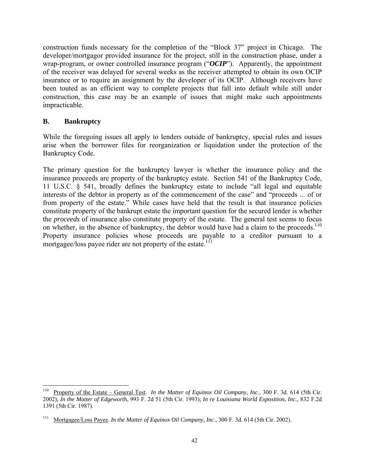construction funds necessary for the completion of the "Block 37" project in Chicago. The developer/mortgagor provided insurance for the project, still in the construction phase, under a wrap-program, or owner controlled insurance program ("*OCIP*"). Apparently, the appointment of the receiver was delayed for several weeks as the receiver attempted to obtain its own OCIP insurance or to require an assignment by the developer of its OCIP. Although receivers have been touted as an efficient way to complete projects that fall into default while still under construction, this case may be an example of issues that might make such appointments impracticable.

## **B. Bankruptcy**

While the foregoing issues all apply to lenders outside of bankruptcy, special rules and issues arise when the borrower files for reorganization or liquidation under the protection of the Bankruptcy Code.

The primary question for the bankruptcy lawyer is whether the insurance policy and the insurance proceeds are property of the bankruptcy estate. Section 541 of the Bankruptcy Code, 11 U.S.C. § 541, broadly defines the bankruptcy estate to include "all legal and equitable interests of the debtor in property as of the commencement of the case" and "proceeds ... of or from property of the estate." While cases have held that the result is that insurance policies constitute property of the bankrupt estate the important question for the secured lender is whether the *proceeds* of insurance also constitute property of the estate. The general test seems to focus on whether, in the absence of bankruptcy, the debtor would have had a claim to the proceeds.<sup>110</sup> Property insurance policies whose proceeds are payable to a creditor pursuant to a mortgagee/loss payee rider are not property of the estate.<sup>111</sup>

 $110\,$ 110 Property of the Estate – General Test. *In the Matter of Equinox Oil Company, Inc*., 300 F. 3d. 614 (5th Cir. 2002); *In the Matter of Edgeworth*, 993 F. 2d 51 (5th Cir. 1993); *In re Louisiana World Exposition, Inc.,* 832 F.2d 1391 (5th Cir. 1987).

<sup>111</sup> Mortgagee/Loss Payee. *In the Matter of Equinox Oil Company, Inc*., 300 F. 3d. 614 (5th Cir. 2002).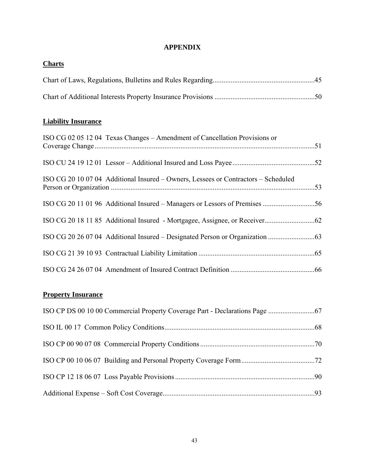# **APPENDIX**

| <b>Charts</b> |  |
|---------------|--|
|               |  |
|               |  |

# **Liability Insurance**

| ISO CG 02 05 12 04 Texas Changes – Amendment of Cancellation Provisions or         |  |
|------------------------------------------------------------------------------------|--|
|                                                                                    |  |
| ISO CG 20 10 07 04 Additional Insured – Owners, Lessees or Contractors – Scheduled |  |
|                                                                                    |  |
|                                                                                    |  |
|                                                                                    |  |
|                                                                                    |  |
|                                                                                    |  |

# **Property Insurance**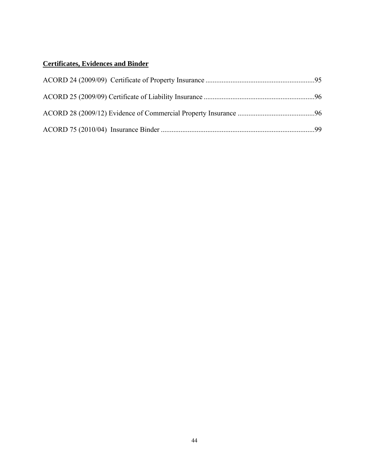# **Certificates, Evidences and Binder**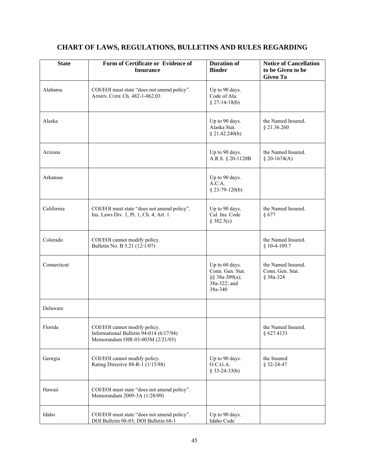| <b>State</b>                                                                                        | Form of Certificate or Evidence of<br><b>Insurance</b>                                                       |                                                                                 | <b>Notice of Cancellation</b><br>to be Given to be<br><b>Given To</b> |
|-----------------------------------------------------------------------------------------------------|--------------------------------------------------------------------------------------------------------------|---------------------------------------------------------------------------------|-----------------------------------------------------------------------|
| Alabama                                                                                             | COI/EOI must state "does not amend policy".<br>ADMIN. CODE Ch. 482-1-062.03                                  | Up to 90 days.<br>Code of Ala.<br>$§$ 27-14-18(b)                               |                                                                       |
| Alaska                                                                                              |                                                                                                              | Up to 90 days.<br>Alaska Stat.<br>\$21.42.240(b)                                | the Named Insured.<br>§ 21.36.260                                     |
| Arizona                                                                                             |                                                                                                              | Up to 90 days.<br>A.R.S. § 20-1120B                                             | the Named Insured.<br>§ 20-1674(A)                                    |
| Arkansas                                                                                            |                                                                                                              | Up to 90 days.<br>A.C.A.<br>$$23-79-120(b)$                                     |                                                                       |
| California<br>COI/EOI must state "does not amend policy".<br>Ins. Laws Div. 1, Pt. 1, Ch. 4, Art. 1 |                                                                                                              | Up to 90 days.<br>Cal. Ins. Code<br>§ 382.5(c)                                  | the Named Insured.<br>§ 677                                           |
| Colorado                                                                                            | COI/EOI cannot modify policy.<br>Bulletin No. B 5.21 (12/1/07)                                               |                                                                                 | the Named Insured.<br>$$10-4-109.7$                                   |
| Connecticut                                                                                         |                                                                                                              | Up to 60 days.<br>Conn. Gen. Stat.<br>§§ 38a-309(a);<br>38a-322; and<br>38a-340 | the Named Insured.<br>Conn. Gen. Stat.<br>§ 38a-324                   |
| Delaware                                                                                            |                                                                                                              |                                                                                 |                                                                       |
| Florida                                                                                             | COI/EOI cannot modify policy.<br>Informational Bulletin 94-014 (6/17/94)<br>Memorandum OIR-03-003M (2/21/03) |                                                                                 | the Named Insured.<br>§ 627.4133                                      |
| Georgia                                                                                             | COI/EOI cannot modify policy.<br>Rating Directive 88-R-1 (1/15/88)                                           | Up to 90 days.<br>O.C.G.A.<br>$§$ 33-24-33(b)                                   | the Insured<br>§ 32-24-47                                             |
| Hawaii                                                                                              | COI/EOI must state "does not amend policy".<br>Memorandum 2009-3A (1/28/09)                                  |                                                                                 |                                                                       |
| Idaho                                                                                               | COI/EOI must state "does not amend policy".<br>DOI Bulletin 08-03; DOI Bulletin 68-1                         | Up to 90 days.<br>Idaho Code                                                    |                                                                       |

# **CHART OF LAWS, REGULATIONS, BULLETINS AND RULES REGARDING**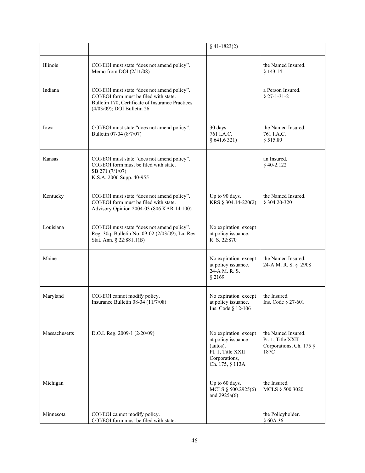|               |                                                                                                                                                                         | $§$ 41-1823(2)                                                                                                  |                                                                            |
|---------------|-------------------------------------------------------------------------------------------------------------------------------------------------------------------------|-----------------------------------------------------------------------------------------------------------------|----------------------------------------------------------------------------|
| Illinois      | COI/EOI must state "does not amend policy".<br>Memo from DOI $(2/11/08)$                                                                                                |                                                                                                                 | the Named Insured.<br>§ 143.14                                             |
| Indiana       | COI/EOI must state "does not amend policy".<br>COI/EOI form must be filed with state.<br>Bulletin 170, Certificate of Insurance Practices<br>(4/03/09); DOI Bulletin 26 |                                                                                                                 | a Person Insured.<br>$§$ 27-1-31-2                                         |
| Iowa          | COI/EOI must state "does not amend policy".<br>Bulletin 07-04 (8/7/07)                                                                                                  | 30 days.<br>761 I.A.C.<br>§ 641.6321)                                                                           | the Named Insured.<br>761 I.A.C.<br>§ 515.80                               |
| Kansas        | COI/EOI must state "does not amend policy".<br>COI/EOI form must be filed with state.<br>SB 271 (7/1/07)<br>K.S.A. 2006 Supp. 40-955                                    |                                                                                                                 | an Insured.<br>$§$ 40-2.122                                                |
| Kentucky      | COI/EOI must state "does not amend policy".<br>COI/EOI form must be filed with state.<br>Advisory Opinion 2004-03 (806 KAR 14:100)                                      | Up to 90 days.<br>KRS § 304.14-220(2)                                                                           | the Named Insured.<br>§ 304.20-320                                         |
| Louisiana     | COI/EOI must state "does not amend policy".<br>Reg. 30q; Bulletin No. 09-02 (2/03/09); La. Rev.<br>Stat. Ann. § 22:881.1(B)                                             | No expiration except<br>at policy issuance.<br>R. S. 22:870                                                     |                                                                            |
| Maine         |                                                                                                                                                                         | No expiration except<br>at policy issuance.<br>24-A M. R. S.<br>§ 2169                                          | the Named Insured.<br>24-A M. R. S. § 2908                                 |
| Maryland      | COI/EOI cannot modify policy.<br>Insurance Bulletin 08-34 (11/7/08)                                                                                                     | No expiration except<br>at policy issuance.<br>Ins. Code § 12-106                                               | the Insured.<br>Ins. Code § 27-601                                         |
| Massachusetts | D.O.I. Reg. 2009-1 (2/20/09)                                                                                                                                            | No expiration except<br>at policy issuance<br>(autos).<br>Pt. 1, Title XXII<br>Corporations,<br>Ch. 175, § 113A | the Named Insured.<br>Pt. 1, Title XXII<br>Corporations, Ch. 175 §<br>187C |
| Michigan      |                                                                                                                                                                         | Up to 60 days.<br>MCLS § 500.2925(6)<br>and $2925a(6)$                                                          | the Insured.<br>MCLS § 500.3020                                            |
| Minnesota     | COI/EOI cannot modify policy.<br>COI/EOI form must be filed with state.                                                                                                 |                                                                                                                 | the Policyholder.<br>§ 60A.36                                              |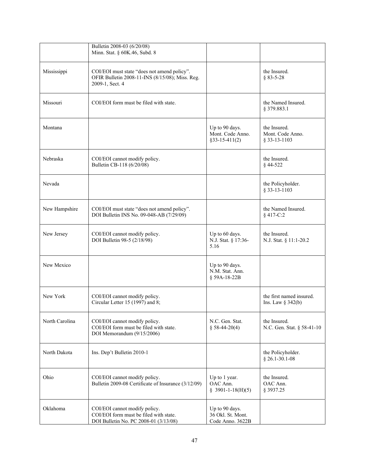|                | Bulletin 2008-03 (6/20/08)<br>Minn. Stat. § 60K.46, Subd. 8                                                       |                                                         |                                                    |
|----------------|-------------------------------------------------------------------------------------------------------------------|---------------------------------------------------------|----------------------------------------------------|
| Mississippi    | COI/EOI must state "does not amend policy".<br>OFIR Bulletin 2008-11-INS (8/15/08); Miss. Reg.<br>2009-1, Sect. 4 |                                                         | the Insured.<br>$§ 83 - 5 - 28$                    |
| Missouri       | COI/EOI form must be filed with state.                                                                            |                                                         | the Named Insured.<br>§ 379.883.1                  |
| Montana        |                                                                                                                   | Up to 90 days.<br>Mont. Code Anno.<br>$§33-15-411(2)$   | the Insured.<br>Mont. Code Anno.<br>$§$ 33-13-1103 |
| Nebraska       | COI/EOI cannot modify policy.<br>Bulletin CB-118 (6/20/08)                                                        |                                                         | the Insured.<br>§44-522                            |
| Nevada         |                                                                                                                   |                                                         | the Policyholder.<br>§ 33-13-1103                  |
| New Hampshire  | COI/EOI must state "does not amend policy".<br>DOI Bulletin INS No. 09-048-AB (7/29/09)                           |                                                         | the Named Insured.<br>§ 417-C:2                    |
| New Jersey     | COI/EOI cannot modify policy.<br>DOI Bulletin 98-5 (2/18/98)                                                      | Up to 60 days.<br>N.J. Stat. § 17:36-<br>5.16           | the Insured.<br>N.J. Stat. § 11:1-20.2             |
| New Mexico     |                                                                                                                   | Up to 90 days.<br>N.M. Stat. Ann.<br>§ 59A-18-22B       |                                                    |
| New York       | COI/EOI cannot modify policy.<br>Circular Letter 15 (1997) and 8;                                                 |                                                         | the first named insured.<br>Ins. Law $\S$ 342(b)   |
| North Carolina | COI/EOI cannot modify policy.<br>COI/EOI form must be filed with state.<br>DOI Memorandum (9/15/2006)             | N.C. Gen. Stat.<br>$$58-44-20(4)$                       | the Insured.<br>N.C. Gen. Stat. § 58-41-10         |
| North Dakota   | Ins. Dep't Bulletin 2010-1                                                                                        |                                                         | the Policyholder.<br>$§$ 26.1-30.1-08              |
| Ohio           | COI/EOI cannot modify policy.<br>Bulletin 2009-08 Certificate of Insurance (3/12/09)                              | Up to 1 year.<br>OAC Ann.<br>$$3901-1-18(H)(5)$         | the Insured.<br>OAC Ann.<br>§ 3937.25              |
| Oklahoma       | COI/EOI cannot modify policy.<br>COI/EOI form must be filed with state.<br>DOI Bulletin No. PC 2008-01 (3/13/08)  | Up to 90 days.<br>36 Okl. St. Mont.<br>Code Anno. 3622B |                                                    |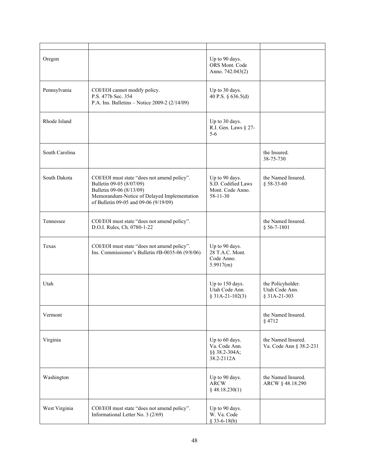| Oregon                                                                                                                                                                                                      |                                                                                                        | Up to 90 days.<br>ORS Mont. Code<br>Anno. 742.043(2)                       |                                                     |
|-------------------------------------------------------------------------------------------------------------------------------------------------------------------------------------------------------------|--------------------------------------------------------------------------------------------------------|----------------------------------------------------------------------------|-----------------------------------------------------|
| Pennsylvania                                                                                                                                                                                                | COI/EOI cannot modify policy.<br>P.S. 477b Sec. 354<br>P.A. Ins. Bulletins – Notice 2009-2 $(2/14/09)$ | Up to 30 days.<br>40 P.S. § 636.5(d)                                       |                                                     |
| Rhode Island                                                                                                                                                                                                |                                                                                                        | Up to 30 days.<br>R.I. Gen. Laws § 27-<br>$5 - 6$                          |                                                     |
| South Carolina                                                                                                                                                                                              |                                                                                                        |                                                                            | the Insured.<br>38-75-730                           |
| South Dakota<br>COI/EOI must state "does not amend policy".<br>Bulletin 09-05 (8/07/09)<br>Bulletin 09-06 (8/13/09)<br>Memorandum-Notice of Delayed Implementation<br>of Bulletin 09-05 and 09-06 (9/19/09) |                                                                                                        | Up to 90 days.<br>S.D. Codified Laws<br>Mont. Code Anno.<br>$58 - 11 - 30$ | the Named Insured.<br>$§$ 58-33-60                  |
| Tennessee                                                                                                                                                                                                   | COI/EOI must state "does not amend policy".<br>D.O.I. Rules, Ch. 0780-1-22                             |                                                                            | the Named Insured.<br>$§$ 56-7-1801                 |
| Texas                                                                                                                                                                                                       | COI/EOI must state "does not amend policy".<br>Ins. Commissioner's Bulletin #B-0035-06 (9/8/06)        | Up to 90 days.<br>28 T.A.C. Mont.<br>Code Anno.<br>5.9917(m)               |                                                     |
| Utah                                                                                                                                                                                                        |                                                                                                        | Up to 150 days.<br>Utah Code Ann.<br>$$31A-21-102(3)$                      | the Policyholder.<br>Utah Code Ann.<br>§ 31A-21-303 |
| Vermont                                                                                                                                                                                                     |                                                                                                        |                                                                            | the Named Insured.<br>$§$ 4712                      |
| Virginia                                                                                                                                                                                                    |                                                                                                        | Up to 60 days.<br>Va. Code Ann.<br>§§ 38.2-304A;<br>38.2-2112A             | the Named Insured.<br>Va. Code Ann § 38.2-231       |
| Washington                                                                                                                                                                                                  |                                                                                                        | Up to 90 days.<br><b>ARCW</b><br>$§$ 48.18.230(1)                          | the Named Insured.<br>ARCW § 48.18.290              |
| West Virginia                                                                                                                                                                                               | COI/EOI must state "does not amend policy".<br>Informational Letter No. 3 (2/69)                       | Up to 90 days.<br>W. Va. Code<br>$§$ 33-6-18(b)                            |                                                     |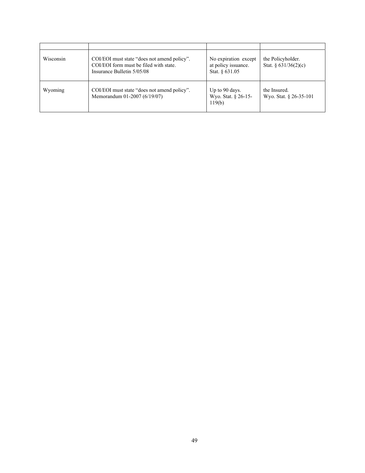| Wisconsin | COI/EOI must state "does not amend policy".<br>COI/EOI form must be filed with state.<br>Insurance Bulletin 5/05/08 | No expiration except<br>at policy issuance.<br>Stat. $§ 631.05$ | the Policyholder.<br>Stat. $\frac{631}{36(2)}$ (c) |
|-----------|---------------------------------------------------------------------------------------------------------------------|-----------------------------------------------------------------|----------------------------------------------------|
| Wyoming   | COI/EOI must state "does not amend policy".<br>Memorandum 01-2007 (6/19/07)                                         | Up to 90 days.<br>Wyo. Stat. § 26-15-<br>119(b)                 | the Insured.<br>Wyo. Stat. § 26-35-101             |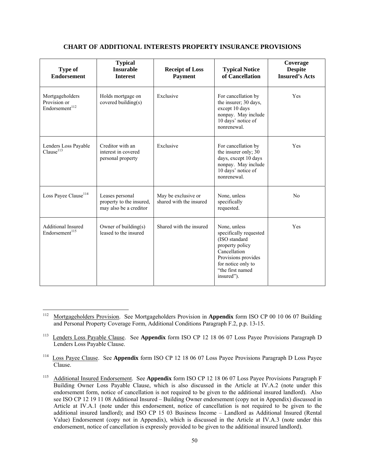### **CHART OF ADDITIONAL INTERESTS PROPERTY INSURANCE PROVISIONS**

| <b>Type of</b><br><b>Endorsement</b>                          | <b>Typical</b><br><b>Insurable</b><br><b>Interest</b>                 | <b>Receipt of Loss</b><br><b>Payment</b>       | <b>Typical Notice</b><br>of Cancellation                                                                                                                                  | Coverage<br><b>Despite</b><br><b>Insured's Acts</b> |
|---------------------------------------------------------------|-----------------------------------------------------------------------|------------------------------------------------|---------------------------------------------------------------------------------------------------------------------------------------------------------------------------|-----------------------------------------------------|
| Mortgageholders<br>Provision or<br>Endorsement <sup>112</sup> | Holds mortgage on<br>covered building(s)                              | Exclusive                                      | For cancellation by<br>the insurer; 30 days,<br>except 10 days<br>nonpay. May include<br>10 days' notice of<br>nonrenewal.                                                | Yes                                                 |
| Lenders Loss Payable<br>Clause <sup>113</sup>                 | Creditor with an<br>interest in covered<br>personal property          | Exclusive                                      | For cancellation by<br>the insurer only; 30<br>days, except 10 days<br>nonpay. May include<br>10 days' notice of<br>nonrenewal.                                           | <b>Yes</b>                                          |
| Loss Payee Clause <sup>114</sup>                              | Leases personal<br>property to the insured,<br>may also be a creditor | May be exclusive or<br>shared with the insured | None, unless<br>specifically<br>requested.                                                                                                                                | No                                                  |
| <b>Additional Insured</b><br>Endorsement <sup>115</sup>       | Owner of building(s)<br>leased to the insured                         | Shared with the insured                        | None, unless<br>specifically requested<br>(ISO standard<br>property policy<br>Cancellation<br>Provisions provides<br>for notice only to<br>"the first named<br>insured"). | Yes                                                 |

<sup>112</sup> 112 Mortgageholders Provision. See Mortgageholders Provision in **Appendix** form ISO CP 00 10 06 07 Building and Personal Property Coverage Form, Additional Conditions Paragraph F.2, p.p. 13-15.

<sup>&</sup>lt;sup>113</sup> Lenders Loss Payable Clause. See Appendix form ISO CP 12 18 06 07 Loss Payee Provisions Paragraph D Lenders Loss Payable Clause.

<sup>&</sup>lt;sup>114</sup> Loss Payee Clause. See Appendix form ISO CP 12 18 06 07 Loss Payee Provisions Paragraph D Loss Payee Clause.

<sup>115</sup> Additional Insured Endorsement. See **Appendix** form ISO CP 12 18 06 07 Loss Payee Provisions Paragraph F Building Owner Loss Payable Clause, which is also discussed in the Article at IV.A.2 (note under this endorsement form, notice of cancellation is not required to be given to the additional insured landlord). Also see ISO CP 12 19 11 08 Additional Insured – Building Owner endorsement (copy not in Appendix) discussed in Article at IV.A.1 (note under this endorsement, notice of cancellation is not required to be given to the additional insured landlord); and ISO CP 15 03 Business Income – Landlord as Additional Insured (Rental Value) Endorsement (copy not in Appendix), which is discussed in the Article at IV.A.3 (note under this endorsement, notice of cancellation is expressly provided to be given to the additional insured landlord).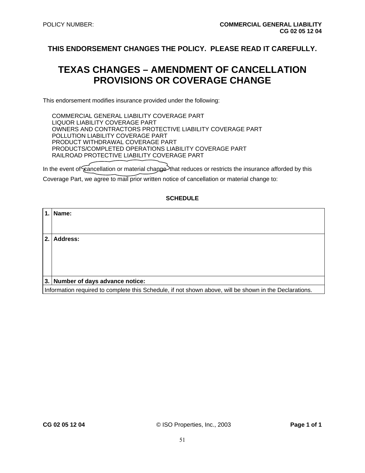# **TEXAS CHANGES – AMENDMENT OF CANCELLATION PROVISIONS OR COVERAGE CHANGE**

This endorsement modifies insurance provided under the following:

COMMERCIAL GENERAL LIABILITY COVERAGE PART LIQUOR LIABILITY COVERAGE PART OWNERS AND CONTRACTORS PROTECTIVE LIABILITY COVERAGE PART POLLUTION LIABILITY COVERAGE PART PRODUCT WITHDRAWAL COVERAGE PART PRODUCTS/COMPLETED OPERATIONS LIABILITY COVERAGE PART RAILROAD PROTECTIVE LIABILITY COVERAGE PART

In the event of  $\epsilon$  ancellation or material change that reduces or restricts the insurance afforded by this

Coverage Part, we agree to mail prior written notice of cancellation or material change to:

#### **SCHEDULE**

| 1.1 | Name:                                                                                                  |
|-----|--------------------------------------------------------------------------------------------------------|
|     |                                                                                                        |
|     |                                                                                                        |
| 2.  | Address:                                                                                               |
|     |                                                                                                        |
|     |                                                                                                        |
|     |                                                                                                        |
|     |                                                                                                        |
|     |                                                                                                        |
|     | 3. Number of days advance notice:                                                                      |
|     | Information required to complete this Schedule, if not shown above, will be shown in the Declarations. |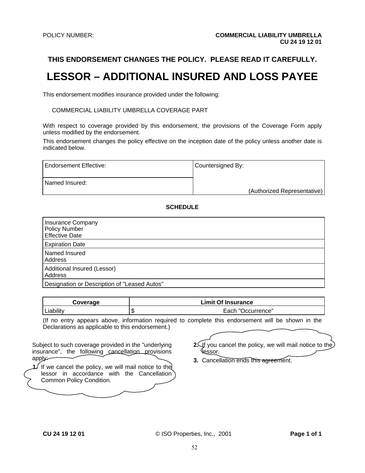# **LESSOR – ADDITIONAL INSURED AND LOSS PAYEE**

This endorsement modifies insurance provided under the following:

COMMERCIAL LIABILITY UMBRELLA COVERAGE PART

With respect to coverage provided by this endorsement, the provisions of the Coverage Form apply unless modified by the endorsement.

This endorsement changes the policy effective on the inception date of the policy unless another date is indicated below.

| Endorsement Effective: | Countersigned By:           |
|------------------------|-----------------------------|
| Named Insured:         | (Authorized Representative) |
|                        |                             |

### **SCHEDULE**

| <b>Insurance Company</b><br><b>Policy Number</b><br><b>Effective Date</b> |
|---------------------------------------------------------------------------|
| <b>Expiration Date</b>                                                    |
| Named Insured<br>Address                                                  |
| Additional Insured (Lessor)<br>Address                                    |
| Designation or Description of "Leased Autos"                              |

| Coverage                                         | <b>Limit Of Insurance</b>                                                                          |
|--------------------------------------------------|----------------------------------------------------------------------------------------------------|
| Liability                                        | Each "Occurrence"                                                                                  |
|                                                  | (If no entry appears above, information required to complete this endorsement will be shown in the |
| Declarations as applicable to this endorsement.) |                                                                                                    |

| Subject to such coverage provided in the "underlying"<br>insurance", the following cancellation provisions<br>apply: |
|----------------------------------------------------------------------------------------------------------------------|
| If we cancel the policy, we will mail notice to the<br>lessor in accordance with the Cancellation                    |
| Common Policy Condition.                                                                                             |

- **2.** If you cancel the policy, we will mail notice to the lessor.
- **3.** Cancellation ends this agreement.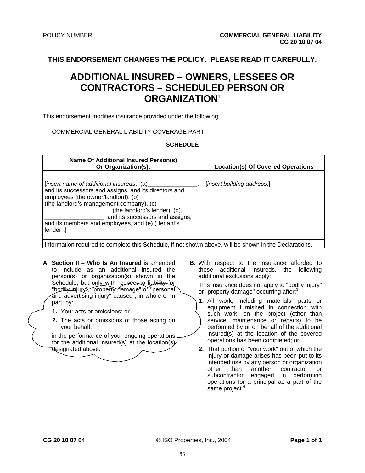# **ADDITIONAL INSURED – OWNERS, LESSEES OR CONTRACTORS – SCHEDULED PERSON OR ORGANIZATION**<sup>1</sup>

This endorsement modifies insurance provided under the following:

#### COMMERCIAL GENERAL LIABILITY COVERAGE PART

#### **SCHEDULE**

| <b>Name Of Additional Insured Person(s)</b><br>Or Organization(s):                                                                                                                                                                                                                                                        | <b>Location(s) Of Covered Operations</b> |
|---------------------------------------------------------------------------------------------------------------------------------------------------------------------------------------------------------------------------------------------------------------------------------------------------------------------------|------------------------------------------|
| [insert name of additional insureds: (a)<br>and its successors and assigns, and its directors and<br>employees (the owner/landlord), (b)<br>(the landlord's management company), (c)<br>(the landlord's lender), (d),<br>and its successors and assigns,<br>and its members and employees, and (e) ("tenant's<br>lender". | [insert building address.]               |

Information required to complete this Schedule, if not shown above, will be shown in the Declarations.

- **A. Section II Who Is An Insured** is amended to include as an additional insured the person(s) or organization(s) shown in the Schedule, but only with respect to liability for "bodily injury", "property damage" or "personal and advertising injury" caused<sup>2</sup>, in whole or in part, by:
	- **1.** Your acts or omissions; or
	- **2.** The acts or omissions of those acting on your behalf;

in the performance of your ongoing operations, for the additional insured(s) at the location(s) designated above.

**B.** With respect to the insurance afforded to these additional insureds, the following additional exclusions apply:

This insurance does not apply to "bodily injury" or "property damage" occurring after:<sup>3</sup>

- **1.** All work, including materials, parts or equipment furnished in connection with such work, on the project (other than service, maintenance or repairs) to be performed by or on behalf of the additional insured(s) at the location of the covered operations has been completed; or
- **2.** That portion of "your work" out of which the injury or damage arises has been put to its intended use by any person or organization other than another contractor or subcontractor engaged in performing operations for a principal as a part of the same project.<sup>4</sup>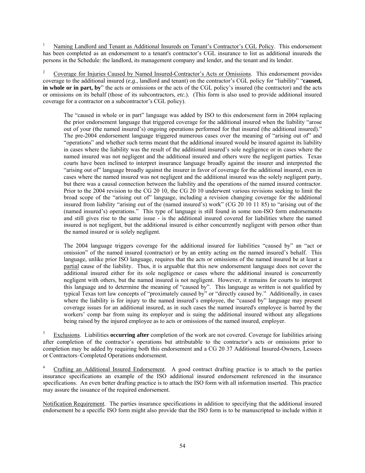<sup>1</sup> Naming Landlord and Tenant as Additional Insureds on Tenant's Contractor's CGL Policy. This endorsement has been completed as an endorsement to a tenant's contractor's CGL insurance to list as additional insureds the persons in the Schedule: the landlord, its management company and lender, and the tenant and its lender.

2 Coverage for Injuries Caused by Named Insured-Contractor's Acts or Omissions. This endorsement provides coverage to the additional insured (*e.g*., landlord and tenant) on the contractor's CGL policy for "liability" "**caused, in whole or in part, by**" the acts or omissions or the acts of the CGL policy's insured (the contractor) and the acts or omissions on its behalf (those of its subcontractors, *etc.*). (This form is also used to provide additional insured coverage for a contractor on a subcontractor's CGL policy).

The "caused in whole or in part" language was added by ISO to this endorsement form in 2004 replacing the prior endorsement language that triggered coverage for the additional insured when the liability "arose out of your (the named insured's) ongoing operations performed for that insured (the additional insured)." The pre-2004 endorsement language triggered numerous cases over the meaning of "arising out of" and "operations" and whether such terms meant that the additional insured would be insured against its liability in cases where the liability was the result of the additional insured's sole negligence or in cases where the named insured was not negligent and the additional insured and others were the negligent parties. Texas courts have been inclined to interpret insurance language broadly against the insurer and interpreted the "arising out of" language broadly against the insurer in favor of coverage for the additional insured, even in cases where the named insured was not negligent and the additional insured was the solely negligent party, but there was a causal connection between the liability and the operations of the named insured contractor. Prior to the 2004 revision to the CG 20 10, the CG 20 10 underwent various revisions seeking to limit the broad scope of the "arising out of" language, including a revision changing coverage for the additional insured from liability "arising out of the (named insured's) work" (CG 20 10 11 85) to "arising out of the (named insured's) operations." This type of language is still found in some non-ISO form endorsements and still gives rise to the same issue - is the additional insured covered for liabilities where the named insured is not negligent, but the additional insured is either concurrently negligent with person other than the named insured or is solely negligent.

The 2004 language triggers coverage for the additional insured for liabilities "caused by" an "act or omission" of the named insured (contractor) or by an entity acting on the named insured's behalf. This language, unlike prior ISO language, requires that the acts or omissions of the named insured be at least a partial cause of the liability. Thus, it is arguable that this new endorsement language does not cover the additional insured either for its sole negligence or cases where the additional insured is concurrently negligent with others, but the named insured is not negligent. However, it remains for courts to interpret this language and to determine the meaning of "caused by". This language as written is not qualified by typical Texas tort law concepts of "proximately caused by" or "directly caused by." Additionally, in cases where the liability is for injury to the named insured's employee, the "caused by" language may present coverage issues for an additional insured, as in such cases the named insured's employee is barred by the workers' comp bar from suing its employer and is suing the additional insured without any allegations being raised by the injured employee as to acts or omissions of the named insured, employer.

3 Exclusions. Liabilities **occurring after** completion of the work are not covered. Coverage for liabilities arising after completion of the contractor's operations but attributable to the contractor's acts or omissions prior to completion may be added by requiring both this endorsement and a CG 20 37 Additional Insured-Owners, Lessees or Contractors–Completed Operations endorsement.

4 Crafting an Additional Insured Endorsement. A good contract drafting practice is to attach to the parties insurance specifications an example of the ISO additional insured endorsement referenced in the insurance specifications. An even better drafting practice is to attach the ISO form with all information inserted. This practice may assure the issuance of the required endorsement.

Notification Requirement. The parties insurance specifications in addition to specifying that the additional insured endorsement be a specific ISO form might also provide that the ISO form is to be manuscripted to include within it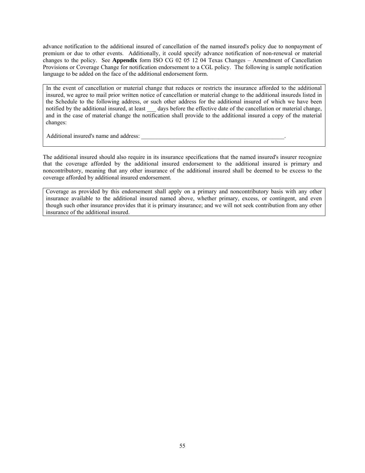advance notification to the additional insured of cancellation of the named insured's policy due to nonpayment of premium or due to other events. Additionally, it could specify advance notification of non-renewal or material changes to the policy. See **Appendix** form ISO CG 02 05 12 04 Texas Changes – Amendment of Cancellation Provisions or Coverage Change for notification endorsement to a CGL policy. The following is sample notification language to be added on the face of the additional endorsement form.

In the event of cancellation or material change that reduces or restricts the insurance afforded to the additional insured, we agree to mail prior written notice of cancellation or material change to the additional insureds listed in the Schedule to the following address, or such other address for the additional insured of which we have been notified by the additional insured, at least days before the effective date of the cancellation or material change, and in the case of material change the notification shall provide to the additional insured a copy of the material changes:

Additional insured's name and address:

The additional insured should also require in its insurance specifications that the named insured's insurer recognize that the coverage afforded by the additional insured endorsement to the additional insured is primary and noncontributory, meaning that any other insurance of the additional insured shall be deemed to be excess to the coverage afforded by additional insured endorsement.

Coverage as provided by this endorsement shall apply on a primary and noncontributory basis with any other insurance available to the additional insured named above, whether primary, excess, or contingent, and even though such other insurance provides that it is primary insurance; and we will not seek contribution from any other insurance of the additional insured.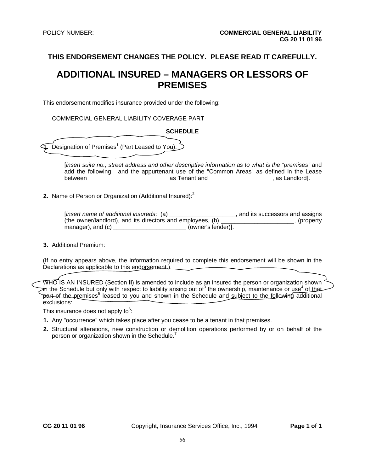# **ADDITIONAL INSURED – MANAGERS OR LESSORS OF PREMISES**

This endorsement modifies insurance provided under the following:

COMMERCIAL GENERAL LIABILITY COVERAGE PART

| <b>SCHEDULE</b>                                                                                                                                                                                                                                                                                                                                                                                                         |
|-------------------------------------------------------------------------------------------------------------------------------------------------------------------------------------------------------------------------------------------------------------------------------------------------------------------------------------------------------------------------------------------------------------------------|
| Designation of Premises <sup>1</sup> (Part Leased to You):<br>$\mathbf{1}$                                                                                                                                                                                                                                                                                                                                              |
| [insert suite no., street address and other descriptive information as to what is the "premises" and<br>add the following: and the appurtenant use of the "Common Areas" as defined in the Lease                                                                                                                                                                                                                        |
| 2. Name of Person or Organization (Additional Insured): <sup>2</sup>                                                                                                                                                                                                                                                                                                                                                    |
| [insert name of additional insureds: (a) _____________________, and its successors and assigns (the owner/landlord), and its directors and employees, (b) _____________________, (property<br>manager), and (c) ___________________________ (owner's lender)].                                                                                                                                                          |
| 3. Additional Premium:                                                                                                                                                                                                                                                                                                                                                                                                  |
| (If no entry appears above, the information required to complete this endorsement will be shown in the<br>Declarations as applicable to this endorsement.                                                                                                                                                                                                                                                               |
| WHO IS AN INSURED (Section <b>II</b> ) is amended to include as an insured the person or organization shown <sup>1</sup><br><del>in</del> the Schedule but only with respect to liability arising out of <sup>3</sup> the ownership, maintenance or use <sup>4</sup> o <u>f tha</u><br>part of the premises <sup>5</sup> leased to you and shown in the Schedule and subject to the following additional<br>exclusions: |
| This insurance does not apply to <sup>6</sup> :                                                                                                                                                                                                                                                                                                                                                                         |
| 1. Any "occurrence" which takes place after you cease to be a tenant in that premises.                                                                                                                                                                                                                                                                                                                                  |

 **2.** Structural alterations, new construction or demolition operations performed by or on behalf of the person or organization shown in the Schedule. $^7$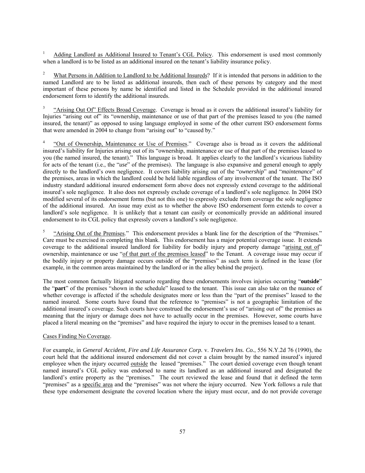1 Adding Landlord as Additional Insured to Tenant's CGL Policy. This endorsement is used most commonly when a landlord is to be listed as an additional insured on the tenant's liability insurance policy.

2 What Persons in Addition to Landlord to be Additional Insureds? If it is intended that persons in addition to the named Landlord are to be listed as additional insureds, then each of these persons by category and the most important of these persons by name be identified and listed in the Schedule provided in the additional insured endorsement form to identify the additional insureds.

3 "Arising Out Of" Effects Broad Coverage. Coverage is broad as it covers the additional insured's liability for Injuries "arising out of" its "ownership, maintenance or use of that part of the premises leased to you (the named insured, the tenant)" as opposed to using language employed in some of the other current ISO endorsement forms that were amended in 2004 to change from "arising out" to "caused by."

4 "Out of Ownership, Maintenance or Use of Premises." Coverage also is broad as it covers the additional insured's liability for Injuries arising out of its "ownership, maintenance or use of that part of the premises leased to you (the named insured, the tenant)." This language is broad. It applies clearly to the landlord's vicarious liability for acts of the tenant (i.e., the "*use*" of the premises). The language is also expansive and general enough to apply directly to the landlord's own negligence. It covers liability arising out of the "*ownership*" and "*maintenance*" of the premises, areas in which the landlord could be held liable regardless of any involvement of the tenant. The ISO industry standard additional insured endorsement form above does not expressly extend coverage to the additional insured's sole negligence. It also does not expressly exclude coverage of a landlord's sole negligence. In 2004 ISO modified several of its endorsement forms (but not this one) to expressly exclude from coverage the sole negligence of the additional insured. An issue may exist as to whether the above ISO endorsement form extends to cover a landlord's sole negligence. It is unlikely that a tenant can easily or economically provide an additional insured endorsement to its CGL policy that expressly covers a landlord's sole negligence.

5 "Arising Out of the Premises." This endorsement provides a blank line for the description of the "Premises." Care must be exercised in completing this blank. This endorsement has a major potential coverage issue. It extends coverage to the additional insured landlord for liability for bodily injury and property damage "arising out of" ownership, maintenance or use "of that part of the premises leased" to the Tenant. A coverage issue may occur if the bodily injury or property damage occurs outside of the "premises" as such term is defined in the lease (for example, in the common areas maintained by the landlord or in the alley behind the project).

The most common factually litigated scenario regarding these endorsements involves injuries occurring "**outside**" the "**part**" of the premises "shown in the schedule" leased to the tenant. This issue can also take on the nuance of whether coverage is affected if the schedule designates more or less than the "part of the premises" leased to the named insured. Some courts have found that the reference to "premises" is not a geographic limitation of the additional insured's coverage. Such courts have construed the endorsement's use of "arising out of" the premises as meaning that the injury or damage does not have to actually occur in the premises. However, some courts have placed a literal meaning on the "premises" and have required the injury to occur in the premises leased to a tenant.

#### Cases Finding No Coverage.

For example, in *General Accident, Fire and Life Assurance Corp.* v. *Travelers Ins. Co.*, 556 N.Y.2d 76 (1990), the court held that the additional insured endorsement did not cover a claim brought by the named insured's injured employee when the injury occurred outside the leased "premises." The court denied coverage even though tenant named insured's CGL policy was endorsed to name its landlord as an additional insured and designated the landlord's entire property as the "premises." The court reviewed the lease and found that it defined the term "premises" as a specific area and the "premises" was not where the injury occurred. New York follows a rule that these type endorsement designate the covered location where the injury must occur, and do not provide coverage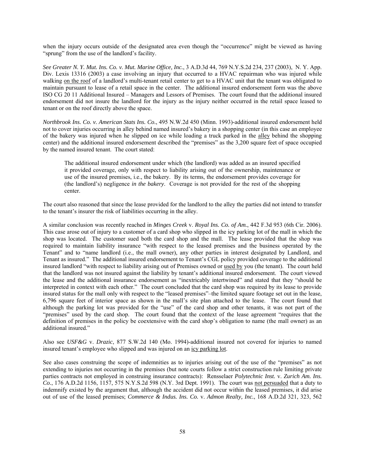when the injury occurs outside of the designated area even though the "occurrence" might be viewed as having "sprung" from the use of the landlord's facility.

*See Greater N. Y. Mut. Ins. Co. v. Mut. Marine Office, Inc.*, 3 A.D.3d 44, 769 N.Y.S.2d 234, 237 (2003), N. Y. App. Div. Lexis 13316 (2003) a case involving an injury that occurred to a HVAC repairman who was injured while walking on the roof of a landlord's multi-tenant retail center to get to a HVAC unit that the tenant was obligated to maintain pursuant to lease of a retail space in the center. The additional insured endorsement form was the above ISO CG 20 11 Additional Insured – Managers and Lessors of Premises. The court found that the additional insured endorsement did not insure the landlord for the injury as the injury neither occurred in the retail space leased to tenant or on the roof directly above the space.

*Northbrook Ins. Co. v. American Stats Ins. Co.*, 495 N.W.2d 450 (Minn. 1993)-additional insured endorsement held not to cover injuries occurring in alley behind named insured's bakery in a shopping center (in this case an employee of the bakery was injured when he slipped on ice while loading a truck parked in the alley behind the shopping center) and the additional insured endorsement described the "premises" as the 3,200 square feet of space occupied by the named insured tenant. The court stated:

The additional insured endorsement under which (the landlord) was added as an insured specified it provided coverage, only with respect to liability arising out of the ownership, maintenance or use of the insured premises, i.e., the bakery. By its terms, the endorsement provides coverage for (the landlord's) negligence *in the bakery*. Coverage is not provided for the rest of the shopping center.

The court also reasoned that since the lease provided for the landlord to the alley the parties did not intend to transfer to the tenant's insurer the risk of liabilities occurring in the alley.

A similar conclusion was recently reached in *Minges Creek* v. *Royal Ins. Co. of Am.*, 442 F.3d 953 (6th Cir. 2006). This case arose out of injury to a customer of a card shop who slipped in the icy parking lot of the mall in which the shop was located. The customer sued both the card shop and the mall. The lease provided that the shop was required to maintain liability insurance "with respect to the leased premises and the business operated by the Tenant" and to "name landlord (i.e., the mall owner), any other parties in interest designated by Landlord, and Tenant as insured." The additional insured endorsement to Tenant's CGL policy provided coverage to the additional insured landlord "with respect to liability arising out of Premises owned or used by you (the tenant). The court held that the landlord was not insured against the liability by tenant's additional insured endorsement. The court viewed the lease and the additional insurance endorsement as "inextricably intertwined" and stated that they "should be interpreted in context with each other." The court concluded that the card shop was required by its lease to provide insured status for the mall only with respect to the "leased premises"–the limited square footage set out in the lease, 6,796 square feet of interior space as shown in the mall's site plan attached to the lease. The court found that although the parking lot was provided for the "use" of the card shop and other tenants, it was not part of the "premises" used by the card shop. The court found that the context of the lease agreement "requires that the definition of premises in the policy be coextensive with the card shop's obligation to name (the mall owner) as an additional insured."

Also see *USF&G* v. *Drazic*, 877 S.W.2d 140 (Mo. 1994)-additional insured not covered for injuries to named insured tenant's employee who slipped and was injured on an icy parking lot.

See also cases construing the scope of indemnities as to injuries arising out of the use of the "premises" as not extending to injuries not occurring in the premises (but note courts follow a strict construction rule limiting private parties contracts not employed in construing insurance contracts): Rensselaer *Polytechnic Inst.* v. *Zurich Am. Ins. Co.*, 176 A.D.2d 1156, 1157, 575 N.Y.S.2d 598 (N.Y. 3rd Dept. 1991). The court was not persuaded that a duty to indemnify existed by the argument that, although the accident did not occur within the leased premises, it did arise out of use of the leased premises; *Commerce & Indus. Ins. Co.* v. *Admon Realty, Inc.*, 168 A.D.2d 321, 323, 562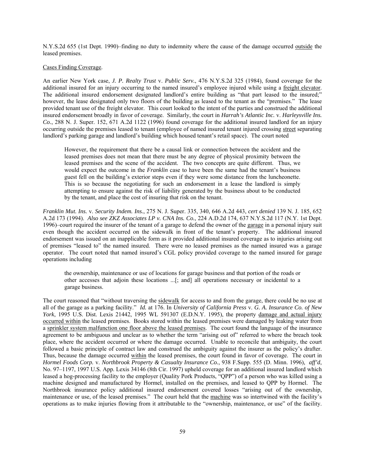N.Y.S.2d 655 (1st Dept. 1990)–finding no duty to indemnity where the cause of the damage occurred outside the leased premises.

#### Cases Finding Coverage.

An earlier New York case, *J. P. Realty Trust* v. *Public Serv.*, 476 N.Y.S.2d 325 (1984), found coverage for the additional insured for an injury occurring to the named insured's employee injured while using a freight elevator. The additional insured endorsement designated landlord's entire building as "that part leased to the insured;" however, the lease designated only two floors of the building as leased to the tenant as the "premises." The lease provided tenant use of the freight elevator. This court looked to the intent of the parties and construed the additional insured endorsement broadly in favor of coverage. Similarly, the court in *Harrah's Atlantic Inc.* v. *Harleysville Ins. Co.*, 288 N. J. Super. 152, 671 A.2d 1122 (1996) found coverage for the additional insured landlord for an injury occurring outside the premises leased to tenant (employee of named insured tenant injured crossing street separating landlord's parking garage and landlord's building which housed tenant's retail space). The court noted

However, the requirement that there be a causal link or connection between the accident and the leased premises does not mean that there must be any degree of physical proximity between the leased premises and the scene of the accident. The two concepts are quite different. Thus, we would expect the outcome in the *Franklin* case to have been the same had the tenant's business guest fell on the building's exterior steps even if they were some distance from the luncheonette. This is so because the negotiating for such an endorsement in a lease the landlord is simply attempting to ensure against the risk of liability generated by the business about to be conducted by the tenant, and place the cost of insuring that risk on the tenant.

*Franklin Mut. Ins.* v. *Security Indem. Ins.*, 275 N. J. Super. 335, 340, 646 A.2d 443, *cert denied* 139 N. J. 185, 652 A.2d 173 (1994). *Also see ZKZ Associates LP v. CNA Ins. Co.*, 224 A.D.2d 174, 637 N.Y.S.2d 117 (N.Y. 1st Dept. 1996)–court required the insurer of the tenant of a garage to defend the owner of the garage in a personal injury suit even though the accident occurred on the sidewalk in front of the tenant's property. The additional insured endorsement was issued on an inapplicable form as it provided additional insured coverage as to injuries arising out of premises "leased to" the named insured. There were no leased premises as the named insured was a garage operator. The court noted that named insured's CGL policy provided coverage to the named insured for garage operations including

the ownership, maintenance or use of locations for garage business and that portion of the roads or other accesses that adjoin these locations ...[; and] all operations necessary or incidental to a garage business.

The court reasoned that "without traversing the sidewalk for access to and from the garage, there could be no use at all of the garage as a parking facility." *Id.* at 176. In *University of California Press* v. *G. A. Insurance Co. of New York*, 1995 U.S. Dist. Lexis 21442, 1995 WL 591307 (E.D.N.Y. 1995), the property damage and actual injury occurred within the leased premises. Books stored within the leased premises were damaged by leaking water from a sprinkler system malfunction one floor above the leased premises. The court found the language of the insurance agreement to be ambiguous and unclear as to whether the term "arising out of" referred to where the breach took place, where the accident occurred or where the damage occurred. Unable to reconcile that ambiguity, the court followed a basic principle of contract law and construed the ambiguity against the insurer as the policy's drafter. Thus, because the damage occurred within the leased premises, the court found in favor of coverage. The court in *Hormel Foods Corp.* v. *Northbrook Property & Casualty Insurance Co.*, 938 F.Supp. 555 (D. Minn. 1996), *aff'd*, No. 97–1197, 1997 U.S. App. Lexis 34146 (8th Cir. 1997) upheld coverage for an additional insured landlord which leased a hog-processing facility to the employer (Quality Pork Products, "QPP") of a person who was killed using a machine designed and manufactured by Hormel, installed on the premises, and leased to QPP by Hormel. The Northbrook insurance policy additional insured endorsement covered losses "arising out of the ownership, maintenance or use, of the leased premises." The court held that the machine was so intertwined with the facility's operations as to make injuries flowing from it attributable to the "ownership, maintenance, or use" of the facility.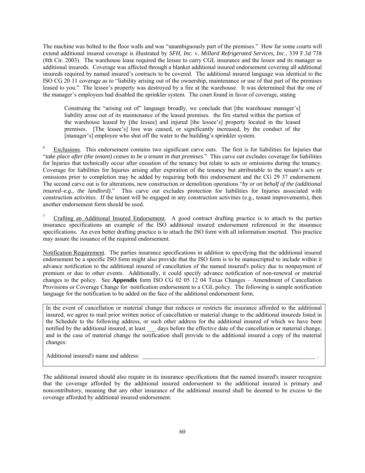The machine was bolted to the floor walls and was "unambiguously part of the premises." How far some courts will extend additional insured coverage is illustrated by *SFH, Inc.* v. *Millard Refrigerated Services, Inc.*, 339 F.3d 738 (8th Cir. 2003). The warehouse lease required the lessee to carry CGL insurance and the lessor and its manager as additional insureds. Coverage was affected through a blanket additional insured endorsement covering all additional insureds required by named insured's contracts to be covered. The additional insured language was identical to the ISO CG 20 11 coverage as to "liability arising out of the ownership, maintenance or use of that part of the premises leased to you." The lessee's property was destroyed by a fire at the warehouse. It was determined that the one of the manager's employees had disabled the sprinkler system. The court found in favor of coverage, stating

Construing the "arising out of" language broadly, we conclude that [the warehouse manager's] liability arose out of its maintenance of the leased premises. the fire started within the portion of the warehouse leased by [the lessee] and injured [the lessee's] property located in the leased premises. [The lessee's] loss was caused, or significantly increased, by the conduct of the [manager's] employee who shut off the water to the building's sprinkler system.

<sup>6</sup> Exclusions. This endorsement contains two significant carve outs. The first is for liabilities for Injuries that "*take place after (the tenant) ceases to be a tenant in that premises*." This carve out excludes coverage for liabilities for Injuries that technically occur after cessation of the tenancy but relate to acts or omissions during the tenancy. Coverage for liabilities for Injuries arising after expiration of the tenancy but attributable to the tenant's acts or omissions prior to completion may be added by requiring both this endorsement and the CG 29 37 endorsement. The second carve out is for alterations, new construction or demolition operations "*by or on behalf of the (additional insured–e.g., the landlord)*." This carve out excludes protection for liabilities for Injuries associated with construction activities. If the tenant will be engaged in any construction activities (e.g., tenant improvements), then another endorsement form should be used.

Crafting an Additional Insured Endorsement. A good contract drafting practice is to attach to the parties insurance specifications an example of the ISO additional insured endorsement referenced in the insurance specifications. An even better drafting practice is to attach the ISO form with all information inserted. This practice may assure the issuance of the required endorsement.

Notification Requirement. The parties insurance specifications in addition to specifying that the additional insured endorsement be a specific ISO form might also provide that the ISO form is to be manuscripted to include within it advance notification to the additional insured of cancellation of the named insured's policy due to nonpayment of premium or due to other events. Additionally, it could specify advance notification of non-renewal or material changes to the policy. See **Appendix** form ISO CG 02 05 12 04 Texas Changes – Amendment of Cancellation Provisions or Coverage Change for notification endorsement to a CGL policy. The following is sample notification language for the notification to be added on the face of the additional endorsement form.

In the event of cancellation or material change that reduces or restricts the insurance afforded to the additional insured, we agree to mail prior written notice of cancellation or material change to the additional insureds listed in the Schedule to the following address, or such other address for the additional insured of which we have been notified by the additional insured, at least \_\_\_ days before the effective date of the cancellation or material change, and in the case of material change the notification shall provide to the additional insured a copy of the material changes:

Additional insured's name and address:

The additional insured should also require in its insurance specifications that the named insured's insurer recognize that the coverage afforded by the additional insured endorsement to the additional insured is primary and noncontributory, meaning that any other insurance of the additional insured shall be deemed to be excess to the coverage afforded by additional insured endorsement.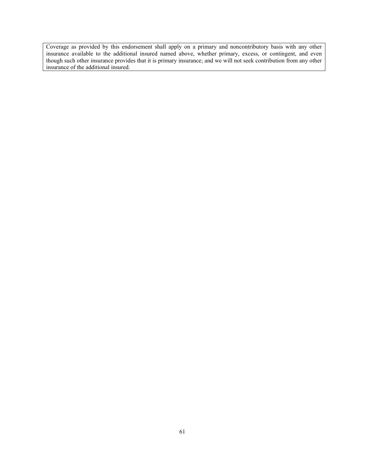Coverage as provided by this endorsement shall apply on a primary and noncontributory basis with any other insurance available to the additional insured named above, whether primary, excess, or contingent, and even though such other insurance provides that it is primary insurance; and we will not seek contribution from any other insurance of the additional insured.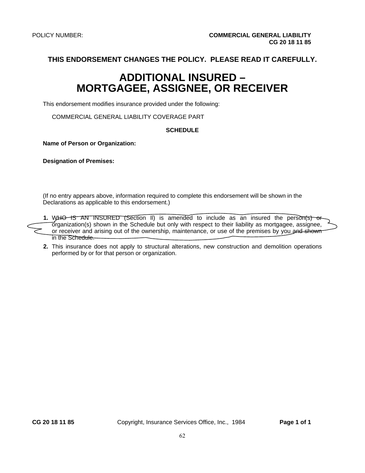# **ADDITIONAL INSURED – MORTGAGEE, ASSIGNEE, OR RECEIVER**

This endorsement modifies insurance provided under the following:

COMMERCIAL GENERAL LIABILITY COVERAGE PART

#### **SCHEDULE**

**Name of Person or Organization:** 

**Designation of Premises:** 

(If no entry appears above, information required to complete this endorsement will be shown in the Declarations as applicable to this endorsement.)



 **2.** This insurance does not apply to structural alterations, new construction and demolition operations performed by or for that person or organization.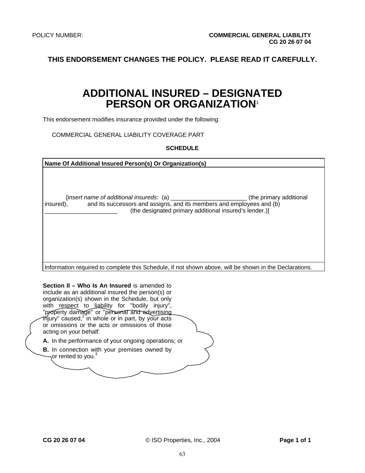# **ADDITIONAL INSURED – DESIGNATED PERSON OR ORGANIZATION**<sup>1</sup>

This endorsement modifies insurance provided under the following:

COMMERCIAL GENERAL LIABILITY COVERAGE PART

#### **SCHEDULE**

| Name Of Additional Insured Person(s) Or Organization(s)                                                                                                                 |
|-------------------------------------------------------------------------------------------------------------------------------------------------------------------------|
| (the primary additional<br>and its successors and assigns, and its members and employees and (b)<br>insured),<br>(the designated primary additional insured's lender.)] |

Information required to complete this Schedule, if not shown above, will be shown in the Declarations.

**Section II – Who Is An Insured** is amended to include as an additional insured the person(s) or organization(s) shown in the Schedule, but only with respect to liability for "bodily injury", "property damage" or "personal and advertising injury" caused,<sup>2</sup> in whole or in part, by your acts or omissions or the acts or omissions of those acting on your behalf: **A.** In the performance of your ongoing operations; or

**B.** In connection with your premises owned by or rented to you.<sup>3</sup>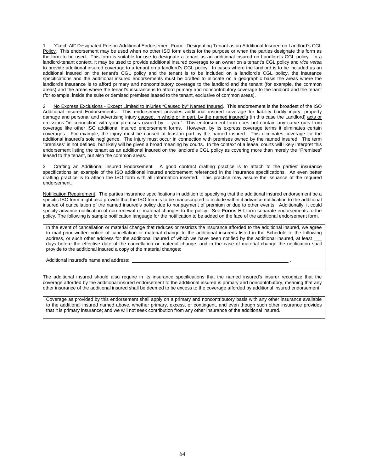1 "Catch All" Designated Person Additional Endorsement Form - Designating Tenant as an Additional Insured on Landlord's CGL Policy. This endorsement may be used when no other ISO form exists for the purpose or when the parties designate this form as the form to be used. This form is suitable for use to designate a tenant as an additional insured on Landlord's CGL policy. In a landlord-tenant context, it may be used to provide additional insured coverage to an owner on a tenant's CGL policy and *vice versa* to provide additional insured coverage to a tenant on a landlord's CGL policy. In cases where the landlord is to be included as an additional insured on the tenant's CGL policy and the tenant is to be included on a landlord's CGL policy, the insurance specifications and the additional insured endorsements must be drafted to allocate on a geographic basis the areas where the landlord's insurance is to afford primary and noncontributory coverage to the landlord and the tenant (for example, the common areas) and the areas where the tenant's insurance is to afford primary and noncontributory coverage to the landlord and the tenant (for example, inside the suite or demised premises leased to the tenant, exclusive of common areas).

2 No Express Exclusions - Except Limited to Injuries "Caused by" Named Insured. This endorsement is the broadest of the ISO Additional Insured Endorsements. This endorsement provides additional insured coverage for liability bodily injury, property damage and personal and advertising injury caused, in whole or in part, by the named insured's (in this case the Landlord) acts or omissions "in connection with your premises owned by ... you." This endorsement form does not contain any carve outs from coverage like other ISO additional insured endorsement forms. However, by its express coverage terms it eliminates certain coverages. For example, the injury must be caused at least in part by the named insured. This eliminates coverage for the additional insured's sole negligence. The injury must occur in connection with premises owned by the named insured. The term "premises" is not defined, but likely will be given a broad meaning by courts. In the context of a lease, courts will likely interpret this endorsement listing the tenant as an additional insured on the landlord's CGL policy as covering more than merely the "Premises" leased to the tenant, but also the common areas.

Crafting an Additional Insured Endorsement. A good contract drafting practice is to attach to the parties' insurance specifications an example of the ISO additional insured endorsement referenced in the insurance specifications. An even better drafting practice is to attach the ISO form with all information inserted. This practice may assure the issuance of the required endorsement.

Notification Requirement. The parties insurance specifications in addition to specifying that the additional insured endorsement be a specific ISO form might also provide that the ISO form is to be manuscripted to include within it advance notification to the additional insured of cancellation of the named insured's policy due to nonpayment of premium or due to other events. Additionally, it could specify advance notification of non-renewal or material changes to the policy. See **Forms H-I** form separate endorsements to the policy. The following is sample notification language for the notification to be added on the face of the additional endorsement form.

In the event of cancellation or material change that reduces or restricts the insurance afforded to the additional insured, we agree to mail prior written notice of cancellation or material change to the additional insureds listed in the Schedule to the following address, or such other address for the additional insured of which we have been notified by the additional insured, at least days before the effective date of the cancellation or material change, and in the case of material change the notification shall provide to the additional insured a copy of the material changes:

Additional insured's name and address:

The additional insured should also require in its insurance specifications that the named insured's insurer recognize that the coverage afforded by the additional insured endorsement to the additional insured is primary and noncontributory, meaning that any other insurance of the additional insured shall be deemed to be excess to the coverage afforded by additional insured endorsement.

Coverage as provided by this endorsement shall apply on a primary and noncontributory basis with any other insurance available to the additional insured named above, whether primary, excess, or contingent, and even though such other insurance provides that it is primary insurance; and we will not seek contribution from any other insurance of the additional insured.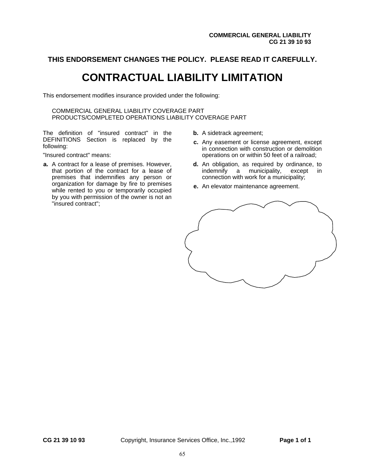# **CONTRACTUAL LIABILITY LIMITATION**

This endorsement modifies insurance provided under the following:

COMMERCIAL GENERAL LIABILITY COVERAGE PART PRODUCTS/COMPLETED OPERATIONS LIABILITY COVERAGE PART

The definition of "insured contract" in the DEFINITIONS Section is replaced by the following:

"Insured contract" means:

- **a.** A contract for a lease of premises. However, that portion of the contract for a lease of premises that indemnifies any person or organization for damage by fire to premises while rented to you or temporarily occupied by you with permission of the owner is not an "insured contract";
- **b.** A sidetrack agreement;
- **c.** Any easement or license agreement, except in connection with construction or demolition operations on or within 50 feet of a railroad;
- **d.** An obligation, as required by ordinance, to indemnify a municipality, except in indemnify a municipality, connection with work for a municipality;
- **e.** An elevator maintenance agreement.

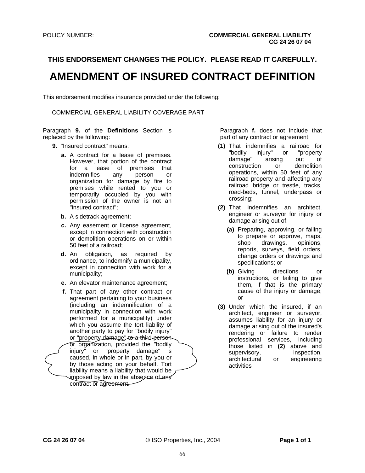# **AMENDMENT OF INSURED CONTRACT DEFINITION**

This endorsement modifies insurance provided under the following:

COMMERCIAL GENERAL LIABILITY COVERAGE PART

Paragraph **9.** of the **Definitions** Section is replaced by the following:

- **9.** "Insured contract" means:
	- **a.** A contract for a lease of premises. However, that portion of the contract for a lease of premises that indemnifies any person or organization for damage by fire to premises while rented to you or temporarily occupied by you with permission of the owner is not an "insured contract";
	- **b.** A sidetrack agreement;
	- **c.** Any easement or license agreement, except in connection with construction or demolition operations on or within 50 feet of a railroad;
	- **d.** An obligation, as required by ordinance, to indemnify a municipality, except in connection with work for a municipality;
	- **e.** An elevator maintenance agreement;
	- **f.** That part of any other contract or agreement pertaining to your business (including an indemnification of a municipality in connection with work performed for a municipality) under which you assume the tort liability of another party to pay for "bodily injury" or "property damage" to a third person or organization, provided the "bodily injury" or "property damage" is caused, in whole or in part, by you or by those acting on your behalf. Tort liability means a liability that would be imposed by law in the absence of any contract or agreement.

Paragraph **f.** does not include that part of any contract or agreement:

- **(1)** That indemnifies a railroad for injury" or "property damage" arising out of construction or demolition operations, within 50 feet of any railroad property and affecting any railroad bridge or trestle, tracks, road-beds, tunnel, underpass or crossing;
- **(2)** That indemnifies an architect, engineer or surveyor for injury or damage arising out of:
	- **(a)** Preparing, approving, or failing to prepare or approve, maps, shop drawings, opinions, reports, surveys, field orders, change orders or drawings and specifications; or
	- **(b)** Giving directions or instructions, or failing to give them, if that is the primary cause of the injury or damage; or
- **(3)** Under which the insured, if an architect, engineer or surveyor, assumes liability for an injury or damage arising out of the insured's rendering or failure to render professional services, including those listed in **(2)** above and supervisory, inspection, architectural or engineering activities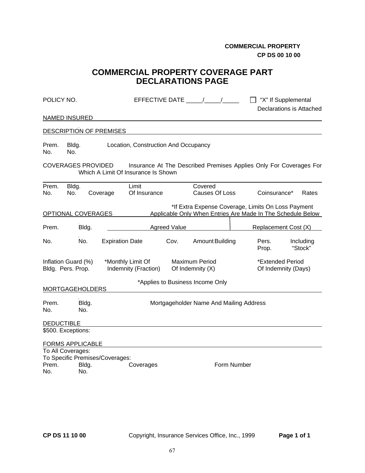**COMMERCIAL PROPERTY CP DS 00 10 00** 

# **COMMERCIAL PROPERTY COVERAGE PART DECLARATIONS PAGE**

| POLICY NO.        |                                              |                                 | EFFECTIVE DATE / /                                                                                        |                     |                                           |             | □ "X" If Supplemental                                                                                             | Declarations is Attached |
|-------------------|----------------------------------------------|---------------------------------|-----------------------------------------------------------------------------------------------------------|---------------------|-------------------------------------------|-------------|-------------------------------------------------------------------------------------------------------------------|--------------------------|
|                   | <b>NAMED INSURED</b>                         |                                 |                                                                                                           |                     |                                           |             |                                                                                                                   |                          |
|                   |                                              | <b>DESCRIPTION OF PREMISES</b>  |                                                                                                           |                     |                                           |             |                                                                                                                   |                          |
| Prem.<br>No.      | Bldg.<br>No.                                 |                                 | Location, Construction And Occupancy                                                                      |                     |                                           |             |                                                                                                                   |                          |
|                   | <b>COVERAGES PROVIDED</b>                    |                                 | Insurance At The Described Premises Applies Only For Coverages For<br>Which A Limit Of Insurance Is Shown |                     |                                           |             |                                                                                                                   |                          |
| Prem.<br>No.      | Bldg.<br>No.                                 | Coverage                        | Limit<br>Of Insurance                                                                                     |                     | Covered<br>Causes Of Loss                 |             | Coinsurance*                                                                                                      | Rates                    |
|                   | OPTIONAL COVERAGES                           |                                 |                                                                                                           |                     |                                           |             | *If Extra Expense Coverage, Limits On Loss Payment<br>Applicable Only When Entries Are Made In The Schedule Below |                          |
| Prem.             | Bldg.                                        |                                 |                                                                                                           | <b>Agreed Value</b> |                                           |             | Replacement Cost (X)                                                                                              |                          |
| No.               | No.                                          |                                 | <b>Expiration Date</b>                                                                                    | Cov.                | Amount Building                           |             | Pers.<br>Prop.                                                                                                    | Including<br>"Stock"     |
|                   | Inflation Guard (%)<br>Bldg. Pers. Prop.     |                                 | *Monthly Limit Of<br>Indemnity (Fraction)                                                                 |                     | <b>Maximum Period</b><br>Of Indemnity (X) |             | *Extended Period<br>Of Indemnity (Days)                                                                           |                          |
|                   | <b>MORTGAGEHOLDERS</b>                       |                                 |                                                                                                           |                     | *Applies to Business Income Only          |             |                                                                                                                   |                          |
| Prem.<br>No.      | Bldg.<br>No.                                 |                                 |                                                                                                           |                     | Mortgageholder Name And Mailing Address   |             |                                                                                                                   |                          |
| <b>DEDUCTIBLE</b> |                                              |                                 |                                                                                                           |                     |                                           |             |                                                                                                                   |                          |
|                   | \$500. Exceptions:                           |                                 |                                                                                                           |                     |                                           |             |                                                                                                                   |                          |
|                   | <b>FORMS APPLICABLE</b><br>To All Coverages: | To Specific Premises/Coverages: |                                                                                                           |                     |                                           |             |                                                                                                                   |                          |
| Prem.<br>No.      | Bldg.<br>No.                                 |                                 | Coverages                                                                                                 |                     |                                           | Form Number |                                                                                                                   |                          |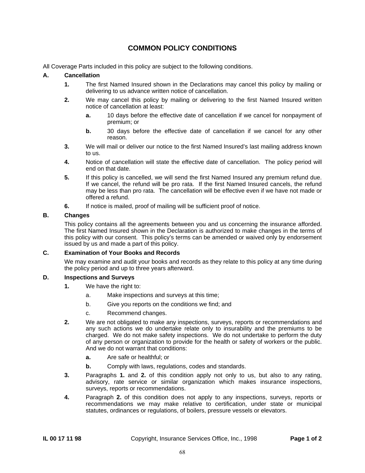# **COMMON POLICY CONDITIONS**

All Coverage Parts included in this policy are subject to the following conditions.

#### **A. Cancellation**

- **1.** The first Named Insured shown in the Declarations may cancel this policy by mailing or delivering to us advance written notice of cancellation.
- **2.** We may cancel this policy by mailing or delivering to the first Named Insured written notice of cancellation at least:
	- **a.** 10 days before the effective date of cancellation if we cancel for nonpayment of premium; or
	- **b.** 30 days before the effective date of cancellation if we cancel for any other reason.
- **3.** We will mail or deliver our notice to the first Named Insured's last mailing address known to us.
- **4.** Notice of cancellation will state the effective date of cancellation. The policy period will end on that date.
- **5.** If this policy is cancelled, we will send the first Named Insured any premium refund due. If we cancel, the refund will be pro rata. If the first Named Insured cancels, the refund may be less than pro rata. The cancellation will be effective even if we have not made or offered a refund.
- **6.** If notice is mailed, proof of mailing will be sufficient proof of notice.

# **B. Changes**

 This policy contains all the agreements between you and us concerning the insurance afforded. The first Named Insured shown in the Declaration is authorized to make changes in the terms of this policy with our consent. This policy's terms can be amended or waived only by endorsement issued by us and made a part of this policy.

#### **C. Examination of Your Books and Records**

 We may examine and audit your books and records as they relate to this policy at any time during the policy period and up to three years afterward.

#### **D. Inspections and Surveys**

- **1.** We have the right to:
	- a. Make inspections and surveys at this time;
	- b. Give you reports on the conditions we find; and
	- c. Recommend changes.
- **2.** We are not obligated to make any inspections, surveys, reports or recommendations and any such actions we do undertake relate only to insurability and the premiums to be charged. We do not make safety inspections. We do not undertake to perform the duty of any person or organization to provide for the health or safety of workers or the public. And we do not warrant that conditions:
	- **a.** Are safe or healthful; or
	- **b.** Comply with laws, regulations, codes and standards.
- **3.** Paragraphs **1.** and **2.** of this condition apply not only to us, but also to any rating, advisory, rate service or similar organization which makes insurance inspections, surveys, reports or recommendations.
- **4.** Paragraph **2.** of this condition does not apply to any inspections, surveys, reports or recommendations we may make relative to certification, under state or municipal statutes, ordinances or regulations, of boilers, pressure vessels or elevators.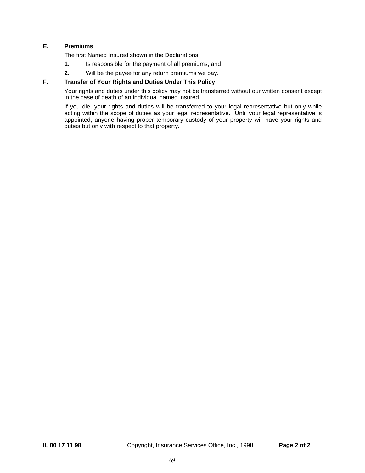# **E. Premiums**

The first Named Insured shown in the Declarations:

- **1.** Is responsible for the payment of all premiums; and
- **2.** Will be the payee for any return premiums we pay.

# **F. Transfer of Your Rights and Duties Under This Policy**

 Your rights and duties under this policy may not be transferred without our written consent except in the case of death of an individual named insured.

 If you die, your rights and duties will be transferred to your legal representative but only while acting within the scope of duties as your legal representative. Until your legal representative is appointed, anyone having proper temporary custody of your property will have your rights and duties but only with respect to that property.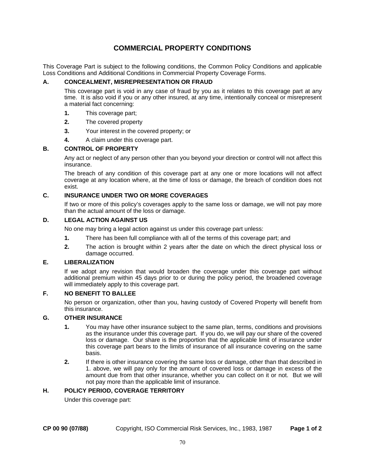# **COMMERCIAL PROPERTY CONDITIONS**

This Coverage Part is subject to the following conditions, the Common Policy Conditions and applicable Loss Conditions and Additional Conditions in Commercial Property Coverage Forms.

# **A. CONCEALMENT, MISREPRESENTATION OR FRAUD**

 This coverage part is void in any case of fraud by you as it relates to this coverage part at any time. It is also void if you or any other insured, at any time, intentionally conceal or misrepresent a material fact concerning:

- **1.** This coverage part;
- **2.** The covered property
- **3.** Your interest in the covered property; or
- **4.** A claim under this coverage part.

#### **B. CONTROL OF PROPERTY**

 Any act or neglect of any person other than you beyond your direction or control will not affect this insurance.

 The breach of any condition of this coverage part at any one or more locations will not affect coverage at any location where, at the time of loss or damage, the breach of condition does not exist.

# **C. INSURANCE UNDER TWO OR MORE COVERAGES**

 If two or more of this policy's coverages apply to the same loss or damage, we will not pay more than the actual amount of the loss or damage.

# **D. LEGAL ACTION AGAINST US**

No one may bring a legal action against us under this coverage part unless:

- **1.** There has been full compliance with all of the terms of this coverage part; and
- **2.** The action is brought within 2 years after the date on which the direct physical loss or damage occurred.

#### **E. LIBERALIZATION**

 If we adopt any revision that would broaden the coverage under this coverage part without additional premium within 45 days prior to or during the policy period, the broadened coverage will immediately apply to this coverage part.

#### **F. NO BENEFIT TO BALLEE**

 No person or organization, other than you, having custody of Covered Property will benefit from this insurance.

#### **G. OTHER INSURANCE**

- **1.** You may have other insurance subject to the same plan, terms, conditions and provisions as the insurance under this coverage part. If you do, we will pay our share of the covered loss or damage. Our share is the proportion that the applicable limit of insurance under this coverage part bears to the limits of insurance of all insurance covering on the same basis.
- **2.** If there is other insurance covering the same loss or damage, other than that described in 1. above, we will pay only for the amount of covered loss or damage in excess of the amount due from that other insurance, whether you can collect on it or not. But we will not pay more than the applicable limit of insurance.

# **H. POLICY PERIOD, COVERAGE TERRITORY**

Under this coverage part: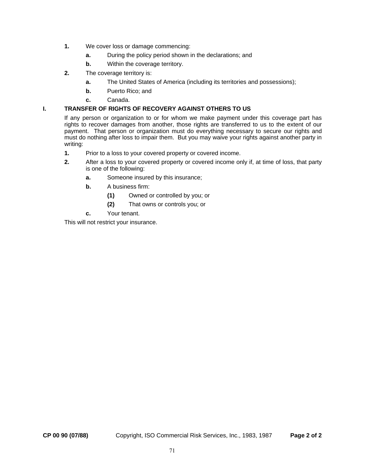- **1.** We cover loss or damage commencing:
	- **a.** During the policy period shown in the declarations; and
	- **b.** Within the coverage territory.
- **2.** The coverage territory is:
	- **a.** The United States of America (including its territories and possessions);
	- **b.** Puerto Rico; and
	- **c.** Canada.

# **I. TRANSFER OF RIGHTS OF RECOVERY AGAINST OTHERS TO US**

 If any person or organization to or for whom we make payment under this coverage part has rights to recover damages from another, those rights are transferred to us to the extent of our payment. That person or organization must do everything necessary to secure our rights and must do nothing after loss to impair them. But you may waive your rights against another party in writing:

- **1.** Prior to a loss to your covered property or covered income.
- **2.** After a loss to your covered property or covered income only if, at time of loss, that party is one of the following:
	- **a.** Someone insured by this insurance;
	- **b.** A business firm:
		- **(1)** Owned or controlled by you; or
		- **(2)** That owns or controls you; or
	- **c.** Your tenant.

This will not restrict your insurance.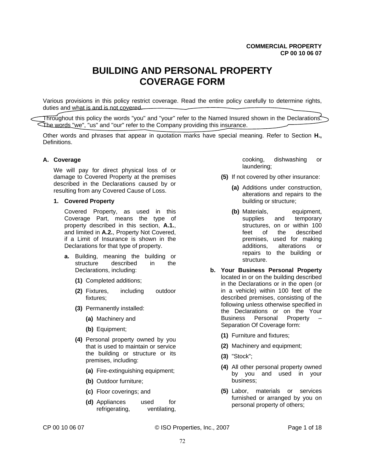# **BUILDING AND PERSONAL PROPERTY COVERAGE FORM**

Various provisions in this policy restrict coverage. Read the entire policy carefully to determine rights, duties and what is and is not covered.

Throughout this policy the words "you" and "your" refer to the Named Insured shown in the Declarations. The words "we", "us" and "our" refer to the Company providing this insurance.

Other words and phrases that appear in quotation marks have special meaning. Refer to Section **H.,** Definitions.

#### **A. Coverage**

We will pay for direct physical loss of or damage to Covered Property at the premises described in the Declarations caused by or resulting from any Covered Cause of Loss.

#### **1. Covered Property**

Covered Property, as used in this Coverage Part, means the type of property described in this section, **A.1.**, and limited in **A.2.**, Property Not Covered, if a Limit of Insurance is shown in the Declarations for that type of property.

- **a.** Building, meaning the building or structure described in the Declarations, including:
	- **(1)** Completed additions;
	- **(2)** Fixtures, including outdoor fixtures;
	- **(3)** Permanently installed:
		- **(a)** Machinery and
		- **(b)** Equipment;
	- **(4)** Personal property owned by you that is used to maintain or service the building or structure or its premises, including:
		- **(a)** Fire-extinguishing equipment;
		- **(b)** Outdoor furniture;
		- **(c)** Floor coverings; and
		- **(d)** Appliances used for refrigerating, ventilating,

cooking, dishwashing or laundering;

- **(5)** If not covered by other insurance:
	- **(a)** Additions under construction, alterations and repairs to the building or structure;
	- **(b)** Materials, equipment, supplies and temporary structures, on or within 100 feet of the described premises, used for making additions, alterations or repairs to the building or structure.
- **b. Your Business Personal Property** located in or on the building described in the Declarations or in the open (or in a vehicle) within 100 feet of the described premises, consisting of the following unless otherwise specified in the Declarations or on the Your Business Personal Property – Separation Of Coverage form:
	- **(1)** Furniture and fixtures;
	- **(2)** Machinery and equipment;
	- **(3)** "Stock";
	- **(4)** All other personal property owned by you and used in your business;
	- **(5)** Labor, materials or services furnished or arranged by you on personal property of others;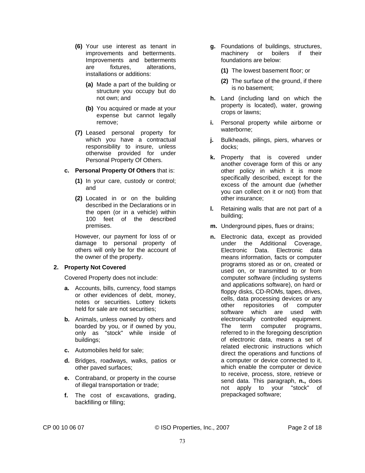- **(6)** Your use interest as tenant in improvements and betterments. Improvements and betterments are fixtures, alterations, installations or additions:
	- **(a)** Made a part of the building or structure you occupy but do not own; and
	- **(b)** You acquired or made at your expense but cannot legally remove;
- **(7)** Leased personal property for which you have a contractual responsibility to insure, unless otherwise provided for under Personal Property Of Others.
- **c. Personal Property Of Others** that is:
	- **(1)** In your care, custody or control; and
	- **(2)** Located in or on the building described in the Declarations or in the open (or in a vehicle) within 100 feet of the described premises.

However, our payment for loss of or damage to personal property of others will only be for the account of the owner of the property.

# **2. Property Not Covered**

Covered Property does not include:

- **a.** Accounts, bills, currency, food stamps or other evidences of debt, money, notes or securities. Lottery tickets held for sale are not securities;
- **b.** Animals, unless owned by others and boarded by you, or if owned by you, only as "stock" while inside of buildings;
- **c.** Automobiles held for sale;
- **d.** Bridges, roadways, walks, patios or other paved surfaces;
- **e.** Contraband, or property in the course of illegal transportation or trade;
- **f.** The cost of excavations, grading, backfilling or filling;
- **g.** Foundations of buildings, structures, machinery or boilers if their foundations are below:
	- **(1)** The lowest basement floor; or
	- **(2)** The surface of the ground, if there is no basement;
- **h.** Land (including land on which the property is located), water, growing crops or lawns;
- **i.** Personal property while airborne or waterborne;
- **j.** Bulkheads, pilings, piers, wharves or docks;
- **k.** Property that is covered under another coverage form of this or any other policy in which it is more specifically described, except for the excess of the amount due (whether you can collect on it or not) from that other insurance;
- **l.** Retaining walls that are not part of a building;
- **m.** Underground pipes, flues or drains;
- **n.** Electronic data, except as provided under the Additional Coverage, Electronic Data. Electronic data means information, facts or computer programs stored as or on, created or used on, or transmitted to or from computer software (including systems and applications software), on hard or floppy disks, CD-ROMs, tapes, drives, cells, data processing devices or any other repositories of computer software which are used with electronically controlled equipment. The term computer programs, referred to in the foregoing description of electronic data, means a set of related electronic instructions which direct the operations and functions of a computer or device connected to it, which enable the computer or device to receive, process, store, retrieve or send data. This paragraph, **n.,** does not apply to your "stock" of prepackaged software;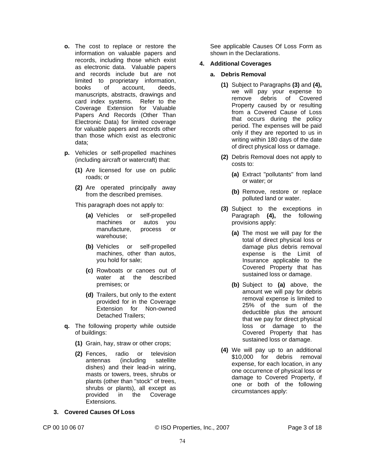- **o.** The cost to replace or restore the information on valuable papers and records, including those which exist as electronic data. Valuable papers and records include but are not limited to proprietary information, books of account, deeds, manuscripts, abstracts, drawings and card index systems. Refer to the Coverage Extension for Valuable Papers And Records (Other Than Electronic Data) for limited coverage for valuable papers and records other than those which exist as electronic data;
- **p.** Vehicles or self-propelled machines (including aircraft or watercraft) that:
	- **(1)** Are licensed for use on public roads; or
	- **(2)** Are operated principally away from the described premises.

This paragraph does not apply to:

- **(a)** Vehicles or self-propelled machines or autos you manufacture, process or warehouse;
- **(b)** Vehicles or self-propelled machines, other than autos, you hold for sale;
- **(c)** Rowboats or canoes out of water at the described premises; or
- **(d)** Trailers, but only to the extent provided for in the Coverage Extension for Non-owned Detached Trailers;
- **q.** The following property while outside of buildings:
	- **(1)** Grain, hay, straw or other crops;
	- **(2)** Fences, radio or television antennas (including satellite dishes) and their lead-in wiring, masts or towers, trees, shrubs or plants (other than "stock" of trees, shrubs or plants), all except as provided in the Coverage Extensions.

# **3. Covered Causes Of Loss**

See applicable Causes Of Loss Form as shown in the Declarations.

#### **4. Additional Coverages**

- **a. Debris Removal** 
	- **(1)** Subject to Paragraphs **(3)** and **(4),** we will pay your expense to remove debris of Covered Property caused by or resulting from a Covered Cause of Loss that occurs during the policy period. The expenses will be paid only if they are reported to us in writing within 180 days of the date of direct physical loss or damage.
	- **(2)** Debris Removal does not apply to costs to:
		- **(a)** Extract "pollutants" from land or water; or
		- **(b)** Remove, restore or replace polluted land or water.
	- **(3)** Subject to the exceptions in Paragraph **(4),** the following provisions apply:
		- **(a)** The most we will pay for the total of direct physical loss or damage plus debris removal expense is the Limit of Insurance applicable to the Covered Property that has sustained loss or damage.
		- **(b)** Subject to **(a)** above, the amount we will pay for debris removal expense is limited to 25% of the sum of the deductible plus the amount that we pay for direct physical loss or damage to the Covered Property that has sustained loss or damage.
	- **(4)** We will pay up to an additional \$10,000 for debris removal expense, for each location, in any one occurrence of physical loss or damage to Covered Property, if one or both of the following circumstances apply:

CP 00 10 06 07 © ISO Properties, Inc., 2007 Page 3 of 18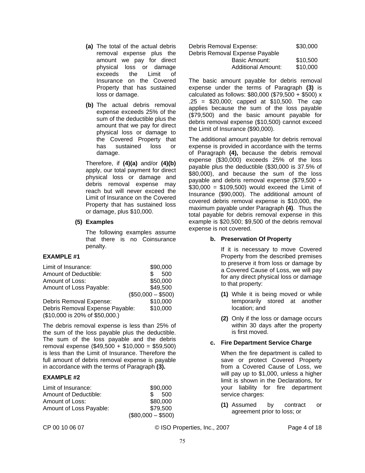- **(a)** The total of the actual debris removal expense plus the amount we pay for direct physical loss or damage exceeds the Limit of Insurance on the Covered Property that has sustained loss or damage.
- **(b)** The actual debris removal expense exceeds 25% of the sum of the deductible plus the amount that we pay for direct physical loss or damage to the Covered Property that has sustained loss or damage.

Therefore, if **(4)(a)** and/or **(4)(b)** apply, our total payment for direct physical loss or damage and debris removal expense may reach but will never exceed the Limit of Insurance on the Covered Property that has sustained loss or damage, plus \$10,000.

#### **(5) Examples**

The following examples assume that there is no Coinsurance penalty.

# **EXAMPLE #1**

| Limit of Insurance:             | \$90,000  |
|---------------------------------|-----------|
| Amount of Deductible:           | \$<br>500 |
| Amount of Loss:                 | \$50,000  |
| Amount of Loss Payable:         | \$49,500  |
| $($50,000 - $500)$              |           |
| Debris Removal Expense:         | \$10,000  |
| Debris Removal Expense Payable: | \$10,000  |
| (\$10,000 is 20% of \$50,000.)  |           |

The debris removal expense is less than 25% of the sum of the loss payable plus the deductible. The sum of the loss payable and the debris removal expense (\$49,500 + \$10,000 = \$59,500) is less than the Limit of Insurance. Therefore the full amount of debris removal expense is payable in accordance with the terms of Paragraph **(3).**

# **EXAMPLE #2**

| Limit of Insurance:     | \$90,000              |
|-------------------------|-----------------------|
| Amount of Deductible:   | $\mathcal{S}$<br>-500 |
| Amount of Loss:         | \$80,000              |
| Amount of Loss Payable: | \$79.500              |
|                         | $($80,000 - $500)$    |

| Debris Removal Expense:        | \$30,000 |
|--------------------------------|----------|
| Debris Removal Expense Payable |          |
| Basic Amount:                  | \$10,500 |
| Additional Amount:             | \$10,000 |

The basic amount payable for debris removal expense under the terms of Paragraph **(3)** is calculated as follows: \$80,000 (\$79,500 + \$500) x .25 = \$20,000; capped at \$10,500. The cap applies because the sum of the loss payable (\$79,500) and the basic amount payable for debris removal expense (\$10,500) cannot exceed the Limit of Insurance (\$90,000).

The additional amount payable for debris removal expense is provided in accordance with the terms of Paragraph **(4),** because the debris removal expense (\$30,000) exceeds 25% of the loss payable plus the deductible (\$30,000 is 37.5% of \$80,000), and because the sum of the loss payable and debris removal expense (\$79,500 +  $$30,000 = $109,500$  would exceed the Limit of Insurance (\$90,000). The additional amount of covered debris removal expense is \$10,000, the maximum payable under Paragraph **(4)**. Thus the total payable for debris removal expense in this example is \$20,500; \$9,500 of the debris removal expense is not covered.

# **b. Preservation Of Property**

If it is necessary to move Covered Property from the described premises to preserve it from loss or damage by a Covered Cause of Loss, we will pay for any direct physical loss or damage to that property:

- **(1)** While it is being moved or while temporarily stored at another location; and
- **(2)** Only if the loss or damage occurs within 30 days after the property is first moved.

# **c. Fire Department Service Charge**

When the fire department is called to save or protect Covered Property from a Covered Cause of Loss, we will pay up to \$1,000, unless a higher limit is shown in the Declarations, for your liability for fire department service charges:

**(1)** Assumed by contract or agreement prior to loss; or

CP 00 10 06 07 © ISO Properties, Inc., 2007 Page 4 of 18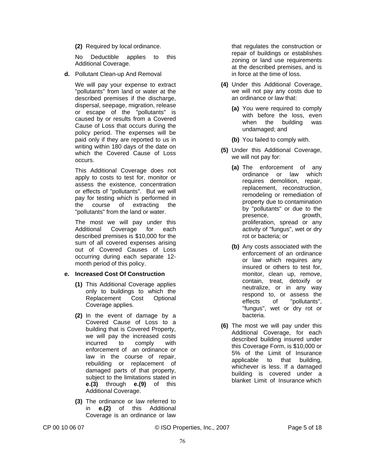**(2)** Required by local ordinance.

No Deductible applies to this Additional Coverage.

**d.** Pollutant Clean-up And Removal

We will pay your expense to extract "pollutants" from land or water at the described premises if the discharge, dispersal, seepage, migration, release or escape of the "pollutants" is caused by or results from a Covered Cause of Loss that occurs during the policy period. The expenses will be paid only if they are reported to us in writing within 180 days of the date on which the Covered Cause of Loss occurs.

This Additional Coverage does not apply to costs to test for, monitor or assess the existence, concentration or effects of "pollutants". But we will pay for testing which is performed in the course of extracting the "pollutants" from the land or water.

The most we will pay under this Additional Coverage for each described premises is \$10,000 for the sum of all covered expenses arising out of Covered Causes of Loss occurring during each separate 12 month period of this policy.

#### **e. Increased Cost Of Construction**

- **(1)** This Additional Coverage applies only to buildings to which the Replacement Cost Optional Coverage applies.
- **(2)** In the event of damage by a Covered Cause of Loss to a building that is Covered Property, we will pay the increased costs incurred to comply with enforcement of an ordinance or law in the course of repair, rebuilding or replacement of damaged parts of that property, subject to the limitations stated in **e.(3)** through **e.(9)** of this Additional Coverage.
- **(3)** The ordinance or law referred to in **e.(2)** of this Additional Coverage is an ordinance or law

that regulates the construction or repair of buildings or establishes zoning or land use requirements at the described premises, and is in force at the time of loss.

- **(4)** Under this Additional Coverage, we will not pay any costs due to an ordinance or law that:
	- **(a)** You were required to comply with before the loss, even when the building was undamaged; and
	- **(b)** You failed to comply with.
- **(5)** Under this Additional Coverage, we will not pay for:
	- **(a)** The enforcement of any ordinance or law which requires demolition, repair, replacement, reconstruction, remodeling or remediation of property due to contamination by "pollutants" or due to the presence, growth, proliferation, spread or any activity of "fungus", wet or dry rot or bacteria; or
	- **(b)** Any costs associated with the enforcement of an ordinance or law which requires any insured or others to test for, monitor, clean up, remove, contain, treat, detoxify or neutralize, or in any way respond to, or assess the effects of "pollutants", "fungus", wet or dry rot or bacteria.
- **(6)** The most we will pay under this Additional Coverage, for each described building insured under this Coverage Form, is \$10,000 or 5% of the Limit of Insurance applicable to that building, whichever is less. If a damaged building is covered under a blanket Limit of Insurance which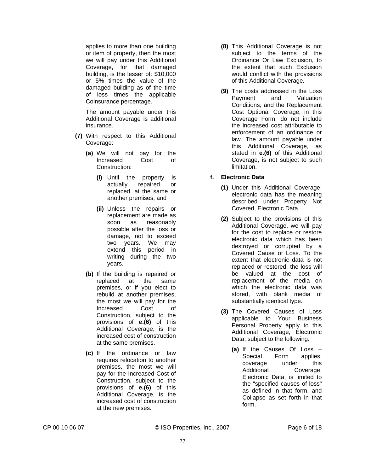applies to more than one building or item of property, then the most we will pay under this Additional Coverage, for that damaged building, is the lesser of: \$10,000 or 5% times the value of the damaged building as of the time of loss times the applicable Coinsurance percentage.

The amount payable under this Additional Coverage is additional insurance.

- **(7)** With respect to this Additional Coverage:
	- **(a)** We will not pay for the Increased Cost of Construction:
		- **(i)** Until the property is actually repaired or replaced, at the same or another premises; and
		- **(ii)** Unless the repairs or replacement are made as soon as reasonably possible after the loss or damage, not to exceed two years. We may extend this period in writing during the two years.
	- **(b)** If the building is repaired or replaced at the same premises, or if you elect to rebuild at another premises, the most we will pay for the Increased Cost of Construction, subject to the provisions of **e.(6)** of this Additional Coverage, is the increased cost of construction at the same premises.
	- **(c)** If the ordinance or law requires relocation to another premises, the most we will pay for the Increased Cost of Construction, subject to the provisions of **e.(6)** of this Additional Coverage, is the increased cost of construction at the new premises.
- **(8)** This Additional Coverage is not subject to the terms of the Ordinance Or Law Exclusion, to the extent that such Exclusion would conflict with the provisions of this Additional Coverage.
- **(9)** The costs addressed in the Loss Payment and Valuation Conditions, and the Replacement Cost Optional Coverage, in this Coverage Form, do not include the increased cost attributable to enforcement of an ordinance or law. The amount payable under this Additional Coverage, as stated in **e.(6)** of this Additional Coverage, is not subject to such limitation.
- **f. Electronic Data**
	- **(1)** Under this Additional Coverage, electronic data has the meaning described under Property Not Covered, Electronic Data.
	- **(2)** Subject to the provisions of this Additional Coverage, we will pay for the cost to replace or restore electronic data which has been destroyed or corrupted by a Covered Cause of Loss. To the extent that electronic data is not replaced or restored, the loss will be valued at the cost of replacement of the media on which the electronic data was stored, with blank media of substantially identical type.
	- **(3)** The Covered Causes of Loss applicable to Your Business Personal Property apply to this Additional Coverage, Electronic Data, subject to the following:
		- **(a)** If the Causes Of Loss Special Form applies, coverage under this Additional Coverage, Electronic Data, is limited to the "specified causes of loss" as defined in that form, and Collapse as set forth in that form.

CP 00 10 06 07 © ISO Properties, Inc., 2007 Page 6 of 18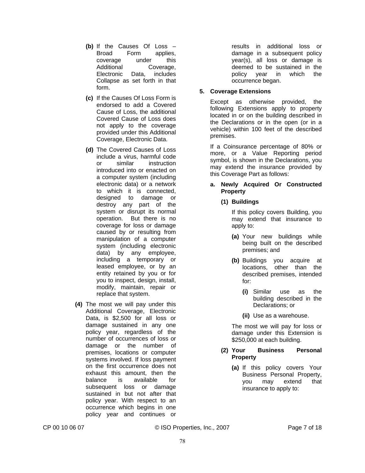- **(b)** If the Causes Of Loss Broad Form applies, coverage under this Additional Coverage, Electronic Data, includes Collapse as set forth in that form.
- **(c)** If the Causes Of Loss Form is endorsed to add a Covered Cause of Loss, the additional Covered Cause of Loss does not apply to the coverage provided under this Additional Coverage, Electronic Data.
- **(d)** The Covered Causes of Loss include a virus, harmful code or similar instruction introduced into or enacted on a computer system (including electronic data) or a network to which it is connected, designed to damage or destroy any part of the system or disrupt its normal operation. But there is no coverage for loss or damage caused by or resulting from manipulation of a computer system (including electronic data) by any employee, including a temporary or leased employee, or by an entity retained by you or for you to inspect, design, install, modify, maintain, repair or replace that system.
- **(4)** The most we will pay under this Additional Coverage, Electronic Data, is \$2,500 for all loss or damage sustained in any one policy year, regardless of the number of occurrences of loss or damage or the number of premises, locations or computer systems involved. If loss payment on the first occurrence does not exhaust this amount, then the balance is available for subsequent loss or damage sustained in but not after that policy year. With respect to an occurrence which begins in one policy year and continues or

results in additional loss or damage in a subsequent policy year(s), all loss or damage is deemed to be sustained in the policy year in which the occurrence began.

# **5. Coverage Extensions**

Except as otherwise provided, the following Extensions apply to property located in or on the building described in the Declarations or in the open (or in a vehicle) within 100 feet of the described premises.

If a Coinsurance percentage of 80% or more, or a Value Reporting period symbol, is shown in the Declarations, you may extend the insurance provided by this Coverage Part as follows:

# **a. Newly Acquired Or Constructed Property**

**(1) Buildings** 

If this policy covers Building, you may extend that insurance to apply to:

- **(a)** Your new buildings while being built on the described premises; and
- **(b)** Buildings you acquire at locations, other than the described premises, intended for:
	- **(i)** Similar use as the building described in the Declarations; or
	- **(ii)** Use as a warehouse.

The most we will pay for loss or damage under this Extension is \$250,000 at each building.

#### **(2) Your Business Personal Property**

**(a)** If this policy covers Your Business Personal Property, you may extend that insurance to apply to:

CP 00 10 06 07 © ISO Properties, Inc., 2007 Page 7 of 18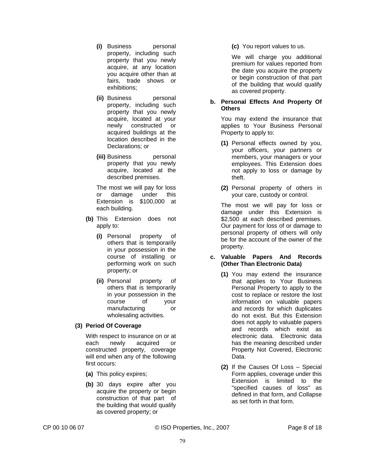- **(i)** Business personal property, including such property that you newly acquire, at any location you acquire other than at fairs, trade shows or exhibitions;
- **(ii)** Business personal property, including such property that you newly acquire, located at your newly constructed or acquired buildings at the location described in the Declarations; or
- **(iii)** Business personal property that you newly acquire, located at the described premises.

The most we will pay for loss or damage under this Extension is \$100,000 at each building.

- **(b)** This Extension does not apply to:
	- **(i)** Personal property of others that is temporarily in your possession in the course of installing or performing work on such property; or
	- **(ii)** Personal property of others that is temporarily in your possession in the course of your manufacturing or wholesaling activities.

# **(3) Period Of Coverage**

With respect to insurance on or at each newly acquired or constructed property, coverage will end when any of the following first occurs:

- **(a)** This policy expires;
- **(b)** 30 days expire after you acquire the property or begin construction of that part of the building that would qualify as covered property; or

**(c)** You report values to us.

We will charge you additional premium for values reported from the date you acquire the property or begin construction of that part of the building that would qualify as covered property.

#### **b. Personal Effects And Property Of Others**

You may extend the insurance that applies to Your Business Personal Property to apply to:

- **(1)** Personal effects owned by you, your officers, your partners or members, your managers or your employees. This Extension does not apply to loss or damage by theft.
- **(2)** Personal property of others in your care, custody or control.

The most we will pay for loss or damage under this Extension is \$2,500 at each described premises. Our payment for loss of or damage to personal property of others will only be for the account of the owner of the property.

#### **c. Valuable Papers And Records (Other Than Electronic Data)**

- **(1)** You may extend the insurance that applies to Your Business Personal Property to apply to the cost to replace or restore the lost information on valuable papers and records for which duplicates do not exist. But this Extension does not apply to valuable papers and records which exist as electronic data. Electronic data has the meaning described under Property Not Covered, Electronic Data.
- **(2)** If the Causes Of Loss Special Form applies, coverage under this Extension is limited to the "specified causes of loss" as defined in that form, and Collapse as set forth in that form.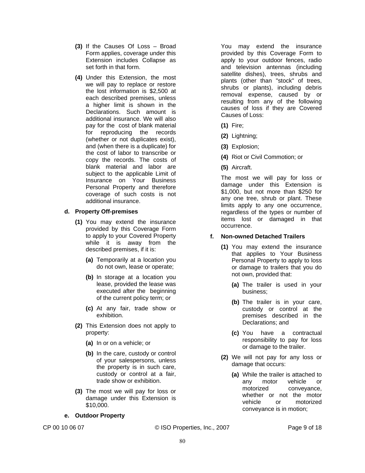- **(3)** If the Causes Of Loss Broad Form applies, coverage under this Extension includes Collapse as set forth in that form.
- **(4)** Under this Extension, the most we will pay to replace or restore the lost information is \$2,500 at each described premises, unless a higher limit is shown in the Declarations. Such amount is additional insurance. We will also pay for the cost of blank material for reproducing the records (whether or not duplicates exist), and (when there is a duplicate) for the cost of labor to transcribe or copy the records. The costs of blank material and labor are subject to the applicable Limit of Insurance on Your Business Personal Property and therefore coverage of such costs is not additional insurance.

#### **d. Property Off-premises**

- **(1)** You may extend the insurance provided by this Coverage Form to apply to your Covered Property while it is away from the described premises, if it is:
	- **(a)** Temporarily at a location you do not own, lease or operate;
	- **(b)** In storage at a location you lease, provided the lease was executed after the beginning of the current policy term; or
	- **(c)** At any fair, trade show or exhibition.
- **(2)** This Extension does not apply to property:
	- **(a)** In or on a vehicle; or
	- **(b)** In the care, custody or control of your salespersons, unless the property is in such care, custody or control at a fair, trade show or exhibition.
- **(3)** The most we will pay for loss or damage under this Extension is \$10,000.
- **e. Outdoor Property**

CP 00 10 06 07 © ISO Properties, Inc., 2007 Page 9 of 18

You may extend the insurance provided by this Coverage Form to apply to your outdoor fences, radio and television antennas (including satellite dishes), trees, shrubs and plants (other than "stock" of trees, shrubs or plants), including debris removal expense, caused by or resulting from any of the following causes of loss if they are Covered Causes of Loss:

- **(1)** Fire;
- **(2)** Lightning;
- **(3)** Explosion;
- **(4)** Riot or Civil Commotion; or
- **(5)** Aircraft.

The most we will pay for loss or damage under this Extension is \$1,000, but not more than \$250 for any one tree, shrub or plant. These limits apply to any one occurrence, regardless of the types or number of items lost or damaged in that occurrence.

# **f. Non-owned Detached Trailers**

- **(1)** You may extend the insurance that applies to Your Business Personal Property to apply to loss or damage to trailers that you do not own, provided that:
	- **(a)** The trailer is used in your business;
	- **(b)** The trailer is in your care, custody or control at the premises described in the Declarations; and
	- **(c)** You have a contractual responsibility to pay for loss or damage to the trailer.
- **(2)** We will not pay for any loss or damage that occurs:
	- **(a)** While the trailer is attached to any motor vehicle or motorized conveyance, whether or not the motor vehicle or motorized conveyance is in motion;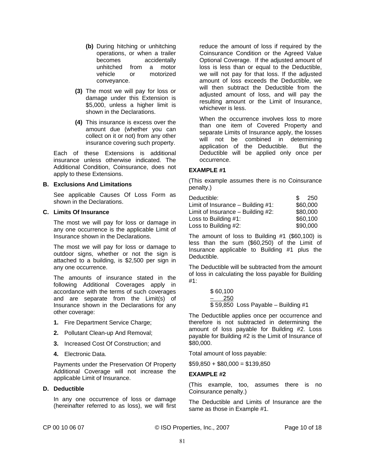- **(b)** During hitching or unhitching operations, or when a trailer becomes accidentally unhitched from a motor vehicle or motorized conveyance.
- **(3)** The most we will pay for loss or damage under this Extension is \$5,000, unless a higher limit is shown in the Declarations.
- **(4)** This insurance is excess over the amount due (whether you can collect on it or not) from any other insurance covering such property.

Each of these Extensions is additional insurance unless otherwise indicated. The Additional Condition, Coinsurance, does not apply to these Extensions.

#### **B. Exclusions And Limitations**

See applicable Causes Of Loss Form as shown in the Declarations.

#### **C. Limits Of Insurance**

The most we will pay for loss or damage in any one occurrence is the applicable Limit of Insurance shown in the Declarations.

The most we will pay for loss or damage to outdoor signs, whether or not the sign is attached to a building, is \$2,500 per sign in any one occurrence.

The amounts of insurance stated in the following Additional Coverages apply in accordance with the terms of such coverages and are separate from the Limit(s) of Insurance shown in the Declarations for any other coverage:

- **1.** Fire Department Service Charge;
- **2.** Pollutant Clean-up And Removal;
- **3.** Increased Cost Of Construction; and
- **4.** Electronic Data.

Payments under the Preservation Of Property Additional Coverage will not increase the applicable Limit of Insurance.

#### **D. Deductible**

In any one occurrence of loss or damage (hereinafter referred to as loss), we will first reduce the amount of loss if required by the Coinsurance Condition or the Agreed Value Optional Coverage. If the adjusted amount of loss is less than or equal to the Deductible, we will not pay for that loss. If the adjusted amount of loss exceeds the Deductible, we will then subtract the Deductible from the adjusted amount of loss, and will pay the resulting amount or the Limit of Insurance, whichever is less.

When the occurrence involves loss to more than one item of Covered Property and separate Limits of Insurance apply, the losses will not be combined in determining application of the Deductible. But the Deductible will be applied only once per occurrence.

#### **EXAMPLE #1**

(This example assumes there is no Coinsurance penalty.)

| Deductible:                         | -250<br>R. |
|-------------------------------------|------------|
| Limit of Insurance $-$ Building #1: | \$60,000   |
| Limit of Insurance $-$ Building #2: | \$80,000   |
| Loss to Building #1:                | \$60,100   |
| Loss to Building #2:                | \$90,000   |

The amount of loss to Building #1 (\$60,100) is less than the sum (\$60,250) of the Limit of Insurance applicable to Building #1 plus the Deductible.

The Deductible will be subtracted from the amount of loss in calculating the loss payable for Building #1:

| \$60,100 |                                      |
|----------|--------------------------------------|
| $-250$   |                                      |
|          | $$59,850$ Loss Payable - Building #1 |

The Deductible applies once per occurrence and therefore is not subtracted in determining the amount of loss payable for Building #2. Loss payable for Building #2 is the Limit of Insurance of \$80,000.

Total amount of loss payable:

 $$59,850 + $80,000 = $139,850$ 

#### **EXAMPLE #2**

(This example, too, assumes there is no Coinsurance penalty.)

The Deductible and Limits of Insurance are the same as those in Example #1.

CP 00 10 06 07 © ISO Properties, Inc., 2007 Page 10 of 18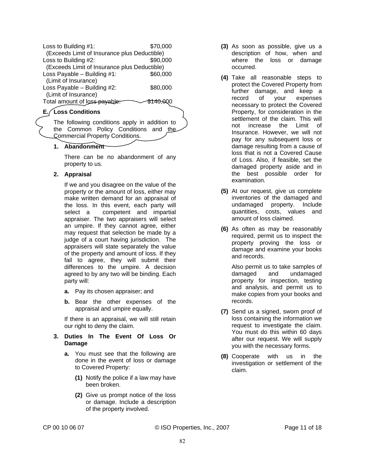| Loss to Building #1:                         | \$70,000 |
|----------------------------------------------|----------|
| (Exceeds Limit of Insurance plus Deductible) |          |
| Loss to Building #2:                         | \$90,000 |
| (Exceeds Limit of Insurance plus Deductible) |          |
| Loss Payable $-$ Building #1:                | \$60,000 |
| (Limit of Insurance)                         |          |
| Loss Payable - Building #2:                  | \$80,000 |
| (Limit of Insurance)                         |          |
| Total amount of loss-payable:                |          |
|                                              |          |

# **E. Loss Conditions**

The following conditions apply in addition to the Common Policy Conditions and the Commercial Property Conditions.

# **1. Abandonment**

There can be no abandonment of any property to us.

#### **2. Appraisal**

If we and you disagree on the value of the property or the amount of loss, either may make written demand for an appraisal of the loss. In this event, each party will select a competent and impartial appraiser. The two appraisers will select an umpire. If they cannot agree, either may request that selection be made by a judge of a court having jurisdiction. The appraisers will state separately the value of the property and amount of loss. If they fail to agree, they will submit their differences to the umpire. A decision agreed to by any two will be binding. Each party will:

- **a.** Pay its chosen appraiser; and
- **b.** Bear the other expenses of the appraisal and umpire equally.

If there is an appraisal, we will still retain our right to deny the claim.

- **3. Duties In The Event Of Loss Or Damage**
	- **a.** You must see that the following are done in the event of loss or damage to Covered Property:
		- **(1)** Notify the police if a law may have been broken.
		- **(2)** Give us prompt notice of the loss or damage. Include a description of the property involved.
- **(3)** As soon as possible, give us a description of how, when and where the loss or damage occurred.
- **(4)** Take all reasonable steps to protect the Covered Property from further damage, and keep a record of your expenses necessary to protect the Covered Property, for consideration in the settlement of the claim. This will not increase the Limit of Insurance. However, we will not pay for any subsequent loss or damage resulting from a cause of loss that is not a Covered Cause of Loss. Also, if feasible, set the damaged property aside and in the best possible order for examination.
- **(5)** At our request, give us complete inventories of the damaged and undamaged property. Include quantities, costs, values and amount of loss claimed.
- **(6)** As often as may be reasonably required, permit us to inspect the property proving the loss or damage and examine your books and records.

Also permit us to take samples of damaged and undamaged property for inspection, testing and analysis, and permit us to make copies from your books and records.

- **(7)** Send us a signed, sworn proof of loss containing the information we request to investigate the claim. You must do this within 60 days after our request. We will supply you with the necessary forms.
- **(8)** Cooperate with us in the investigation or settlement of the claim.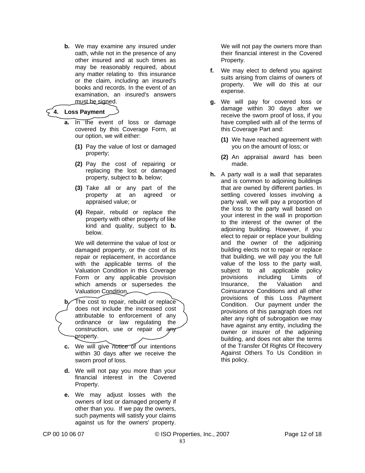**b.** We may examine any insured under oath, while not in the presence of any other insured and at such times as may be reasonably required, about any matter relating to this insurance or the claim, including an insured's books and records. In the event of an examination, an insured's answers must be signed.

# **4. Loss Payment**

- **a.** In the event of loss or damage covered by this Coverage Form, at our option, we will either:
	- **(1)** Pay the value of lost or damaged property;
	- **(2)** Pay the cost of repairing or replacing the lost or damaged property, subject to **b.** below;
	- **(3)** Take all or any part of the property at an agreed or appraised value; or
	- **(4)** Repair, rebuild or replace the property with other property of like kind and quality, subject to **b.** below.

We will determine the value of lost or damaged property, or the cost of its repair or replacement, in accordance with the applicable terms of the Valuation Condition in this Coverage Form or any applicable provision which amends or supersedes the Valuation Condition.

**b.** The cost to repair, rebuild or replace does not include the increased cost attributable to enforcement of any ordinance or law regulating the construction, use or repair of any property.

- **c.** We will give notice of our intentions within 30 days after we receive the sworn proof of loss.
- **d.** We will not pay you more than your financial interest in the Covered Property.
- **e.** We may adjust losses with the owners of lost or damaged property if other than you. If we pay the owners, such payments will satisfy your claims against us for the owners' property.

We will not pay the owners more than their financial interest in the Covered Property.

- **f.** We may elect to defend you against suits arising from claims of owners of property. We will do this at our expense.
- **g.** We will pay for covered loss or damage within 30 days after we receive the sworn proof of loss, if you have complied with all of the terms of this Coverage Part and:
	- **(1)** We have reached agreement with you on the amount of loss; or
	- **(2)** An appraisal award has been made.
- **h.** A party wall is a wall that separates and is common to adjoining buildings that are owned by different parties. In settling covered losses involving a party wall, we will pay a proportion of the loss to the party wall based on your interest in the wall in proportion to the interest of the owner of the adjoining building. However, if you elect to repair or replace your building and the owner of the adjoining building elects not to repair or replace that building, we will pay you the full value of the loss to the party wall, subject to all applicable policy provisions including Limits of Insurance, the Valuation and Coinsurance Conditions and all other provisions of this Loss Payment Condition. Our payment under the provisions of this paragraph does not alter any right of subrogation we may have against any entity, including the owner or insurer of the adjoining building, and does not alter the terms of the Transfer Of Rights Of Recovery Against Others To Us Condition in this policy.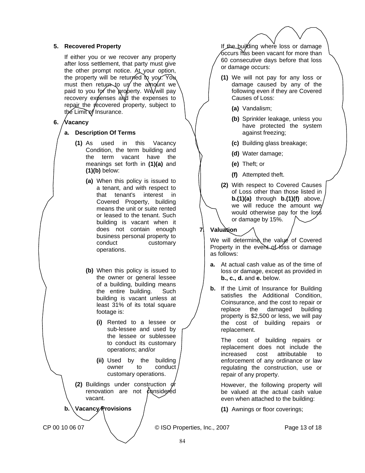#### **5. Recovered Property**

If either you or we recover any property after loss settlement, that party must give the other prompt notice. At your option, the property will be returned to you. You must then return to us the amount we paid to you for the property. We will pay recovery expenses and the expenses to repair the recovered property, subject to the Limit of Insurance.

# **6. Vacancy**

#### **a. Description Of Terms**

- **(1)** As used in this Vacancy Condition, the term building and the term vacant have the meanings set forth in **(1)(a)** and **(1)(b)** below:
	- **(a)** When this policy is issued to a tenant, and with respect to that tenant's interest in Covered Property, building means the unit or suite rented or leased to the tenant. Such building is vacant when it does not contain enough business personal property to conduct customary operations.
	- **(b)** When this policy is issued to the owner or general lessee of a building, building means the entire building. Such building is vacant unless at least 31% of its total square footage is:
		- **(i)** Rented to a lessee or sub-lessee and used by the lessee or sublessee to conduct its customary operations; and/or
		- **(ii)** Used by the building owner to conduct customary operations.
- **(2)** Buildings under construction or renovation are not  $\ell$  onside red vacant.

**b. Vacancy Provisions** 

If the building where loss or damage occurs has been vacant for more than 60 consecutive days before that loss or damage occurs:

- **(1)** We will not pay for any loss or damage caused by any of the following even if they are Covered Causes of Loss:
	- **(a)** Vandalism;
	- **(b)** Sprinkler leakage, unless you have protected the system against freezing;
	- **(c)** Building glass breakage;
	- **(d)** Water damage;
	- **(e)** Theft; or
	- **(f)** Attempted theft.
- **(2)** With respect to Covered Causes of Loss other than those listed in **b.(1)(a)** through **b.(1)(f)** above, we will reduce the amount we would otherwise pay for the loss or damage by 15%.

# **7. Valuation**

We will determine the value of Covered Property in the event of loss or damage as follows:

- **a.** At actual cash value as of the time of loss or damage, except as provided in **b., c., d.** and **e.** below.
- **b.** If the Limit of Insurance for Building satisfies the Additional Condition, Coinsurance, and the cost to repair or replace the damaged building property is \$2,500 or less, we will pay the cost of building repairs or replacement.

The cost of building repairs or replacement does not include the increased cost attributable to enforcement of any ordinance or law regulating the construction, use or repair of any property.

However, the following property will be valued at the actual cash value even when attached to the building:

**(1)** Awnings or floor coverings;

CP 00 10 06 07 (CP 00 10 06 07 ) C ISO Properties, Inc., 2007 2007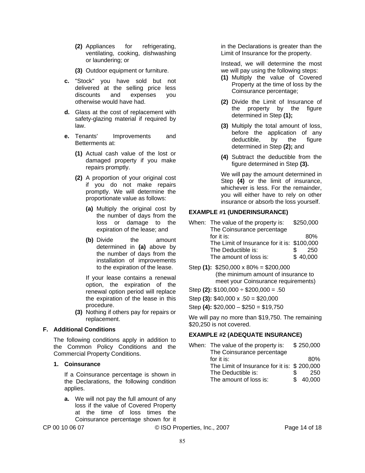- **(2)** Appliances for refrigerating, ventilating, cooking, dishwashing or laundering; or
- **(3)** Outdoor equipment or furniture.
- **c.** "Stock" you have sold but not delivered at the selling price less discounts and expenses you otherwise would have had.
- **d.** Glass at the cost of replacement with safety-glazing material if required by law.
- **e.** Tenants' Improvements and Betterments at:
	- **(1)** Actual cash value of the lost or damaged property if you make repairs promptly.
	- **(2)** A proportion of your original cost if you do not make repairs promptly. We will determine the proportionate value as follows:
		- **(a)** Multiply the original cost by the number of days from the loss or damage to the expiration of the lease; and
		- **(b)** Divide the amount determined in **(a)** above by the number of days from the installation of improvements to the expiration of the lease.

If your lease contains a renewal option, the expiration of the renewal option period will replace the expiration of the lease in this procedure.

**(3)** Nothing if others pay for repairs or replacement.

# **F. Additional Conditions**

The following conditions apply in addition to the Common Policy Conditions and the Commercial Property Conditions.

#### **1. Coinsurance**

If a Coinsurance percentage is shown in the Declarations, the following condition applies.

**a.** We will not pay the full amount of any loss if the value of Covered Property at the time of loss times the Coinsurance percentage shown for it

CP 00 10 06 07 © ISO Properties, Inc., 2007 Page 14 of 18

in the Declarations is greater than the Limit of Insurance for the property.

Instead, we will determine the most we will pay using the following steps:

- **(1)** Multiply the value of Covered Property at the time of loss by the Coinsurance percentage;
- **(2)** Divide the Limit of Insurance of the property by the figure determined in Step **(1);**
- **(3)** Multiply the total amount of loss, before the application of any deductible, by the figure determined in Step **(2);** and
- **(4)** Subtract the deductible from the figure determined in Step **(3).**

We will pay the amount determined in Step **(4)** or the limit of insurance, whichever is less. For the remainder, you will either have to rely on other insurance or absorb the loss yourself.

# **EXAMPLE #1 (UNDERINSURANCE)**

| When: The value of the property is:         | \$250,000 |
|---------------------------------------------|-----------|
| The Coinsurance percentage                  |           |
| for it is:                                  | 80%       |
| The Limit of Insurance for it is: \$100,000 |           |
| The Deductible is:                          | 250       |
| The amount of loss is:                      | \$40,000  |

- Step **(1):** \$250,000 x 80% = \$200,000 (the minimum amount of insurance to meet your Coinsurance requirements)
- Step **(2):** \$100,000 ÷ \$200,000 = .50
- Step **(3):** \$40,000 x .50 = \$20,000
- Step **(4):** \$20,000 \$250 = \$19,750

We will pay no more than \$19,750. The remaining \$20,250 is not covered.

# **EXAMPLE #2 (ADEQUATE INSURANCE)**

| When: The value of the property is:         | \$250,000 |
|---------------------------------------------|-----------|
| The Coinsurance percentage                  |           |
| for it is:                                  | 80%       |
| The Limit of Insurance for it is: \$200,000 |           |
| The Deductible is:                          | 250       |
| The amount of loss is:                      | \$40,000  |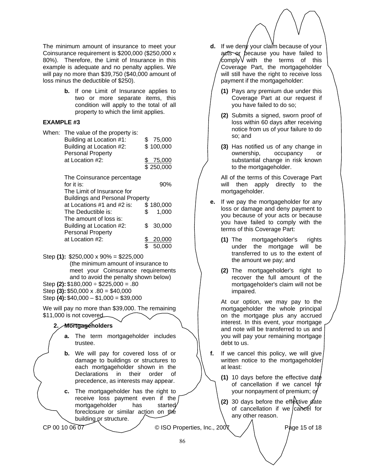The minimum amount of insurance to meet your Coinsurance requirement is \$200,000 (\$250,000 x 80%). Therefore, the Limit of Insurance in this example is adequate and no penalty applies. We will pay no more than \$39,750 (\$40,000 amount of loss minus the deductible of \$250).

> **b.** If one Limit of Insurance applies to two or more separate items, this condition will apply to the total of all property to which the limit applies.

#### **EXAMPLE #3**

| When: | The value of the property is:          |              |
|-------|----------------------------------------|--------------|
|       | Building at Location #1:               | \$<br>75,000 |
|       | Building at Location #2:               | \$100,000    |
|       | <b>Personal Property</b>               |              |
|       | at Location #2:                        | 75,000       |
|       |                                        | \$250,000    |
|       |                                        |              |
|       | The Coinsurance percentage             |              |
|       | for it is:                             | 90%          |
|       | The Limit of Insurance for             |              |
|       | <b>Buildings and Personal Property</b> |              |
|       | at Locations #1 and #2 is:             | \$180,000    |
|       | The Deductible is:                     | \$<br>1,000  |
|       | The amount of loss is:                 |              |
|       | Building at Location #2:               | \$<br>30,000 |
|       | <b>Personal Property</b>               |              |
|       | at Location #2:                        | 20,000       |
|       |                                        | \$<br>50,000 |

Step **(1):** \$250,000 x 90% = \$225,000 (the minimum amount of insurance to meet your Coinsurance requirements and to avoid the penalty shown below) Step **(2):** \$180,000 ÷ \$225,000 = .80

Step **(3):** \$50,000 x .80 = \$40,000

Step **(4):** \$40,000 – \$1,000 = \$39,000

We will pay no more than \$39,000. The remaining \$11,000 is not covered.

# **2. Mortgageholders**

- **a.** The term mortgageholder includes trustee.
- **b.** We will pay for covered loss of or damage to buildings or structures to each mortgageholder shown in the Declarations in their order of precedence, as interests may appear.
- **c.** The mortgageholder has the right to receive loss payment even if the mortgageholder has started foreclosure or similar action on the building or structure.

CP 00 10 06 07  $\bigcup$  © ISO Properties, Inc., 200 $\chi$  / Page 15 of 18

- **d.** If we den*y* your claim because of your acts or because you have failed to  $\mathsf{complexV}$  with the terms of this Coverage Part, the mortgageholder will still have the right to receive loss payment if the mortgageholder:
	- **(1)** Pays any premium due under this Coverage Part at our request if you have failed to do so;
	- **(2)** Submits a signed, sworn proof of loss within 60 days after receiving notice from us of your failure to do so; and
	- **(3)** Has notified us of any change in ownership, occupancy or substantial change in risk known to the mortgageholder.

All of the terms of this Coverage Part will then apply directly to the mortgageholder.

- **e.** If we pay the mortgageholder for any loss or damage and deny payment to you because of your acts or because you have failed to comply with the terms of this Coverage Part:
	- **(1)** The mortgageholder's rights under the mortgage will be transferred to us to the extent of the amount we pay; and
	- **(2)** The mortgageholder's right to recover the full amount of the mortgageholder's claim will not be impaired.

At our option, we may pay to the mortgageholder the whole principal on the mortgage plus any accrued interest. In this event, your mortgage and note will be transferred to us and you will pay your remaining mortgage debt to us.

- **f.** If we cancel this policy, we will give written notice to the mortgageholder at least:
	- **(1)** 10 days before the effective date of cancellation if we cancel  $f$ or your nonpayment of premium; or
	- **(2)** 30 days before the effective date of cancellation if we cancel for any other reason.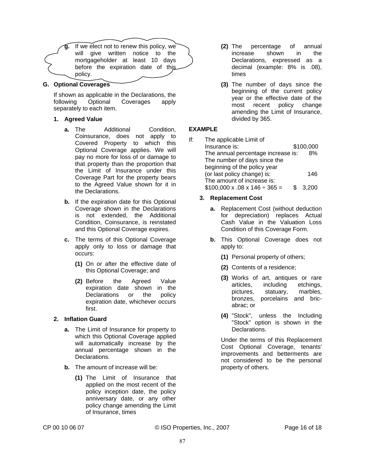**g.** If we elect not to renew this policy, we will give written notice to the mortgageholder at least 10 days before the expiration date of this policy.

#### **G. Optional Coverages**

If shown as applicable in the Declarations, the following Optional Coverages apply separately to each item.

#### **1. Agreed Value**

- **a.** The Additional Condition, Coinsurance, does not apply to Covered Property to which this Optional Coverage applies. We will pay no more for loss of or damage to that property than the proportion that the Limit of Insurance under this Coverage Part for the property bears to the Agreed Value shown for it in the Declarations.
- **b.** If the expiration date for this Optional Coverage shown in the Declarations is not extended, the Additional Condition, Coinsurance, is reinstated and this Optional Coverage expires.
- **c.** The terms of this Optional Coverage apply only to loss or damage that occurs:
	- **(1)** On or after the effective date of this Optional Coverage; and
	- **(2)** Before the Agreed Value expiration date shown in the Declarations or the policy expiration date, whichever occurs first.

# **2. Inflation Guard**

- **a.** The Limit of Insurance for property to which this Optional Coverage applied will automatically increase by the annual percentage shown in the Declarations.
- **b.** The amount of increase will be:
	- **(1)** The Limit of Insurance that applied on the most recent of the policy inception date, the policy anniversary date, or any other policy change amending the Limit of Insurance, times
- **(2)** The percentage of annual increase shown in the Declarations, expressed as a decimal (example: 8% is .08), times
- **(3)** The number of days since the beginning of the current policy year or the effective date of the most recent policy change amending the Limit of Insurance, divided by 365.

#### **EXAMPLE**

- If: The applicable Limit of Insurance is: \$100,000 The annual percentage increase is: 8% The number of days since the beginning of the policy year (or last policy change) is: 146 The amount of increase is:  $$100,000 \times .08 \times 146 \div 365 = $3,200$ 
	- **3. Replacement Cost**
		- **a.** Replacement Cost (without deduction for depreciation) replaces Actual Cash Value in the Valuation Loss Condition of this Coverage Form.
		- **b.** This Optional Coverage does not apply to:
			- **(1)** Personal property of others;
			- **(2)** Contents of a residence;
			- **(3)** Works of art, antiques or rare articles, including etchings, pictures, statuary, marbles, bronzes, porcelains and bricabrac; or
			- **(4)** "Stock", unless the Including "Stock" option is shown in the Declarations.

Under the terms of this Replacement Cost Optional Coverage, tenants' improvements and betterments are not considered to be the personal property of others.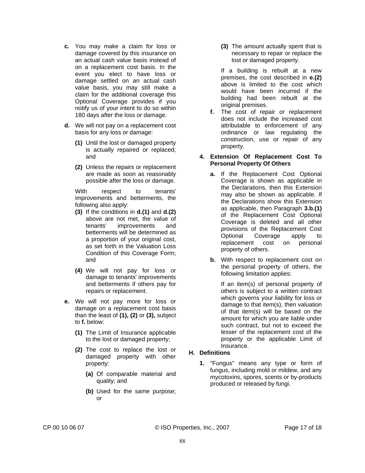- **c.** You may make a claim for loss or damage covered by this insurance on an actual cash value basis instead of on a replacement cost basis. In the event you elect to have loss or damage settled on an actual cash value basis, you may still make a claim for the additional coverage this Optional Coverage provides if you notify us of your intent to do so within 180 days after the loss or damage.
- **d.** We will not pay on a replacement cost basis for any loss or damage:
	- **(1)** Until the lost or damaged property is actually repaired or replaced; and
	- **(2)** Unless the repairs or replacement are made as soon as reasonably possible after the loss or damage.

With respect to tenants' improvements and betterments, the following also apply:

- **(3)** If the conditions in **d.(1)** and **d.(2)** above are not met, the value of tenants' improvements and betterments will be determined as a proportion of your original cost, as set forth in the Valuation Loss Condition of this Coverage Form; and
- **(4)** We will not pay for loss or damage to tenants' improvements and betterments if others pay for repairs or replacement.
- **e.** We will not pay more for loss or damage on a replacement cost basis than the least of **(1), (2)** or **(3),** subject to **f.** below:
	- **(1)** The Limit of Insurance applicable to the lost or damaged property;
	- **(2)** The cost to replace the lost or damaged property with other property:
		- **(a)** Of comparable material and quality; and
		- **(b)** Used for the same purpose; or

**(3)** The amount actually spent that is necessary to repair or replace the lost or damaged property.

If a building is rebuilt at a new premises, the cost described in **e.(2)** above is limited to the cost which would have been incurred if the building had been rebuilt at the original premises.

**f.** The cost of repair or replacement does not include the increased cost attributable to enforcement of any ordinance or law regulating the construction, use or repair of any property.

#### **4. Extension Of Replacement Cost To Personal Property Of Others**

- **a.** If the Replacement Cost Optional Coverage is shown as applicable in the Declarations, then this Extension may also be shown as applicable. If the Declarations show this Extension as applicable, then Paragraph **3.b.(1)** of the Replacement Cost Optional Coverage is deleted and all other provisions of the Replacement Cost Optional Coverage apply to replacement cost on personal property of others.
- **b.** With respect to replacement cost on the personal property of others, the following limitation applies:

If an item(s) of personal property of others is subject to a written contract which governs your liability for loss or damage to that item(s), then valuation of that item(s) will be based on the amount for which you are liable under such contract, but not to exceed the lesser of the replacement cost of the property or the applicable Limit of Insurance.

# **H. Definitions**

**1.** "Fungus" means any type or form of fungus, including mold or mildew, and any mycotoxins, spores, scents or by-products produced or released by fungi.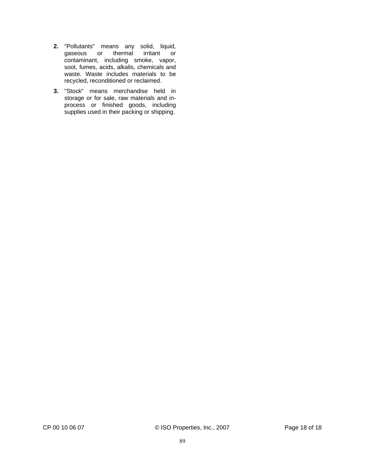- **2.** "Pollutants" means any solid, liquid,<br>gaseous or thermal irritant or gaseous or thermal contaminant, including smoke, vapor, soot, fumes, acids, alkalis, chemicals and waste. Waste includes materials to be recycled, reconditioned or reclaimed.
- **3.** "Stock" means merchandise held in storage or for sale, raw materials and inprocess or finished goods, including supplies used in their packing or shipping.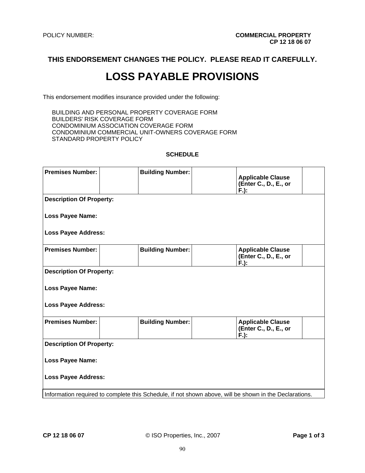**THIS ENDORSEMENT CHANGES THE POLICY. PLEASE READ IT CAREFULLY.** 

# **LOSS PAYABLE PROVISIONS**

This endorsement modifies insurance provided under the following:

BUILDING AND PERSONAL PROPERTY COVERAGE FORM BUILDERS' RISK COVERAGE FORM CONDOMINIUM ASSOCIATION COVERAGE FORM CONDOMINIUM COMMERCIAL UNIT-OWNERS COVERAGE FORM STANDARD PROPERTY POLICY

#### **SCHEDULE**

| <b>Premises Number:</b>                                                                                |                            | <b>Building Number:</b> |  | <b>Applicable Clause</b><br>(Enter C., D., E., or<br>$F$ .): |  |  |  |
|--------------------------------------------------------------------------------------------------------|----------------------------|-------------------------|--|--------------------------------------------------------------|--|--|--|
| <b>Description Of Property:</b>                                                                        |                            |                         |  |                                                              |  |  |  |
| <b>Loss Payee Name:</b>                                                                                |                            |                         |  |                                                              |  |  |  |
| <b>Loss Payee Address:</b>                                                                             |                            |                         |  |                                                              |  |  |  |
| <b>Premises Number:</b>                                                                                |                            | <b>Building Number:</b> |  | <b>Applicable Clause</b><br>(Enter C., D., E., or<br>$F.$ ): |  |  |  |
| <b>Description Of Property:</b>                                                                        |                            |                         |  |                                                              |  |  |  |
| <b>Loss Payee Name:</b>                                                                                |                            |                         |  |                                                              |  |  |  |
|                                                                                                        | <b>Loss Payee Address:</b> |                         |  |                                                              |  |  |  |
| <b>Premises Number:</b>                                                                                |                            | <b>Building Number:</b> |  | <b>Applicable Clause</b><br>(Enter C., D., E., or<br>F.      |  |  |  |
| <b>Description Of Property:</b>                                                                        |                            |                         |  |                                                              |  |  |  |
| <b>Loss Payee Name:</b>                                                                                |                            |                         |  |                                                              |  |  |  |
| <b>Loss Payee Address:</b>                                                                             |                            |                         |  |                                                              |  |  |  |
| Information required to complete this Schedule, if not shown above, will be shown in the Declarations. |                            |                         |  |                                                              |  |  |  |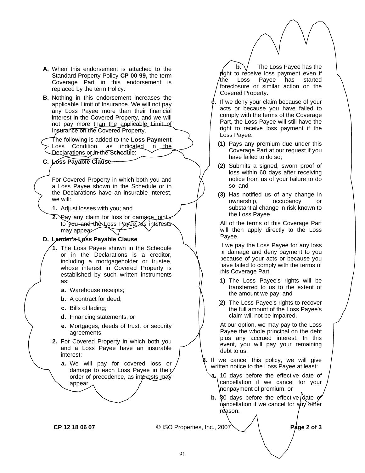- **A.** When this endorsement is attached to the Standard Property Policy **CP 00 99,** the term Coverage Part in this endorsement is replaced by the term Policy.
- **B.** Nothing in this endorsement increases the applicable Limit of Insurance. We will not pay any Loss Payee more than their financial interest in the Covered Property, and we will not pay more than the applicable Limit of Insurance on the Covered Property.

The following is added to the **Loss Payment** Loss Condition, as indicated in the Declarations or in the Schedule:

**C. Loss Payable Clause** 

For Covered Property in which both you and a Loss Payee shown in the Schedule or in the Declarations have an insurable interest, we will:

- **1.** Adjust losses with you; and
- **2.** Pay any claim for loss or damage jointly to you and the Loss Payee, as interests may appear.

# **D. Lender's Loss Payable Clause**

- **1.** The Loss Payee shown in the Schedule or in the Declarations is a creditor, including a mortgageholder or trustee, whose interest in Covered Property is established by such written instruments as:
	- **a.** Warehouse receipts;
	- **b.** A contract for deed;
	- **c.** Bills of lading;
	- **d.** Financing statements; or
	- **e.** Mortgages, deeds of trust, or security agreements.
- **2.** For Covered Property in which both you and a Loss Payee have an insurable interest:
	- **a.** We will pay for covered loss or damage to each Loss Payee in their order of precedence, as interests may appear.

**b.**  $\sqrt{}$  The Loss Payee has the right to receive loss payment even if the Loss Payee has started foreclosure or similar action on the Covered Property.

- If we deny your claim because of your acts or because you have failed to comply with the terms of the Coverage Part, the Loss Payee will still have the right to receive loss payment if the Loss Payee:
	- **(1)** Pays any premium due under this Coverage Part at our request if you have failed to do so;
	- **(2)** Submits a signed, sworn proof of loss within 60 days after receiving notice from us of your failure to do so; and
	- **(3)** Has notified us of any change in ownership, occupancy or substantial change in risk known to the Loss Payee.

All of the terms of this Coverage Part will then apply directly to the Loss Payee.

f we pay the Loss Payee for any loss or damage and deny payment to you because of your acts or because you have failed to comply with the terms of this Coverage Part:

- **(1)** The Loss Payee's rights will be transferred to us to the extent of the amount we pay; and
- **(2)** The Loss Payee's rights to recover the full amount of the Loss Payee's claim will not be impaired.

At our option, we may pay to the Loss Payee the whole principal on the debt plus any accrued interest. In this event, you will pay your remaining debt to us.

- If we cancel this policy, we will give written notice to the Loss Payee at least:
	- 10 days before the effective date of cancellation if we cancel for your nonpayment of premium; or
- **b.**  $\overline{30}$  days before the effective date of dancellation if we cancel for any other reason.

**CP 12 18 06 07** © ISO Properties, Inc., 2007 **Page 2 of 3**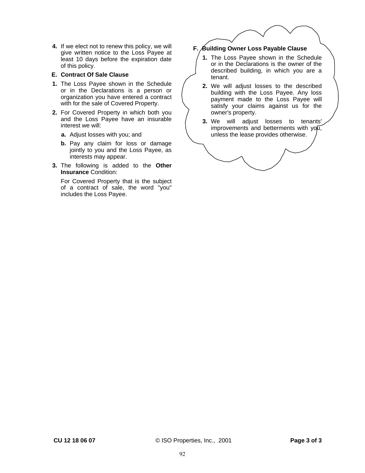**4.** If we elect not to renew this policy, we will give written notice to the Loss Payee at least 10 days before the expiration date of this policy.

#### **E. Contract Of Sale Clause**

- **1.** The Loss Payee shown in the Schedule or in the Declarations is a person or organization you have entered a contract with for the sale of Covered Property.
- **2.** For Covered Property in which both you and the Loss Payee have an insurable interest we will:
	- **a.** Adjust losses with you; and
	- **b.** Pay any claim for loss or damage jointly to you and the Loss Payee, as interests may appear.
- **3.** The following is added to the **Other Insurance** Condition:

For Covered Property that is the subject of a contract of sale, the word "you" includes the Loss Payee.

# **F. Building Owner Loss Payable Clause**

- **1.** The Loss Payee shown in the Schedule or in the Declarations is the owner of the described building, in which you are a tenant.
- **2.** We will adjust losses to the described building with the Loss Payee. Any loss payment made to the Loss Payee will satisfy your claims against us for the owner's property.
- **3.** We will adjust losses to tenants' improvements and betterments with you, unless the lease provides otherwise.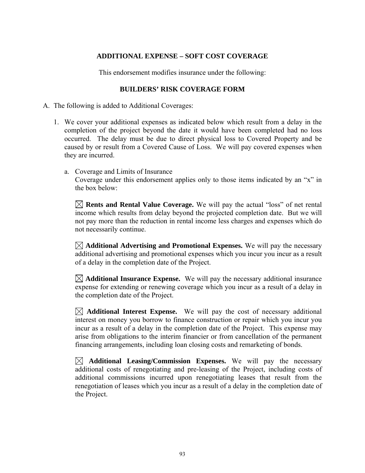# **ADDITIONAL EXPENSE – SOFT COST COVERAGE**

This endorsement modifies insurance under the following:

# **BUILDERS' RISK COVERAGE FORM**

A. The following is added to Additional Coverages:

- 1. We cover your additional expenses as indicated below which result from a delay in the completion of the project beyond the date it would have been completed had no loss occurred. The delay must be due to direct physical loss to Covered Property and be caused by or result from a Covered Cause of Loss. We will pay covered expenses when they are incurred.
	- a. Coverage and Limits of Insurance Coverage under this endorsement applies only to those items indicated by an "x" in the box below:

 **Rents and Rental Value Coverage.** We will pay the actual "loss" of net rental income which results from delay beyond the projected completion date. But we will not pay more than the reduction in rental income less charges and expenses which do not necessarily continue.

 **Additional Advertising and Promotional Expenses.** We will pay the necessary additional advertising and promotional expenses which you incur you incur as a result of a delay in the completion date of the Project.

 $\boxtimes$  **Additional Insurance Expense.** We will pay the necessary additional insurance expense for extending or renewing coverage which you incur as a result of a delay in the completion date of the Project.

 $\boxtimes$  **Additional Interest Expense.** We will pay the cost of necessary additional interest on money you borrow to finance construction or repair which you incur you incur as a result of a delay in the completion date of the Project. This expense may arise from obligations to the interim financier or from cancellation of the permanent financing arrangements, including loan closing costs and remarketing of bonds.

 $\boxtimes$  **Additional Leasing/Commission Expenses.** We will pay the necessary additional costs of renegotiating and pre-leasing of the Project, including costs of additional commissions incurred upon renegotiating leases that result from the renegotiation of leases which you incur as a result of a delay in the completion date of the Project.